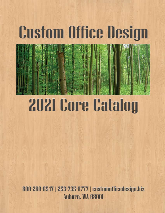# **Custom Office Design**



# **2021 Core Catalog**

800-280-6547 | 253-735-8777 | customofficedesign.biz **Auburn, WA 98001**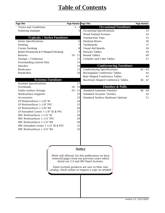# **Table of Contents**

| Page Title                          | Page Number Page Title |                                                                                                   | <b>Page Number</b> |
|-------------------------------------|------------------------|---------------------------------------------------------------------------------------------------|--------------------|
| <b>Terms and Conditions</b>         | $3 - 4$                | <b>Occasional Furniture</b>                                                                       |                    |
| Ordering Example                    | 5                      | <b>Occasional Specifications</b>                                                                  | 33                 |
|                                     |                        | <b>Wood Framed Screens</b>                                                                        | 34                 |
| <b>Typicals / Series Furniture</b>  |                        | <b>Transaction Tops</b>                                                                           | 35                 |
| Series Specifications               | 6                      | Desktop Risers                                                                                    | 36                 |
| Desking                             | 7                      | Tackboards                                                                                        | 37                 |
| <b>Corner Desking</b>               | 8                      | Visual Aid Boards                                                                                 | 38                 |
| Bullet/Peninsula & P-Shaped Desking | 9                      | Parsons Tables                                                                                    | 39                 |
| Returns                             | $10 - 11$              | <b>Round Tables</b>                                                                               | 40                 |
| Storage / Credenzas                 | 12                     | <b>Cylinder and Cube Tables</b>                                                                   | 41                 |
| Freestanding Lateral Files          | 13                     |                                                                                                   |                    |
| Hutches                             | 14                     | <b>Conferencing Furniture</b>                                                                     |                    |
| <b>Bookcases</b>                    | 15                     | <b>Conferencing Specifications</b>                                                                | $42 - 43$          |
| Wardrobes                           | 16                     | Rectangular Conference Tables                                                                     | 44                 |
|                                     |                        | <b>Boat Shaped Conference Tables</b>                                                              | 45                 |
| <b>Systems Furniture</b>            |                        | Racetrack Shaped Conference Tables                                                                | $46 - 47$          |
| <b>Systems Specifications</b>       | 17                     |                                                                                                   |                    |
| Overheads                           | $18 - 19$              | <b>Finishes &amp; Pulls</b>                                                                       |                    |
| Under-surface Storage               | $20 - 21$              | <b>Standard Laminate Finishes</b>                                                                 | $48 - 49$          |
| <b>Worksurface Supports</b>         | 22                     | <b>Standard Acoustic Textiles</b>                                                                 | 50                 |
| Accessories                         | 23                     | Standard Surface Hardware Options                                                                 | 51                 |
| LP Worksurfaces 1-1/8" SE           | 24                     |                                                                                                   |                    |
| LP Worksurfaces 1-1/8" PVC          | 25                     |                                                                                                   |                    |
| LP Worksurfaces 1-1/8" WE           | 26                     |                                                                                                   |                    |
| LP Extended Corner 1-1/8" SE & PVC  | 27                     |                                                                                                   |                    |
| HPL Worksurfaces 1-1/4" SE          | 28                     |                                                                                                   |                    |
| HPL Worksurfaces 1-1/4" PVC         | 29                     |                                                                                                   |                    |
| HPL Worksurfaces 1-1/4" WE          | 30                     |                                                                                                   |                    |
| HPL Extended Corner 1-1/4" SE & PVC | 31                     |                                                                                                   |                    |
| HPL Worksurfaces 1-3/4" WE          | 32                     |                                                                                                   |                    |
|                                     |                        |                                                                                                   |                    |
|                                     |                        |                                                                                                   |                    |
|                                     |                        |                                                                                                   |                    |
|                                     |                        |                                                                                                   |                    |
|                                     |                        |                                                                                                   |                    |
|                                     |                        | <b>Notice</b>                                                                                     |                    |
|                                     |                        | While still offered, for this publication we have                                                 |                    |
|                                     |                        | removed pages from our previous years which                                                       |                    |
|                                     |                        | detail our 2.0 and SB3 Panel Systems.                                                             |                    |
|                                     |                        |                                                                                                   |                    |
|                                     |                        | Panel systems products are now in thier own<br>catalog, check online or request a copy as needed! |                    |
|                                     |                        |                                                                                                   |                    |
|                                     |                        |                                                                                                   |                    |
|                                     |                        |                                                                                                   |                    |
|                                     |                        |                                                                                                   |                    |
|                                     |                        |                                                                                                   |                    |
|                                     |                        |                                                                                                   |                    |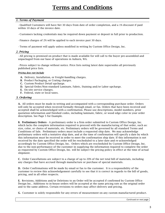# **Terms and Conditions**

#### *1. Terms of Payment*

**∙**Qualified Customers will have Net 30 days from date of order completion, and a 1% discount if paid within 10 days of the invoice date.

**∙**Customers lacking credentials may be required down payment or deposit in full prior to production.

**∙**Finance charges of 2% will be applied to each invoice past 30 days.

**∙**Terms of payment will apply unless modified in writing by Custom Office Design, Inc.

#### *2. Pricing*

**∙**All pricing is premised on product that is made available for will call to the buyer pre-assembled and unpackaged from our base of operations in Auburn, WA.

**∙**Prices subject to change without notice. Price lists noting latest date supersedes all previously published price lists.

#### *Pricing does not include*

- **A.** Delivery, Installation, or Freight-handling charges.
- **B.** Product Packaging, or Crating charges.
- **C.** Custom Product Detail upcharge.
- **D.** Special-Order/Non-standard Laminate, Fabric, Staining and/or Labor upcharge.
- **E.** On-site service charges.
- **F.** Federal, state or local taxes.

#### *3. Ordering*

**A.** All orders must be made in writing and accompanied with a corresponding purchase order. Orders will only be accepted when received formally through email, or fax. Orders that have been received and accepted shall be acknowledged with a confirmation. Please use descriptions, model numbers, prior quotation information and finished codes, including laminate, fabric, or wood edge color in your order description. See Page 5 for Example.

**B. Preliminary Orders** - A preliminary order is a firm order submitted to Custom Office Design, Inc. which lacks the complete information required to proceed with the manufacturing of that order, such as: size, color, or choice of materials, etc. Preliminary orders will be governed by all standard Terms and Conditions of Sale. Preliminary orders must include a requested ship date. We may acknowledge preliminary orders with a tentative ship date, and at the time of confirmation will specify a date by which this information must be received in order to meet the confirmation ship date. If this information is not received by the date specified the order will be rescheduled to a later date and re-acknowledged accordingly by Custom Office Design, Inc. Orders which are rescheduled by Custom Office Design, Inc. due to the non-performance of the customer in supplying the information required to complete the order as requested by Custom Office Design, Inc. will be subject the pricing policy in effect at the time of actual shipment.

**C.** Order Cancellations are subject to a charge of up to 20% of the net total bill of materials, including any charges that have accrued through manufacture or purchase of special materials.

**D.** Order Confirmations will be made by email or fax to the customer. It is a responsibility of the customer to review this acknowledgement carefully to see that it is correct in regards to the bill of goods, pricing, and in all other respects.

**E.** Revisions, Additions and/or Deletions to an Order will be accepted if confirmed by Custom Office Design Inc.. Additions to in-house orders will be accepted at the same pricing rate as the original order and to the same address. Certain revisions to orders may affect delivery and pricing.

**G.** Customer is solely responsible for any errors of measurement on any custom manufactured product.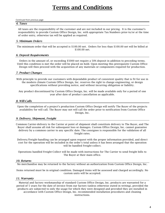#### *Continued from previous page*

#### *4. Taxes*

All taxes are the responsibility of the customer and are not included in our pricing. It is the customer's responsibility to provide Custom Office Design, Inc. with appropriate Tax Numbers prior-to/or at the time of order entry, otherwise tax will be applied as required.

#### *5. Minimum Orders*

The minimum order that will be accepted is \$100.00 net. Orders for less than \$100.00 net will be billed at \$100.00 net.

#### *6. Deposit Requirements*

Orders in the amount of, or exceeding \$5000 net require a 50% deposit in addition to preceding terms. Until this condition is met the order will be placed on hold. Upon meeting this prerequisite Custom Office Design will then proceed with the acquisition of any materials or components required for production.

#### *7. Product Changes*

With principle to provide our customers with dependable product of consistent quality that is fit for use in the modern climate Custom Office Design, Inc. reserves the right to change engineering, or design specifications without providing notice, and without incurring obligation or liability.

Any product discontinued by Custom Office Design, Inc. will be made available only for a period of one year after date of product cancellation as applicable.

#### *8. Will-Calls*

Upon the completion of a project's production Custom Office Design will notify The Buyer of the projects availability for will call. The Buyer may not will call the order prior to notification from Custom Office Design, Inc.

#### *9. Delivery, Shipment, Freight*

Common Carrier-delivery to the Carrier at point of shipment shall constitute delivery to The Buyer, and The Buyer shall assume all risk for subsequent loss or damages. Custom Office Design, Inc. cannot guarantee delivery by a common carrier to any specific date. The consignee is responsible for the validation of all freight rates.

Delivery/Freight-handling can be arranged upon request with the proper information provided, and direct cost for the operation will be included in the order's total unless it has been arranged that the operation will be handled Freight-collect.

Operations handled Freight-Collect will be made with instructions for The Carrier to send freight bills to The Buyer at their main office.

#### *10. Returns*

No merchandise may be returned to the factory without an authorization from Custom Office Design, Inc.

Items returned must be in original condition. Damaged items will be assessed and charged accordingly. No custom units will be accepted.

#### *11. Warranty*

Material and factory workmanship of standard Custom Office Design, Inc. products are warranted for a period of 5 years for the date of invoice from our factory (unless otherwise stated in writing), provided the products are subjected to only the usage for which they were designed and provided they are installed in accordance with Custom Office Design, Inc. recommended installation procedures and cleaning instructions.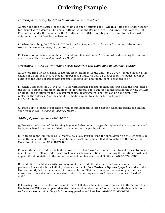### **Ordering Example**

#### *Ordering a 30" Deep by 72" Wide Arcadia Series Desk Shell*

**A.** After deciding the Series for the unit from our Specifications page -- **Arcadia** -- find the Model Number for the unit with a depth of 30" and a width of 72" on the Desking Page -- **D-0-3072** -- and Note the List Cost located under the column for the Arcadia Series -- **\$611** -- Apply your Discount to the List Cost to determine your Net Cost for the base unit.

**B.** When Describing the 30" D x 72" W Desk Shell in Request, First place the first letter of the series in front of the Model Number, like so: **AD-0-3072**

**C.** Make sure to include your choice from of our Standard Colors Selection when describing the unit in your request, Ex: "*Finished in Hardrock Maple* ".

#### *Ordering a 30" D x 72" W Arcadia Series Desk with Left-Hand Built-in Box/File Pedestal*

**A.** Like ordering the Desk Shell, Locate the Model Number for the unit -- **D-2-3072\*** -- in this instance, the change of a **0** in the D-**0**-3072 Model Number to a **2** indicates that a 2 drawer (box/file) pedestal will be built-in to the unit. For Desks with Pedestals on both Left and Right, the **0** is changed to a **4**.

**B.** When Describing the 30" D x 72" W Desk with Box/File Pedestal in Request, First place the first letter of the series in front of the Model Number just like before, but in addition to designating the series, the Left or Right-Hand location for the Pedestal must also be designated, and that can be done simply by replacing the Asterick (\*) at the end of the model number to an **L** for Left or **R** for Right. EG: **AD-2-3072L**

**C.** Make sure to include your choice from of our Standard Colors Selection when describing the unit in your request, Ex: "*Finished in Hardrock Maple* ".

#### *Adding Options to your AD-2-3072L*

**A.** Towards the bottom of the Desking Page -- and also on most pages throughout the catalog -- there will be Options listed that can be added to upgrade/alter the produced unit.

**B.** To Upgrade the Built-in Box/File Pedestal to a Box/Box/File, Find the abbreviation on the left hand side of the Options List -- **BIB** -- note the addition list cost, and append that abbreviation to the end of the Model Number like so: **AD-2-3072L-BIB**

**C.** In addition to Upgrading the Built-in Box/File to a Box/Box/File, you may want to add a lock. To do so, just like with the BIB upgrade, locate Lock in Miscellaneous Options -- **L** -- noting the additional cost, and append the abbreviation to the end of the model number after the -BIB, like so: **AD-2-3072L-BIBL**

**D.** In addition to added security, you may want to upgrade the side pulls that come standard on our pedestals. Locate the Stock Pull of preference on the **Surface Hardware Options (page 51)**, and add the list cost multiplied by the number of drawers ( Box or File) that you expect to have on your unit, and make sure to note the pulls in your description of your request so we know what you need, "*with #3 Pulls* ".

**E.** Focusing more on the Shell of the unit, if a Full Modesty Panel is desired, Locate it in the Options List like before -- **FMP** -- and append that after the model number but before any pedestal-related additions, so for our current unit adding a full modesty panel would look like: **AD-2-3072L-FMP-BIBL**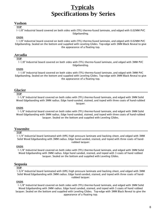### **Typicals Specifications by Series**

#### **Vashon**

#### **TOP**

1-1/8" Industrial board covered on both sides with (TFL) thermo-fused laminate, and edged with 0.02MM PVC Edgebanding.

#### **ENDS**

1-1/8" Industrial board covered on both sides with (TFL) thermo-fused laminate, and edged with 0.02MM PVC Edgebanding. Sealed on the bottom and supplied with Leveling Glides. Top-edge with 3MM Black Reveal to give the appearance of a floating top.

#### **Arcadia**

#### **TOP**

1-1/8" Industrial board covered on both sides with (TFL) thermo-fused laminate, and edged with 3MM PVC Edgebanding.

#### **ENDS**

1-1/8" Industrial board covered on both sides with (TFL) thermo-fused laminate, and edged with 3MM PVC Edgebanding. Sealed on the bottom and supplied with Leveling Glides. Top-edge with 3MM Black Reveal to give the appearance of a floating top.

#### **Glacier**

#### **TOP**

1-1/8" Industrial board covered on both sides with (TFL) thermo-fused laminate, and edged with 3MM Solid Wood Edgebanding with 3MM radius. Edge hand-sanded, stained, and toped with three coats of hand-rubbed lacquer.

#### **ENDS**

1-1/8" Industrial board covered on both sides with (TFL) thermo-fused laminate, and edged with 3MM Solid Wood Edgebanding with 3MM radius. Edge hand-sanded, stained, and toped with three coats of hand-rubbed lacquer. Sealed on the bottom and supplied with Leveling Glides.

#### **Yosemite**

#### **TOP**

1-1/4" Industrial board laminated with (HPL) high pressure laminate and backing sheet, and edged with 3MM Solid Wood Edgebanding with 3MM radius. Edge hand-sanded, stained, and toped with three coats of handrubbed lacquer.

#### **ENDS**

1-1/8" Industrial board covered on both sides with (TFL) thermo-fused laminate, and edged with 3MM Solid Wood Edgebanding with 3MM radius. Edge hand sanded, stained, and toped with 3 coats of hand rubbed lacquer. Sealed on the bottom and supplied with Leveling Glides.

#### **Sequoia**

#### **TOP**

1-3/4" Industrial board laminated with (HPL) high pressure laminate and backing sheet, and edged with 3MM Solid Wood Edgebanding with 3MM radius. Edge hand-sanded, stained, and toped with three coats of handrubbed lacquer.

#### **ENDS**

1-1/8" Industrial board covered on both sides with (TFL) thermo-fused laminate, and edged with 3MM Solid Wood Edgebanding with 3MM radius. Edge hand sanded, stained, and toped with 3 coats of hand rubbed lacquer. Sealed on the bottom and supplied with Leveling Glides. Top-edge with 3MM Black Reveal to give the appearance of a floating top.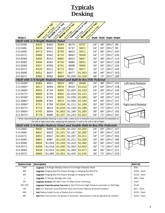# **Typicals Desking**



| Shell with 3/4-Height Modesty Panel                                                                              |       |         |                                                                                          |         |         |     |     |                   |     |                            |
|------------------------------------------------------------------------------------------------------------------|-------|---------|------------------------------------------------------------------------------------------|---------|---------|-----|-----|-------------------|-----|----------------------------|
| C-0-2448                                                                                                         | \$402 | \$460   | \$594                                                                                    | \$674   | \$757   | 24" | 48" | 291/2"            | 90  |                            |
| C-0-2460                                                                                                         | \$435 | \$503   | \$646                                                                                    | \$737   | \$821   | 24" | 60" | 291/2"            | 95  |                            |
| C-0-2466                                                                                                         | \$472 | \$541   | \$700                                                                                    | \$822   | \$911   | 24" | 66" | 291/2"            | 100 |                            |
| C-0-2472                                                                                                         | \$486 | \$562   | \$722                                                                                    | \$842   | \$928   | 24" | 72" | 291/2"            | 105 |                            |
| D-0-3048                                                                                                         | \$460 | \$541   | \$682                                                                                    | \$823   | \$847   | 30" | 48" | 291/2"            | 114 |                            |
| D-0-3060                                                                                                         | \$494 | \$581   | \$730                                                                                    | \$886   | \$931   | 30" | 60" | 291/2"            | 128 |                            |
| D-0-3066                                                                                                         | \$507 | \$595   | \$761                                                                                    | \$898   | \$956   | 30" | 66" | 291/2"            | 134 |                            |
| D-0-3072                                                                                                         | \$520 | \$611   | \$772                                                                                    | \$927   | \$977   | 30" | 72" | 291/2"            | 143 |                            |
| D-0-3666                                                                                                         | \$551 | \$647   | \$817                                                                                    | \$977   | \$1,053 | 36" | 66" | 291/2"            | 163 |                            |
| D-0-3672                                                                                                         | \$582 | \$682   | \$864                                                                                    | \$1,030 | \$1,109 | 36" | 72" | 291/2"            | 168 |                            |
| Shell with 3/4-Height Modesty Panel and Built-In Box/File Pedestal                                               |       |         |                                                                                          |         |         |     |     |                   |     |                            |
| $C-2-2448*$                                                                                                      | \$584 | \$651   | \$824                                                                                    | \$857   | \$948   | 24" | 48" | 291/2"            | 103 | Left-hand Pedestal         |
| $C-2-2460*$                                                                                                      | \$617 | \$694   | \$876                                                                                    | \$920   | \$1,012 | 24" | 60" | 291/2"            | 118 |                            |
| C-2-2466*                                                                                                        | \$655 | \$734   | \$930                                                                                    | \$1,004 | \$1,103 | 24" | 66" | 291/2"            | 126 |                            |
| $C-2-2472*$                                                                                                      | \$669 | \$755   | \$952                                                                                    | \$1,024 | \$1,121 | 24" | 72" | 291/2"            | 134 |                            |
| D-2-3048*                                                                                                        | \$653 | \$745   | \$926                                                                                    | \$1,036 | \$1,060 | 30" | 48" | 291/2"            | 143 |                            |
| D-2-3060*                                                                                                        | \$688 | \$783   | \$975                                                                                    | \$1,099 | \$1,144 | 30" | 60" | 291/2"            | 157 |                            |
| D-2-3066*                                                                                                        | \$701 | \$799   | \$1,004                                                                                  | \$1,111 | \$1,169 | 30" | 66" | 291/2"            | 165 | <b>Right-hand Pedestal</b> |
| D-2-3072*                                                                                                        | \$714 | \$814   | \$1,016                                                                                  | \$1,140 | \$1,189 | 30" | 72" | 291/2"            | 172 |                            |
| D-2-3666*                                                                                                        | \$745 | \$849   | \$1,063                                                                                  | \$1,189 | \$1,265 | 36" | 66" | 291/2"            | 192 |                            |
| $D-2-3672*$                                                                                                      | \$776 | \$886   | \$1,107                                                                                  | \$1,243 | \$1,321 | 36" | 72" | 291/2"            | 197 |                            |
| * When describing Single-pedestal Desking in your order, make sure to indicate if you would like the pedestal on |       |         |                                                                                          |         |         |     |     |                   |     |                            |
|                                                                                                                  |       |         | the left or right hand side, replacing the asterisk $(*)$ with L for Left or R for Right |         |         |     |     |                   |     |                            |
| Shell with 3/4-Height Modesty Panel and Double Built-In Box/File Pedestals                                       |       |         |                                                                                          |         |         |     |     |                   |     |                            |
| C-4-2460                                                                                                         | \$800 | \$886   | \$1,106                                                                                  | \$1,102 | \$1,205 | 24" | 60" | $29\frac{1}{2}$ " | 147 |                            |
| C-4-2466                                                                                                         | \$837 | \$925   | \$1,161                                                                                  | \$1,187 | \$1,295 | 24" | 66" | 291/2"            | 155 |                            |
| C-4-2472                                                                                                         | \$851 | \$947   | \$1,181                                                                                  | \$1,207 | \$1,311 | 24" | 72" | 291/2"            | 163 |                            |
| D-4-3060                                                                                                         | \$881 | \$987   | \$1,218                                                                                  | \$1,311 | \$1,356 | 30" | 60" | 291/2"            | 186 |                            |
| D-4-3066                                                                                                         | \$894 | \$1,002 | \$1,249                                                                                  | \$1,323 | \$1,382 | 30" | 66" | 291/2"            | 194 |                            |
| D-4-3072                                                                                                         | \$908 | \$1,018 | \$1,260                                                                                  | \$1,353 | \$1,403 | 30" | 72" | 291/2"            | 201 |                            |
| D-4-3666                                                                                                         | \$938 | \$1,053 | \$1,306                                                                                  | \$1,399 | \$1,477 | 36" | 66" | 291/2"            | 221 |                            |
| D-4-3672                                                                                                         | \$969 | \$1,089 | \$1,351                                                                                  | \$1,455 | \$1,535 | 36" | 72" | 291/2"            | 226 |                            |

| Option/code | Description                                                                                             | Add List      |
|-------------|---------------------------------------------------------------------------------------------------------|---------------|
| <b>FMP</b>  | <b>Upgrade</b> 3/4-Height Modesty Panel to Full-Height Modesty Panel                                    | \$96          |
| <b>BIB</b>  | <b>Upgrade</b> Hanging Box/File Drawer Storage to Hanging Box/Box/File                                  | $$152 /$ Each |
| <b>BIF</b>  | <b>Upgrade</b> Hanging Box/File Drawer Storage to Hanging File/File                                     | \$152 / Each  |
|             | <b>Upgrade</b> (1) Drawer Storage with Lock                                                             | \$85 / Each   |
| <b>BT</b>   | <b>Upgrade Surface</b> with Bow Front, 6" Deep Center Overhang                                          | \$167         |
| HPL-TOP     | <b>Upgrade Yosemite-series Top-only</b> to (Non-Premium) High Pressure Laminate w/ Self Edge            | \$144         |
| CG          | Add 2 <sup>1</sup> / <sub>2</sub> " Diameter Cord Grommet Cover and Cutout (Specify preferred location) | $$47 /$ Each  |
| RAD         | Add Radius Inside Corner or Radius End to Surface                                                       | \$152 / Each  |
| <b>MC</b>   | <b>Add</b> Miter Cut/Cut Out, for Access or Grommet (Dimensions must be specified as needed)            | $$152 /$ Each |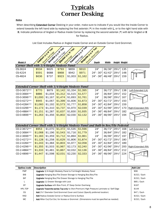# **Typicals Corner Desking**

#### *Notice*

When describing Extended Corner Desking in your order, make sure to indicate if you would like the Inside Corner to extend towards the left hand side by replacing the first asterisk (\*) in the model with L, or to the right hand side with R. Indicate preference of Angled or Radius Inside Corner by replacing the second asterisk (\*) with A for Angled or R for Radius.

List Cost Includes Radius or Angled Inside Corner and an Outside Corner Cord Grommet.



| Model #                                    | $\sqrt{\circ}$<br>ac) | $\sim$<br>æ | $\mathbf{G}^{\bullet}$ | $M_0$ $40$ | $\sqrt{2}$<br>ຜັ<br>$Q^{\mathcal{C}}$ | Depth     | Width                       |        | Height Weight |  |
|--------------------------------------------|-----------------------|-------------|------------------------|------------|---------------------------------------|-----------|-----------------------------|--------|---------------|--|
| Corner Shell with 3/4-Height Modesty Panel |                       |             |                        |            |                                       |           |                             |        |               |  |
| CS-3624                                    | \$534                 | \$625       | \$793                  | \$859      | \$910                                 | 24"       | 36/36" 291/2"               |        | 135           |  |
| CS-4224                                    | \$591                 | \$688       | \$868                  | \$942      | \$971                                 | 24" - 30" | $ 42/42"$ $ 29\frac{1}{2}"$ |        | 148           |  |
| CS-4824                                    | \$636                 | \$737       | \$923                  | \$1,003    | \$1,162                               | 24" - 36" | 48/48"                      | 291/2" | 159           |  |
|                                            |                       |             |                        |            |                                       |           |                             |        |               |  |

| <b>Extended Corner Shell with 3/4-Height Modesty Panel</b>                         |         |         |         |         |         |           |               |                   |     |                     |  |  |  |
|------------------------------------------------------------------------------------|---------|---------|---------|---------|---------|-----------|---------------|-------------------|-----|---------------------|--|--|--|
| CD-0-3672**                                                                        | \$770   | \$879   | \$1,142 | \$1,334 | \$1,395 | 24"       | 36/72"        | 291/2"            | 138 | Left-Extended (LA)  |  |  |  |
| CD-0-3684**                                                                        | \$886   | \$1,004 | \$1,312 | \$1,515 | \$1,577 | 24"       | 36/84"        | 291/2"            | 152 |                     |  |  |  |
| CD-0-3696**                                                                        | \$1,000 | \$1,167 | \$1,474 | \$1,693 | \$1,761 | 24"       | 36/96"        | 291/2"            | 167 |                     |  |  |  |
| CD-0-4272**                                                                        | \$945   | \$1,067 | \$1,399 | \$1,606 | \$1,673 | 24" - 30" | 42/72"        | 291/2"            | 150 |                     |  |  |  |
| CD-0-4284**                                                                        | \$1,060 | \$1,192 | \$1,573 | \$1,777 | \$1,858 | 24" - 30" | 42/84"        | 291/2"            | 159 |                     |  |  |  |
| CD-0-4296**                                                                        | \$1,173 | \$1,310 | \$1,737 | \$1,970 | \$2,039 | 24" - 30" | 42/96"        | 291/2"            | 170 | Right-Extended (RA) |  |  |  |
| CD-0-4884**                                                                        | \$1,151 | \$1,287 | \$1,637 | \$1,830 | \$1,935 | 24" - 36" | 48/84"        | $29\frac{1}{2}$ " | 182 |                     |  |  |  |
| CD-0-4896**                                                                        | \$1,263 | \$1,356 | \$1,802 | \$2,030 | \$2,132 | 24" - 36" | 48/96"        | 291/2"            | 194 |                     |  |  |  |
|                                                                                    |         |         |         |         |         |           |               |                   |     |                     |  |  |  |
|                                                                                    |         |         |         |         |         |           |               |                   |     |                     |  |  |  |
|                                                                                    |         |         |         |         |         |           |               |                   |     |                     |  |  |  |
| Extended Corner Shell with 3/4-Height Modesty Panel and Built-In Box/File Pedestal |         |         |         |         |         |           |               |                   |     |                     |  |  |  |
| CD-2-3672**                                                                        | \$953   | \$1,070 | \$1,372 | \$1,535 | \$1,596 | 24"       | 36/72" 291/2" |                   | 168 | Left-Extended (LA)  |  |  |  |
| CD-2-3684**                                                                        | \$1,068 | \$1,196 | \$1,543 | \$1,716 | \$1,779 | 24"       | 36/84"        | 29½"              | 182 |                     |  |  |  |
| CD-2-3696**                                                                        | \$1,183 | \$1,359 | \$1,712 | \$1,894 | \$1,961 | 24"       | 36/96"        | 291/2"            | 197 |                     |  |  |  |
| CD-2-4272**                                                                        | \$1,128 | \$1,258 | \$1,629 | \$1,806 | \$1,874 | 24" - 30" | 42/72"        | 291/2"            | 180 |                     |  |  |  |
| CD-2-4284**                                                                        | \$1,243 | \$1,384 | \$1,803 | \$1,977 | \$2,058 | 24" - 30" | 42/84"        | 291/2"            | 189 |                     |  |  |  |
| CD-2-4296**                                                                        | \$1,355 | \$1,503 | \$1,967 | \$2,173 | \$2,240 | 24" - 30" | 42/96"        | 291/2"            | 200 | Right-Extended (RA) |  |  |  |
| CD-2-4884**                                                                        | \$1,333 | \$1,481 | \$1,867 | \$2,032 | \$2,136 | 24" - 36" | 48/84"        | 291/2"            | 212 |                     |  |  |  |
| CD-2-4896**                                                                        | \$1,447 | \$1,598 | \$2,031 | \$2,230 | \$2,333 | 24" - 36" | 48/96"        | 291/2"            | 224 |                     |  |  |  |

| Option/code | Description                                                                                  | Add List      |
|-------------|----------------------------------------------------------------------------------------------|---------------|
| <b>FMP</b>  | <b>Upgrade</b> 3/4-Height Modesty Panel to Full-Height Modesty Panel                         | \$96          |
| <b>BIB</b>  | <b>Upgrade</b> Hanging Box/File Drawer Storage to Hanging Box/Box/File                       | $$152 /$ Each |
| <b>BIF</b>  | <b>Upgrade</b> Hanging Box/File Drawer Storage to Hanging File/File                          | \$152 / Each  |
|             | <b>Upgrade</b> (1) Drawer Storage with Lock                                                  | $$85 /$ Each  |
| <b>BT</b>   | <b>Upgrade Surface</b> with Bow Front, 6" Deep Center Overhang                               | \$167         |
| HPL-TOP     | <b>Upgrade Yosemite-series Top-only</b> to (Non-Premium) High Pressure Laminate w/ Self Edge | \$144         |
| CG          | Add 2½" Diameter Cord Grommet Cover and Cutout (Specify preferred location)                  | $$47 /$ Each  |
| <b>RAD</b>  | <b>Add</b> Radius Outside Corner or Radius End to Surface                                    | $$152 /$ Each |
| <b>MC</b>   | Add Miter Cut/Cut Out, for Access or Grommet (Dimensions must be specified as needed)        | $$152 /$ Each |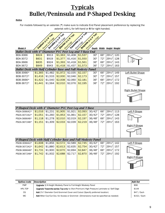# **Typicals Bullet/Peninsula and P-Shaped Desking**

#### *Notice*

For models followed by an asterisk (\*) make sure to indicate End Panel placement preference by replacing the asterisk with L for left-hand or R for right-handed.

|                                                                   |         | Vastron (21/8'Ton)  | Arcadia (1.218' Top) | Glacier (25/8° TON | Vosemite (23/4 rap | Sexuola (23) At Top) |     |                           |     |                           |
|-------------------------------------------------------------------|---------|---------------------|----------------------|--------------------|--------------------|----------------------|-----|---------------------------|-----|---------------------------|
|                                                                   |         | Relations Cast Edge | Register Proceduse   |                    |                    | Reidenburger Kide    |     |                           |     |                           |
| Model #                                                           |         |                     |                      |                    |                    |                      |     | Depth Width Height Weight |     |                           |
| <b>Bullet Desk with 4" Diameter PVC Post Leg and T-Base End</b>   |         |                     |                      |                    |                    |                      |     |                           |     |                           |
| <b>BDA-3066</b>                                                   | \$824   | \$913               | \$1,363              | \$1,408            | \$1,537            | 30"                  | 66" | 291/2"                    | 120 |                           |
| BDA-3072                                                          | \$831   | \$919               | \$1,377              | \$1,416            | \$1,550            | 30"                  | 72" | 291/2"                    | 128 |                           |
| <b>BDA-3666</b>                                                   | \$835   | \$924               | \$1,393              | \$1,418            | \$1,561            | 36"                  | 66" | 291/2"                    | 143 |                           |
| BDA-3672                                                          | \$849   | \$943               | \$1,418              | \$1,437            | \$1,573            | 36"                  | 72" | 291/2"                    | 163 |                           |
| <b>Bullet Desk with Half Cylinder Base and Full Modesty Panel</b> |         |                     |                      |                    |                    |                      |     |                           |     |                           |
| BDB-3066*                                                         | \$1,365 | \$1,482             | \$1,972              | \$2,035            | \$2,157            | 30"                  | 66" | 291/2"                    | 149 | Left Bullet Shape         |
| BDB-3072*                                                         | \$1,416 | \$1,533             | \$2,000              | \$2,046            | \$2,173            | 30"                  | 72" | 291/2"                    | 157 |                           |
| BDB-3666*                                                         | \$1,422 | \$1,540             | \$2,008              | \$2,060            | \$2,181            | 36"                  | 66" | 291/2"                    | 172 |                           |
| BDB-3672*                                                         | \$1,441 | \$1,564             | \$2,010              | \$2,076            | \$2,195            | 36"                  | 72" | 291/2"                    | 192 |                           |
|                                                                   |         |                     |                      |                    |                    |                      |     |                           |     | <b>Right Bullet Shape</b> |
|                                                                   |         |                     |                      |                    |                    |                      |     |                           |     |                           |
|                                                                   |         |                     |                      |                    |                    |                      |     |                           |     |                           |
|                                                                   |         |                     |                      |                    |                    |                      |     |                           |     |                           |
| P-Shaped Desk with 4" Diameter PVC Post Leg and T-Base            |         |                     |                      |                    |                    |                      |     |                           |     |                           |
| PSDA-306642*                                                      | \$1,016 | \$1,231             | \$1,905              | \$1,921            | \$2,093            | 30/42"               | 66" | 291/2"                    | 113 | Left P-Shape              |
|                                                                   |         |                     |                      |                    |                    |                      |     |                           |     |                           |
| PSDA-307242*                                                      | \$1,051 | \$1,260             | \$1,953              | \$1,961            | \$2,157            | 30/42"               | 72" | 291/2"                    | 128 |                           |
| PSDA-366648*                                                      | \$1,118 | \$1,278             | \$2,010              | \$2,019            | \$2,197            | 36/48"               | 66" | 291/2"                    | 143 |                           |
| PSDA-367248*                                                      | \$1,151 | \$1,309             | \$2,033              | \$2,039            | \$2,219            | 36/48"               | 72" | 291/2"                    | 163 |                           |
|                                                                   |         |                     |                      |                    |                    |                      |     |                           |     | Right P-Shape             |
|                                                                   |         |                     |                      |                    |                    |                      |     |                           |     |                           |
|                                                                   |         |                     |                      |                    |                    |                      |     |                           |     |                           |
| P-Shaped Desk with Half Cylinder Base and Full Modesty Panel      |         |                     |                      |                    |                    |                      |     |                           |     |                           |
| PSDB-306642*                                                      | \$1,608 | \$1,856             | \$2,572              | \$2,589            | \$2,745            | 30/42"               | 66" | 291/2"                    | 142 | Left P-Shape              |
| PSDB-307242*                                                      | \$1,642 | \$1,880             | \$2,613              | \$2,635            | \$2,754            | 30/42"               | 72" | 291/2"                    | 157 |                           |
| PSDB-366648*                                                      | \$1,731 | \$1,900             | \$2,670              | \$2,694            | \$2,847            | 36/48"               | 66" | 291/2"                    | 172 |                           |
| PSDB-367248*                                                      | \$1,742 | \$1,932             | \$2,688              | \$2,717            | \$2,870            | 36/48"               | 72" | 291/2"                    | 192 |                           |
|                                                                   |         |                     |                      |                    |                    |                      |     |                           |     | <b>Right P-Shape</b>      |
|                                                                   |         |                     |                      |                    |                    |                      |     |                           |     |                           |

| Option/code | Description                                                                                  | Add list     |
|-------------|----------------------------------------------------------------------------------------------|--------------|
| <b>FMP</b>  | <b>Upgrade</b> 3/4-Height Modesty Panel to Full-Height Modesty Panel                         | \$96         |
| HPL-TOP     | <b>Upgrade Yosemite-series Top-only</b> to (Non-Premium) High Pressure Laminate w/ Self Edge | \$144        |
| CG          | Add 2½" Diameter Cord Grommet Cover and Cutout (Specify preferred location)                  | $$47 /$ Each |
| MC.         | Add Miter Cut/Cut Out, for Access or Grommet (Dimensions must be specified as needed)        | \$152 / Each |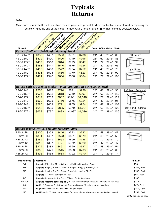# **Typicals Returns**

#### *Notice*

Make sure to indicate the side on which the end panel and pedestal (where applicable) are preferred by replacing the asterisk (\*) at the end of the model number with L for left-hand or R for right-hand as depicted below.

|                                                                     |                    | Vastron (21/8'Ton)                                       | Arcadia (11/18' Top) | Glacier (ch/st rap) | Yosentiers, 14 river                                                                         | Sequais 4.31 at Top) |     |                           |     |                            |
|---------------------------------------------------------------------|--------------------|----------------------------------------------------------|----------------------|---------------------|----------------------------------------------------------------------------------------------|----------------------|-----|---------------------------|-----|----------------------------|
|                                                                     |                    | Region - Sex Edge                                        | Region of Crickles   |                     |                                                                                              | Review Woodcase      |     |                           |     |                            |
|                                                                     |                    |                                                          |                      |                     |                                                                                              |                      |     |                           |     |                            |
| Model #                                                             |                    |                                                          |                      |                     |                                                                                              |                      |     | Depth Width Height Weight |     |                            |
| Return Shell with 3/4-Height Modesty Panel                          |                    |                                                          |                      |                     |                                                                                              |                      |     |                           |     |                            |
| RS-0-2148*                                                          | \$380              | \$437                                                    | \$556                | \$701               | \$736                                                                                        | 21"                  | 48" | $29\frac{1}{2}$ "         | 66  | Left Return                |
| RS-0-2160*                                                          | \$422              | \$490                                                    | \$600                | \$749               | \$796                                                                                        | 21"                  | 60" | 291/2"                    | 83  |                            |
| RS-0-2172*                                                          | \$437              | \$510                                                    | \$644                | \$799               | \$847                                                                                        | 21"                  | 72" | 291/2"                    | 99  |                            |
| RS-0-2442*                                                          | \$388              | \$447                                                    | \$540                | \$675               | \$724                                                                                        | 24"                  | 42" | 291/2"                    | 66  |                            |
| RS-0-2448*                                                          | \$403              | \$460                                                    | \$572                | \$704               | \$752                                                                                        | 24"                  | 48" | 291/2"                    | 73  | <b>Right Return</b>        |
| RS-0-2460*                                                          | \$436              | \$503                                                    | \$616                | \$770               | \$823                                                                                        | 24"                  | 60" | 291/2"                    | 90  |                            |
| RS-0-2472*                                                          | \$471              | \$546                                                    | \$664                | \$836               | \$884                                                                                        | 24"                  | 72" | 291/2"                    | 106 |                            |
|                                                                     |                    |                                                          |                      |                     |                                                                                              |                      |     |                           |     |                            |
|                                                                     |                    |                                                          |                      |                     |                                                                                              |                      |     |                           |     |                            |
| Return with 3/4-Height Modesty Panel and Built-In Box/File Pedestal |                    |                                                          |                      |                     |                                                                                              |                      |     |                           |     |                            |
| RS-2-2148*                                                          | \$563              | \$629                                                    | \$774                | \$891               | \$936                                                                                        | 24"                  | 48" | 291/2"                    | 96  | Left-hand Pedestal         |
| RS-2-2160*                                                          | \$605              | \$682                                                    | \$818                | \$950               | \$997                                                                                        | 24"                  | 60" | 291/2"                    | 113 |                            |
| RS-2-2172*                                                          | \$619              | \$702                                                    | \$862                | \$1,001             | \$1,048                                                                                      | 24"                  | 72" | 291/2"                    | 129 |                            |
| RS-2-2442*                                                          | \$560              | \$625                                                    | \$760                | \$876               | \$924                                                                                        | 24"                  | 42" | 291/2"                    | 95  |                            |
| RS-2-2448*                                                          | \$585              | \$652                                                    | \$791                | \$905               | \$954                                                                                        | 24"                  | 48" | 291/2"                    | 103 |                            |
| RS-2-2460*                                                          | \$618              | \$695                                                    | \$835                | \$970               | \$1,024                                                                                      | 24"                  | 60" | 291/2"                    | 120 | <b>Right-hand Pedestal</b> |
| RS-2-2472*                                                          | \$653              | \$737                                                    | \$883                | \$1,037             | \$1,086                                                                                      | 24"                  | 72" | 291/2"                    | 136 |                            |
|                                                                     |                    |                                                          |                      |                     |                                                                                              |                      |     |                           |     |                            |
|                                                                     |                    |                                                          |                      |                     |                                                                                              |                      |     |                           |     |                            |
|                                                                     |                    |                                                          |                      |                     |                                                                                              |                      |     |                           |     |                            |
| Return Bridge with 3/4-Height Modesty Panel                         |                    |                                                          |                      |                     |                                                                                              |                      |     |                           |     |                            |
| RBS-2148                                                            | \$300              | \$353                                                    | \$446                | \$572               | \$622                                                                                        | 24"                  | 48" | 291/2"                    | 47  |                            |
| RBS-2160                                                            | \$351              | \$407                                                    | \$523                | \$631               | \$679                                                                                        | 24"                  | 60" | 291/2"                    | 59  |                            |
| RBS-2172                                                            | \$382              | \$441                                                    | \$568                | \$699               | \$748                                                                                        | 24"                  | 72" | 291/2"                    | 70  |                            |
| RBS-2442                                                            | \$315              | \$367                                                    | \$471                | \$572               | \$620                                                                                        | 24"                  | 42" | 291/2"                    | 47  |                            |
| RBS-2448                                                            | \$329              | \$383                                                    | \$491                | \$590               | \$637                                                                                        | 24"                  | 48" | 291/2"                    | 51  |                            |
| RBS-2460                                                            | \$365              | \$421                                                    | \$545                | \$688               | \$703                                                                                        | 24"                  | 60" | 291/2"                    | 63  |                            |
| RBS-2472                                                            | \$395              | \$455                                                    | \$584                | \$722               | \$770                                                                                        | 24"                  | 72" | $29\frac{1}{2}$ "         | 74  |                            |
|                                                                     |                    |                                                          |                      |                     |                                                                                              |                      |     |                           |     |                            |
| Option/code                                                         | <b>Description</b> |                                                          |                      |                     |                                                                                              |                      |     |                           |     | <b>Add List</b>            |
| <b>FMP</b>                                                          |                    |                                                          |                      |                     | <b>Upgrade</b> 3/4-Height Modesty Panel to Full-Height Modesty Panel                         |                      |     |                           |     | \$96                       |
| <b>BIB</b>                                                          |                    |                                                          |                      |                     | <b>Upgrade</b> Hanging Box/File Drawer Storage to Hanging Box/Box/File                       |                      |     |                           |     | $$152 /$ Each              |
| <b>BIF</b>                                                          |                    |                                                          |                      |                     | <b>Upgrade</b> Hanging Box/File Drawer Storage to Hanging File/File                          |                      |     |                           |     | \$152 / Each               |
| L                                                                   |                    | Upgrade (1) Drawer Storage with Lock                     |                      |                     |                                                                                              |                      |     |                           |     | \$85 / Each                |
| BT                                                                  |                    |                                                          |                      |                     | <b>Upgrade</b> Surface with Bow Front, 6" Deep Center Overhang                               |                      |     |                           |     | \$167                      |
| HPL-TOP                                                             |                    |                                                          |                      |                     | Upgrade Yosemite-series Top-only to (Non-Premium) High Pressure Laminate w/ Self Edge        |                      |     |                           |     | \$144                      |
| СG                                                                  |                    |                                                          |                      |                     | Add 2½" Diameter Cord Grommet Cover and Cutout (Specify preferred location)                  |                      |     |                           |     | $$47 /$ Each               |
| <b>RAD</b>                                                          |                    | <b>Add</b> Radius Inside Corner or Radius End to Surface |                      |                     |                                                                                              |                      |     |                           |     | $$152 /$ Each              |
| MC                                                                  |                    |                                                          |                      |                     | <b>Add</b> Miter Cut/Cut Out, for Access or Grommet (Dimensions must be specified as needed) |                      |     |                           |     | $$152 /$ Each              |
|                                                                     |                    |                                                          |                      |                     |                                                                                              |                      |     |                           |     | Continued on next page     |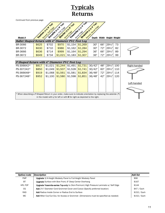|                                                                                                                                                                                                                 |       |                                                                                |         |         | <b>Typicals</b> |        |     |        |     |              |  |  |
|-----------------------------------------------------------------------------------------------------------------------------------------------------------------------------------------------------------------|-------|--------------------------------------------------------------------------------|---------|---------|-----------------|--------|-----|--------|-----|--------------|--|--|
| <b>Returns</b>                                                                                                                                                                                                  |       |                                                                                |         |         |                 |        |     |        |     |              |  |  |
| Continued from previous page                                                                                                                                                                                    |       |                                                                                |         |         |                 |        |     |        |     |              |  |  |
| Yosenite (1) /4 Top<br>Septols (33) A TOP<br>Arcadia 12-1 8 Top<br>Vashon (21/8' Ton)<br>Glacier (2518-Ton)<br>Reveal, Wood Edge<br>Realist PLG Edge<br>Review Set Edge<br>Model #<br>Depth Width Height Weight |       |                                                                                |         |         |                 |        |     |        |     |              |  |  |
| <b>Bullet Shaped Return with 4" Diameter PVC Post Leg</b>                                                                                                                                                       |       |                                                                                |         |         |                 |        |     |        |     |              |  |  |
| <b>BR-3066</b>                                                                                                                                                                                                  | \$625 | \$702                                                                          | \$970   | \$1,154 | \$1,269         | 30"    | 66" | 291/2" | 73  |              |  |  |
| BR-3072                                                                                                                                                                                                         | \$630 | \$710                                                                          | \$986   | \$1,162 | \$1,284         | 30"    | 72" | 291/2" | 82  |              |  |  |
| BR-3666                                                                                                                                                                                                         | \$636 | \$714                                                                          | \$999   | \$1,164 | \$1,294         | 36"    | 66" | 291/2" | 89  |              |  |  |
| BR-3672                                                                                                                                                                                                         | \$649 | \$734                                                                          | \$1,021 | \$1,183 | \$1,307         | 36"    | 72" | 291/2" | 99  |              |  |  |
|                                                                                                                                                                                                                 |       |                                                                                |         |         |                 |        |     |        |     |              |  |  |
| P-Shaped Return with 4" Diameter PVC Post Leg                                                                                                                                                                   |       |                                                                                |         |         |                 |        |     |        |     |              |  |  |
| PS-306642*                                                                                                                                                                                                      | \$817 | \$1,021                                                                        | \$1,244 | \$1,491 | \$1,731         | 30/42" | 48" | 291/2" | 100 | Right-handed |  |  |
| PS-307242*                                                                                                                                                                                                      | \$850 | \$1,049                                                                        | \$1,507 | \$1,528 | \$1,741         | 30/42" | 60" | 291/2" | 110 |              |  |  |
| PS-366648*                                                                                                                                                                                                      | \$919 | \$1,068                                                                        | \$1,561 | \$1,581 | \$1,834         | 36/48" | 72" | 291/2" | 114 |              |  |  |
| PS-367248*                                                                                                                                                                                                      | \$952 | \$1,100                                                                        | \$1,580 | \$1,598 | \$1,851         | 36/48" | 42" | 291/2" | 120 |              |  |  |
|                                                                                                                                                                                                                 |       |                                                                                |         |         |                 |        |     |        |     |              |  |  |
|                                                                                                                                                                                                                 |       |                                                                                |         |         |                 |        |     |        |     | Left-handed  |  |  |
|                                                                                                                                                                                                                 |       |                                                                                |         |         |                 |        |     |        |     |              |  |  |
|                                                                                                                                                                                                                 |       |                                                                                |         |         |                 |        |     |        |     |              |  |  |
| * When describing a P-Shaped Return in your order, make sure to indicate orientation by replacing the asterisk (*)                                                                                              |       | in the model with $L$ for left or with $R$ for right as depicted to the right. |         |         |                 |        |     |        |     |              |  |  |

| Option/code | Description                                                                           | Add list     |
|-------------|---------------------------------------------------------------------------------------|--------------|
| <b>FMP</b>  | <b>Upgrade</b> 3/4-Height Modesty Panel to Full-Height Modesty Panel                  | \$96         |
| BT          | <b>Upgrade</b> Surface with Bow Front, 6" Deep Center Overhang                        | \$167        |
| HPL-TOP     | Upgrade Yosemite-series Top-only to (Non-Premium) High Pressure Laminate w/ Self Edge | \$144        |
| CG          | Add 2½" Diameter Cord Grommet Cover and Cutout (Specify preferred location)           | $$47 /$ Each |
| <b>RAD</b>  | <b>Add</b> Radius Inside Corner or Radius End to Surface                              | \$152 / Each |
| MC.         | Add Miter Cut/Cut Out, for Access or Grommet (Dimensions must be specified as needed) | \$152 / Each |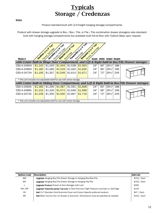# **Typicals Storage / Credenzas**

#### *Notice*

Product standard-built with 3/4-height hanging storage/compartments.

Product with drawer storage upgrade to Box / Box / File, or File / File combination drawer storage(s) also standardbuilt with hanging storage/compartments but available built full-to-floor with Toekick Base upon request.

| Model #                                                                |         | Vaston (24)s'Ton<br>Regies 5 Set Ecds | Arcadia (11/8' Top)<br>Realise Principles | Glacier (21) Bi Top | Yosenite (1.2) at Top<br>Wood Edge | Sequoia (3.3) At Top<br>Reveal, wood Edge | Width | Height Weight     |     |                                                                                                   |
|------------------------------------------------------------------------|---------|---------------------------------------|-------------------------------------------|---------------------|------------------------------------|-------------------------------------------|-------|-------------------|-----|---------------------------------------------------------------------------------------------------|
|                                                                        |         |                                       |                                           |                     |                                    |                                           |       |                   |     | with Center built-in Hinge Door Compartment, and Left & Right built-in Box/File Drawer storages   |
| CSD-4-2460H                                                            | \$1,142 | \$1,245                               | \$1,444                                   | \$1,538             | \$1,563                            | 24"                                       | 60"   | $29\frac{1}{2}$ " | 188 |                                                                                                   |
| CSD-4-2466H                                                            | \$1,180 | \$1,285                               | \$1,529                                   | \$1,592             | \$1,656                            | 24"                                       | 66"   | 291/2"            | 196 |                                                                                                   |
| CSD-4-2472H                                                            | \$1,195 | \$1,307                               | \$1,549                                   | \$1,614             | \$1,671                            | 24"                                       | 72"   | 291/2"            | 204 |                                                                                                   |
| * This unit includes one adjustable shelf for use with center storage. |         |                                       |                                           |                     |                                    |                                           |       |                   |     |                                                                                                   |
|                                                                        |         |                                       |                                           |                     |                                    |                                           |       |                   |     | with Center built-in Sliding Door Compartment, and Left & Right built-in Box/File Drawer storages |
| CSD-4-2460S                                                            | \$1,185 | \$1,290                               | \$1,487                                   | \$1,591             | \$1,608                            | 24"                                       | 60"   | $29\frac{1}{2}$ " | 188 |                                                                                                   |
| CSD-4-2466S                                                            | \$1,222 | \$1,330                               | \$1,572                                   | \$1,646             | \$1,698                            | 24"                                       | 66"   | $29\frac{1}{2}$ " | 196 |                                                                                                   |
| CSD-4-2472S                                                            | \$1,236 | \$1,350                               | \$1,592                                   | \$1,667             | \$1,716                            | 24"                                       | 72"   | 291/2"            | 204 |                                                                                                   |
| * This unit includes one adjustable shelf for use with center storage. |         |                                       |                                           |                     |                                    |                                           |       |                   |     |                                                                                                   |

| Option/code | Description                                                                           | Add List      |
|-------------|---------------------------------------------------------------------------------------|---------------|
| <b>BIB</b>  | <b>Upgrade</b> Hanging Box/File Drawer Storage to Hanging Box/Box/File                | \$152 / Each  |
| <b>BIF</b>  | <b>Upgrade</b> Hanging Box/File Drawer Storage to Hanging File/File                   | $$152 /$ Each |
|             | <b>Upgrade Product</b> Drawer & Door Storages with Lock                               | \$262         |
| HPL-TOP     | Upgrade Yosemite-series Top-only to (Non-Premium) High Pressure Laminate w/ Self Edge | \$144         |
| CG          | <b>Add</b> 2½" Diameter Cord Grommet Cover and Cutout (Specify preferred location)    | $$47 /$ Each  |
| MC.         | Add Miter Cut/Cut Out, for Access or Grommet (Dimensions must be specified as needed) | $$152 /$ Each |
|             |                                                                                       |               |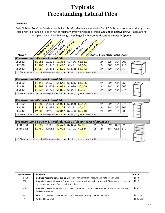# **Typicals Freestanding Lateral Files**

#### *Description*

*Model #*

Fully Finished Top-Over Construction, built-in Anti-Tip Mechanism, and with Two #7 Pulls per drawer face; strictly to be used with File Hanging Rods at risk of voiding Warranty unless reinforced (see option below). Drawer Faces are not compatible with Side Pull design, See Page 63 for standard surface hardware Options.

| <b>14 TOP!</b><br>TOP<br>$\sim 10^{6}$<br><b>18 TOD1</b><br><b>18 TOP</b><br>10:<br>తో<br>Edge                                                                                                                                            |                  |
|-------------------------------------------------------------------------------------------------------------------------------------------------------------------------------------------------------------------------------------------|------------------|
| Wood Edge<br><b>CED</b> 88<br><b>TOSEMIE (S.2)</b><br>Sequoia (x.3).<br>Vashon (2.2)<br>$\mathbf{v}^{\mathbf{y}}$<br>$\mathbf{v}^{\mathbf{v}}$<br>Sett<br>$\delta^{\sqrt{\mathcal{C}}}$<br>Wood Edge<br>Wood Edge<br>Arcadia L<br>Glacier |                  |
| Reveal.<br>Reveal.<br>Reveal.<br><b>Shelves</b>                                                                                                                                                                                           | Weight<br>Height |
| ng 2-Drawer I ateral File                                                                                                                                                                                                                 |                  |

| <b>Freestanding 2-Drawer Lateral File</b>                                                   |  |  |                                                                                            |  |  |  |     |     |     |      |  |  |
|---------------------------------------------------------------------------------------------|--|--|--------------------------------------------------------------------------------------------|--|--|--|-----|-----|-----|------|--|--|
| LF-2-32                                                                                     |  |  | \$1,081 \$1,228 \$1,388 \$1,436 \$1,511                                                    |  |  |  | 24" | 32" | 30" | -200 |  |  |
| LF-2-38                                                                                     |  |  | <mark>  \$1,165  </mark> \$1,346 <mark>  \$1,426  </mark> \$1,481 <mark>  \$1,634  </mark> |  |  |  | 24" | 38" | 30" | -210 |  |  |
| LF-2-42                                                                                     |  |  | $$1,260$ $$1,451$ $$1,575$ $$1,638$ $$1,763$                                               |  |  |  | 24" | 42" | 30" | 218  |  |  |
| * Glacier series of this unit will be produced at an additional 1/2" greater overall width. |  |  |                                                                                            |  |  |  |     |     |     |      |  |  |

| <b>Freestanding 3-Drawer Lateral File</b>                                                   |  |  |  |  |                                                                                           |  |     |      |     |     |  |  |
|---------------------------------------------------------------------------------------------|--|--|--|--|-------------------------------------------------------------------------------------------|--|-----|------|-----|-----|--|--|
| LF-3-32                                                                                     |  |  |  |  | <u> \$1,417   \$1,526   \$1,548   \$1,625   \$1,686  </u>                                 |  | 24" | っつ " | 43" | 250 |  |  |
| LF-3-38                                                                                     |  |  |  |  | <mark>│\$1,493</mark>   \$1,608   <mark>\$1,639  </mark> \$1,689 <mark>  \$2,000  </mark> |  | 24" | 38"  | 43" | 262 |  |  |
| \$1,636 \$1,765 \$1,862 \$1,924 \$2,194<br>24"<br>43"<br>42"<br>LF-3-42<br>274              |  |  |  |  |                                                                                           |  |     |      |     |     |  |  |
| * Glacier series of this unit will be produced at an additional 1/2" greater overall width. |  |  |  |  |                                                                                           |  |     |      |     |     |  |  |

| <b>Freestanding 4-Drawer Lateral File</b>                                                                   |         |  |                                                                   |  |  |  |     |     |     |     |  |  |
|-------------------------------------------------------------------------------------------------------------|---------|--|-------------------------------------------------------------------|--|--|--|-----|-----|-----|-----|--|--|
| $LF-4-32$                                                                                                   |         |  | <u>\$1,683   \$1,801   \$1,924   \$2,020   \$2,191  </u>          |  |  |  | 24" | つつ= | 56" | 275 |  |  |
| LF-4-38                                                                                                     | \$1.817 |  | \$1,999   <mark>\$2,124  </mark> \$2,231   <mark>\$2,452  </mark> |  |  |  | 24" | 38" | 56" | 306 |  |  |
| \$2,209   \$2,347  <br>  \$2,466 <mark>  \$2,710  </mark><br>338<br>\$2.008<br>42"<br>24"<br>56"<br>LF-4-42 |         |  |                                                                   |  |  |  |     |     |     |     |  |  |
| * Glacier series of this unit will be produced at an additional 1/2" greater overall width.                 |         |  |                                                                   |  |  |  |     |     |     |     |  |  |

| <b>Freestanding 2-Drawer Lateral File with 16" deep Recessed Bookcase</b>                   |         |  |  |  |                                                                                |   |     |     |                         |  |  |
|---------------------------------------------------------------------------------------------|---------|--|--|--|--------------------------------------------------------------------------------|---|-----|-----|-------------------------|--|--|
| <b>LFRB-2-60</b>                                                                            | \$1.727 |  |  |  | \$1,936 <mark>  \$2,479  </mark> \$2,604 <mark>  \$2,677</mark>                |   | 24" | 32" | 60½"  320               |  |  |
| <b>LFRB-2-72</b>                                                                            | \$1.782 |  |  |  | <sup> </sup> \$2,086 <mark>  \$2,592  </mark> \$2,721 <mark>  \$2,884  </mark> | 2 | 24" | 38" | 721/ <sub>2</sub> " 371 |  |  |
|                                                                                             |         |  |  |  |                                                                                |   |     |     |                         |  |  |
|                                                                                             |         |  |  |  |                                                                                |   |     |     |                         |  |  |
| * Glacier series of this unit will be produced at an additional 1/2" greater overall width. |         |  |  |  |                                                                                |   |     |     |                         |  |  |

| Option/code | Description                                                                                                                                               | <b>Add List</b> |
|-------------|-----------------------------------------------------------------------------------------------------------------------------------------------------------|-----------------|
| HPL-TOP     | <b>Upgrade Yosemite-series Top-only</b> to (Non-Premium) High Pressure Laminate w/ Self Edge                                                              | \$144           |
| <b>GDL</b>  | <b>Upgrade Drawers</b> with Gang Drawer Lock system, which locks all drawers with Single key and prevents<br>more than one drawer from opening at a time. | \$216           |
| <b>RDB</b>  | <b>Upgrade Drawers</b> with Reinforced Drawer Blocks, which reinforces drawers for use without File Hanging<br>Rods (in warranty).                        | \$430           |
| CG          | <b>Add</b> 2½" Diameter Cord Grommet Cover and Cutout (Specify preferred location)                                                                        | $$47 /$ Each    |
| S           | <b>Add</b> Additional Shelf                                                                                                                               | \$86 / Each     |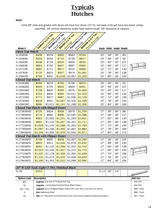# **Typicals Hutches**

#### *Notice*

Units 48" wide and greater with doors will have four doors (15" H), narrower units will have two doors unless specified. 19" vertical clearance under fixed bottom-shelf, 18" clearance at valance.

|                                            |         | Vastron cr. 18 rap<br>Reiden Sex Edge | Arcadia (11/18 Ton)<br>Redeem Prickles | Glacier (317/8° TON | Vosemite (1.1) Ai Told | Sequais 1/3/18 Top)<br>Replacement of Children |              |     |                            |     |  |
|--------------------------------------------|---------|---------------------------------------|----------------------------------------|---------------------|------------------------|------------------------------------------------|--------------|-----|----------------------------|-----|--|
|                                            |         |                                       |                                        |                     |                        |                                                |              |     |                            |     |  |
|                                            |         |                                       |                                        |                     |                        |                                                |              |     |                            |     |  |
| Model #                                    |         |                                       |                                        |                     |                        |                                                | <u>Depth</u> |     | <u>Width Height Weight</u> |     |  |
| <b>Open Top Hutch</b>                      |         |                                       |                                        |                     |                        |                                                |              |     |                            |     |  |
| H-153636                                   | \$508   | \$578                                 | \$650                                  | \$683               | \$744                  |                                                | 15"          | 36" | 36"                        | 83  |  |
| H-154836                                   | \$559   | \$634                                 | \$714                                  | \$749               | \$817                  |                                                | 15"          | 48" | 36"                        | 92  |  |
| H-156036                                   | \$638   | \$724                                 | \$815                                  | \$856               | \$933                  |                                                | 15"          | 60" | 36"                        | 107 |  |
| H-156636                                   | \$663   | \$750                                 | \$847                                  | \$887               | \$966                  |                                                | 15"          | 66" | 36"                        | 117 |  |
| H-157236                                   | \$681   | \$771                                 | \$871                                  | \$915               | \$998                  |                                                | 15"          | 72" | 36"                        | 130 |  |
| H-157836                                   | \$725   | \$823                                 | \$927                                  | \$974               | \$1,061                |                                                | 15"          | 78" | 36"                        | 138 |  |
| H-158436                                   | \$794   | \$901                                 | \$1,016                                | \$1,067             | \$1,163                |                                                | 15"          | 84" | 36"                        | 150 |  |
| <b>Closed Top Hutch</b>                    |         |                                       |                                        |                     |                        |                                                |              |     |                            |     |  |
| H-153636C                                  | \$594   | \$674                                 | \$760                                  | \$799               | \$870                  |                                                | 15"          | 36" | 36"                        | 92  |  |
| H-154836C                                  | \$645   | \$729                                 | \$823                                  | \$864               | \$941                  |                                                | 15"          | 48" | 36"                        | 107 |  |
| H-156036C                                  | \$728   | \$826                                 | \$930                                  | \$976               | \$1,064                |                                                | 15"          | 60" | 36"                        | 117 |  |
| H-156636C                                  | \$752   | \$854                                 | \$963                                  | \$1,011             | \$1,102                |                                                | 15"          | 66" | 36"                        | 130 |  |
| H-157236C                                  | \$771   | \$877                                 | \$987                                  | \$1,036             | \$1,129                |                                                | 15"          | 72" | 36"                        | 138 |  |
| H-157836C                                  | \$818   | \$931                                 | \$1,047                                | \$1,100             | \$1,199                |                                                | 15"          | 78" | 36"                        | 150 |  |
| H-158436C                                  | \$890   | \$1,012                               | \$1,141                                | \$1,198             | \$1,306                |                                                | 15"          | 84" | 36"                        | 166 |  |
| <b>Closed Top Hutch with Hinged Doors</b>  |         |                                       |                                        |                     |                        |                                                |              |     |                            |     |  |
| H-173636HD                                 | \$725   | \$824                                 | \$928                                  | \$975               | \$1,254                |                                                | 17"          | 36" | 36"                        | 98  |  |
| H-174836HD                                 | \$778   | \$882                                 | \$996                                  | \$1,045             | \$1,388                |                                                | 17"          | 48" | 36"                        | 117 |  |
| H-176036HD                                 | \$963   | \$1,092                               | \$1,231                                | \$1,293             | \$1,651                |                                                | 17"          | 60" | 36"                        | 130 |  |
| H-176636HD                                 | \$991   | \$1,124                               | \$1,267                                | \$1,331             | \$1,717                |                                                | 17"          | 66" | 36"                        | 138 |  |
| H-177236HD                                 | \$1,005 | \$1,142                               | \$1,288                                | \$1,353             | \$1,783                |                                                | 17"          | 72" | 36"                        | 150 |  |
| H-177836HD                                 | \$1,087 | \$1,236                               | \$1,392                                | \$1,461             | \$1,883                |                                                | 17"          | 78" | 36"                        | 166 |  |
| H-178436HD                                 | \$1,154 | \$1,306                               | \$1,476                                | \$1,550             | \$1,971                |                                                | 17"          | 84" | 36"                        | 172 |  |
| <b>Closed Top Hutch with Flipper Doors</b> |         |                                       |                                        |                     |                        |                                                |              |     |                            |     |  |
| H-173636FD                                 | \$748   | \$850                                 | \$958                                  | \$1,007             | \$1,295                |                                                | 17"          | 36" | 36"                        | 105 |  |
| H-174836FD                                 | \$802   | \$911                                 | \$1,026                                | \$1,078             | \$1,432                |                                                | 17"          | 48" | 36"                        | 130 |  |
| H-176036FD                                 | \$992   | \$1,125                               | \$1,269                                | \$1,333             | \$1,703                |                                                | 17"          | 60" | 36"                        | 138 |  |
| H-176636FD                                 | \$1,022 | \$1,159                               | \$1,307                                | \$1,372             | \$1,770                |                                                | 17"          | 66" | 36"                        | 150 |  |
| H-177236FD                                 | \$1,037 | \$1,178                               | \$1,328                                | \$1,394             | \$1,839                |                                                | 17"          | 72" | 36"                        | 166 |  |
| H-177836FD                                 | \$1,121 | \$1,273                               | \$1,434                                | \$1,506             | \$1,942                |                                                | 17"          | 78" | 36"                        | 172 |  |
| H-178436FD                                 | \$1,190 | \$1,351                               | \$1,522                                | \$1,598             | \$1,990                |                                                | 17"          | 84" | 36"                        | 194 |  |
|                                            |         |                                       |                                        |                     |                        |                                                |              |     |                            |     |  |

| 20" W LED Task Light (7.5W), Finished Black |                                                                                    |                                                       |  |  |  |                                                                               |     |      |             |  |  |  |
|---------------------------------------------|------------------------------------------------------------------------------------|-------------------------------------------------------|--|--|--|-------------------------------------------------------------------------------|-----|------|-------------|--|--|--|
| TL-20                                       | \$153                                                                              |                                                       |  |  |  | $2 - 1/3$ "                                                                   | 20" | 7/8" |             |  |  |  |
|                                             |                                                                                    |                                                       |  |  |  |                                                                               |     |      |             |  |  |  |
| Option/code                                 |                                                                                    | Description                                           |  |  |  |                                                                               |     |      |             |  |  |  |
| <b>BET</b>                                  |                                                                                    | <b>Upgrade</b> Unit with 6" H Book-End Top            |  |  |  |                                                                               |     |      |             |  |  |  |
| <b>FB</b>                                   |                                                                                    | <b>Upgrade</b> - Laminated/Finished Back (Both Sides) |  |  |  |                                                                               |     |      | Add 25%     |  |  |  |
| HDL / FDL                                   |                                                                                    |                                                       |  |  |  | <b>Upgrade</b> Set of Hinged/Flipper Doors with Lock (One Lock per two doors) |     |      | \$86 / Each |  |  |  |
| S                                           |                                                                                    | <b>Add</b> Additional Shelf                           |  |  |  |                                                                               |     |      |             |  |  |  |
| CG                                          | <b>Add</b> 2½" Diameter Cord Grommet Cover and Cutout (Specify preferred location) | $$47 /$ Each                                          |  |  |  |                                                                               |     |      |             |  |  |  |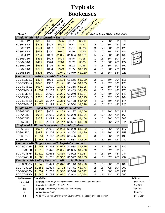### **Typicals Bookcases**

|                                                          |                    | Vastron (1/2) er ron                                  | Arcadia (1.1/8) Top | Glacier (218'Ton) | Vosemite (11/4 rap)                                                   | Sexuoida (3-3) Ri Tool            |                                                                                                         |     |     |     |                             |  |  |  |  |  |
|----------------------------------------------------------|--------------------|-------------------------------------------------------|---------------------|-------------------|-----------------------------------------------------------------------|-----------------------------------|---------------------------------------------------------------------------------------------------------|-----|-----|-----|-----------------------------|--|--|--|--|--|
|                                                          |                    | Region Sex Edge                                       | Register Processes  |                   |                                                                       | Reidenburger Kide                 |                                                                                                         |     |     |     |                             |  |  |  |  |  |
|                                                          |                    |                                                       |                     |                   |                                                                       |                                   |                                                                                                         |     |     |     |                             |  |  |  |  |  |
|                                                          |                    |                                                       |                     |                   |                                                                       |                                   |                                                                                                         |     |     |     |                             |  |  |  |  |  |
| Model #<br>Single Width with Adjustable Shelves          |                    |                                                       |                     |                   |                                                                       | Shelves Depth Width Height Weight |                                                                                                         |     |     |     |                             |  |  |  |  |  |
| BC-3630-12                                               | \$360              | \$436                                                 | \$585               | \$601             | \$680                                                                 | 1                                 | 12"                                                                                                     | 36" | 30" | 69  |                             |  |  |  |  |  |
| BC-3648-12                                               | \$418              | \$495                                                 | \$658               | \$677             | \$752                                                                 | 2                                 | 12"                                                                                                     | 36" | 48" | 95  |                             |  |  |  |  |  |
| BC-3660-12                                               | \$571              | \$662                                                 | \$782               | \$807             | \$878                                                                 | 3                                 | 12"                                                                                                     | 36" | 60" | 120 |                             |  |  |  |  |  |
| BC-3672-12                                               | \$693              | \$800                                                 | \$917               | \$949             | \$950                                                                 | 4                                 | 12"                                                                                                     | 36" | 72" | 144 |                             |  |  |  |  |  |
| BC-3684-12                                               | \$784              | \$899                                                 | \$1,038             | \$1,054           | \$1,071                                                               | 5                                 | 12"                                                                                                     | 36" | 84" | 163 |                             |  |  |  |  |  |
| BC-3630-16                                               | \$435              | \$515                                                 | \$628               | \$646             | \$718                                                                 | 1                                 | 16"                                                                                                     | 36" | 30" | 94  |                             |  |  |  |  |  |
| BC-3648-16                                               | \$492              | \$574                                                 | \$710               | \$732             | \$803                                                                 | 2                                 | 16"                                                                                                     | 36" | 48" | 124 |                             |  |  |  |  |  |
| BC-3660-16                                               | \$631              | \$726                                                 | \$849               | \$892             | \$958                                                                 | 3                                 | 16"                                                                                                     | 36" | 60" | 157 |                             |  |  |  |  |  |
| BC-3672-16                                               | \$699              | \$804                                                 | \$923               | \$955             | \$1,019                                                               | 4                                 | 16"                                                                                                     | 36" | 72" | 190 |                             |  |  |  |  |  |
| BC-3684-16                                               | \$805              | \$920                                                 | \$1,041             | \$1,079           | \$1,139                                                               | 5                                 | 16"                                                                                                     | 36" | 84" | 223 |                             |  |  |  |  |  |
| Double Width with Adjustable Shelves                     |                    |                                                       |                     |                   |                                                                       |                                   |                                                                                                         |     |     |     |                             |  |  |  |  |  |
| BC-D-6030-12                                             | \$824              | \$928                                                 | \$1,113             | \$1,155           | \$1,220                                                               | $\overline{\mathbf{c}}$           | 12"                                                                                                     | 60" | 30" | 116 |                             |  |  |  |  |  |
| BC-D-7230-12                                             | \$845              | \$957                                                 | \$1,141             | \$1,184           | \$1,235                                                               | 2                                 | 12"                                                                                                     | 72" | 30" | 128 |                             |  |  |  |  |  |
| BC-D-6048-12                                             | \$967              | \$1,079                                               | \$1,304             | \$1,355           | \$1,395                                                               | 4                                 | 12"                                                                                                     | 60" | 48" | 142 |                             |  |  |  |  |  |
| BC-D-7248-12                                             | \$1,007            | \$1,129                                               | \$1,355             | \$1,409           | \$1,443                                                               | 4                                 | 12"                                                                                                     | 72" | 48" | 171 |                             |  |  |  |  |  |
| BC-D-6030-16                                             | \$892              | \$1,000                                               | \$1,205             | \$1,250           | \$1,304                                                               | 2                                 | 16"                                                                                                     | 60" | 30" | 146 |                             |  |  |  |  |  |
| BC-D-7230-16                                             | \$900              | \$1,011                                               | \$1,334             | \$1,262           | \$1,315                                                               | 2                                 | 16"                                                                                                     | 72" | 30" | 164 |                             |  |  |  |  |  |
| BC-D-6048-16                                             | \$1,027            | \$1,147                                               | \$1,383             | \$1,438           | \$1,469                                                               | 4                                 | 16"                                                                                                     | 60" | 48" | 174 |                             |  |  |  |  |  |
| BC-D-7248-16                                             | \$1,075            | \$1,199                                               | \$1,447             | \$1,504           | \$1,528                                                               | 4                                 | 16"                                                                                                     | 72" | 48" | 225 |                             |  |  |  |  |  |
| Single-width Hinged Door with Adjustable Shelves         |                    |                                                       |                     |                   |                                                                       |                                   |                                                                                                         |     |     |     |                             |  |  |  |  |  |
| <b>BC-3630HD</b>                                         | \$855              | \$955                                                 | \$1,153             | \$1,197           | \$1,256                                                               | 1                                 | 16"                                                                                                     | 36" | 30" | 119 |                             |  |  |  |  |  |
| <b>BC-3648HD</b>                                         | \$915              | \$1,019                                               | \$1,233             | \$1,280           | \$1,331                                                               | 2                                 | 16"                                                                                                     | 36" | 48" | 161 |                             |  |  |  |  |  |
| <b>BC-3660HD</b>                                         | \$978              | \$1,089                                               | \$1,318             | \$1,370           | \$1,408                                                               | 3                                 | 16"                                                                                                     | 36" | 60" | 203 |                             |  |  |  |  |  |
| <b>BC-3672HD</b>                                         | \$1,075            | \$1,194                                               | \$1,447             | \$1,504           | \$1,528                                                               | 4                                 | 16"                                                                                                     | 36" | 72" | 244 |                             |  |  |  |  |  |
| <b>Single-width Sliding Door with Adjustable Shelves</b> |                    |                                                       |                     |                   |                                                                       |                                   |                                                                                                         |     |     |     |                             |  |  |  |  |  |
| BC-3630SD                                                | \$927              | \$1,032                                               | \$1,233             | \$1,280           | \$1,332                                                               | 1                                 | 16"                                                                                                     | 36" | 30" | 117 |                             |  |  |  |  |  |
| <b>BC-3648SD</b>                                         | \$988              | \$1,101                                               | \$1,313             | \$1,364           | \$1,440                                                               | $\overline{\mathbf{c}}$           | 16"                                                                                                     | 36" | 48" | 158 |                             |  |  |  |  |  |
| <b>BC-3660SD</b>                                         | \$1,051            | \$1,167                                               | \$1,449             | \$1,485           | \$1,507                                                               | 3                                 | 16"                                                                                                     | 36" | 60" | 199 |                             |  |  |  |  |  |
| BC-3672SD                                                | \$1,147            |                                                       | $$1,275$ $$1,526$   | $$1,588$ $$1,605$ |                                                                       | 4                                 | 16"                                                                                                     | 36" | 72" | 240 |                             |  |  |  |  |  |
| Double-width Hinged Door with Adjustable Shelves         |                    |                                                       |                     |                   |                                                                       |                                   |                                                                                                         |     |     |     |                             |  |  |  |  |  |
| BC-D-6030HD                                              | \$1,267            | \$1,393                                               | \$1,569             | \$1,634           | \$1,645                                                               | 2                                 | 16"                                                                                                     | 60" | 30" | 185 |                             |  |  |  |  |  |
| BC-D-7230HD                                              | \$1,316            | \$1,447                                               | \$1,608             | \$1,695           | \$1,770                                                               | 2                                 | 16"                                                                                                     | 72" | 30" | 210 |                             |  |  |  |  |  |
| <b>BC-D-6048HD</b>                                       | \$1,519            | \$1,663                                               | \$1,859             | \$1,922           | \$1,937                                                               | 4                                 | 16"                                                                                                     | 60" | 48" | 234 |                             |  |  |  |  |  |
| BC-D-7248HD                                              | \$1,568            | \$1,716                                               | \$1,912             | \$1,972           | \$1,993                                                               | 4                                 | 16"                                                                                                     | 72" | 48" | 294 |                             |  |  |  |  |  |
| Double-width Sliding Door with Adjustable Shelves        |                    |                                                       |                     |                   |                                                                       |                                   |                                                                                                         |     |     |     |                             |  |  |  |  |  |
| BC-D-6030SD                                              | \$1,340            | \$1,471                                               | \$1,648             | \$1,716           | \$1,720                                                               | 2                                 | $16"$                                                                                                   | 60" | 30" | 183 |                             |  |  |  |  |  |
| BC-D-7230SD                                              | \$1,388            | \$1,524                                               | \$1,728             | \$1,771           | \$1,773                                                               | $\overline{\mathbf{c}}$           | 16"                                                                                                     | 72" | 30" | 207 |                             |  |  |  |  |  |
| BC-D-6048SD                                              | \$1,592            | \$1,739                                               | \$1,938             | \$1,998           | \$2,022                                                               | 4                                 | 16"                                                                                                     | 60" | 48" | 230 |                             |  |  |  |  |  |
| <b>BC-D-7248SD</b>                                       | \$1,640            | \$1,793                                               | \$1,977             | \$2,048           | \$2,078                                                               | 4                                 | 16"                                                                                                     | 72" | 48" | 290 |                             |  |  |  |  |  |
| Option/code                                              | <b>Description</b> |                                                       |                     |                   |                                                                       |                                   |                                                                                                         |     |     |     | <b>Add List</b>             |  |  |  |  |  |
| HDL / SDL                                                |                    |                                                       |                     |                   | Upgrade Set of Hinge/Sliding Doors with Lock (One Lock per two doors) |                                   |                                                                                                         |     |     |     | \$86/Each                   |  |  |  |  |  |
| <b>BET</b>                                               |                    | Upgrade Unit with 6" H Book-End Top                   |                     |                   |                                                                       |                                   |                                                                                                         |     |     |     | Add 10%                     |  |  |  |  |  |
| FB                                                       |                    | <b>Upgrade</b> - Laminated/Finished Back (Both Sides) |                     |                   |                                                                       |                                   |                                                                                                         |     |     |     | Add 25%                     |  |  |  |  |  |
| ${\sf S}$                                                |                    | <b>Add</b> Additional Shelf                           |                     |                   |                                                                       |                                   |                                                                                                         |     |     |     | \$86 / Each<br>$$47 /$ Each |  |  |  |  |  |
| CG                                                       |                    |                                                       |                     |                   |                                                                       |                                   | Add 2 <sup>1</sup> / <sub>2</sub> " Diameter Cord Grommet Cover and Cutout (Specify preferred location) |     |     |     |                             |  |  |  |  |  |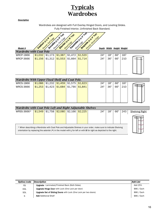### **Typicals Wardrobes**

#### *Description*

|                                                | Wardrobes are designed with Full Overlay Hinged Doors, and Leveling Glides.<br>Fully Finished Interior, Unfinished Back Standard. |                                         |                                                              |                    |                     |                                      |            |            |                           |  |  |  |
|------------------------------------------------|-----------------------------------------------------------------------------------------------------------------------------------|-----------------------------------------|--------------------------------------------------------------|--------------------|---------------------|--------------------------------------|------------|------------|---------------------------|--|--|--|
| Model #                                        |                                                                                                                                   | Vashon (11/8' Top)<br>Religion Set Edge | Arcadia Lives Top<br>Glacier 12-1 et Top)<br>Region PVC Edge |                    | Voemite (151/4" Top | Sequal@123/8 Top<br>Reides Hood Edge |            |            | Depth Width Height Weight |  |  |  |
| <b>Wardrobe with Coat Pole</b>                 |                                                                                                                                   |                                         |                                                              |                    |                     |                                      |            |            |                           |  |  |  |
| <b>WRCP-1866</b><br><b>WRCP-3666</b>           | \$1,032<br>\$1,156                                                                                                                | \$1,173<br>\$1,312                      | \$1,387<br>\$1,553                                           | \$1,472<br>\$1,664 | \$1,520<br>\$1,714  | 24"<br>24"                           | 18"<br>36" | 66"<br>66" | 187<br>210                |  |  |  |
| Wardrobe With Upper Fixed Shelf and Coat Pole. |                                                                                                                                   |                                         |                                                              |                    |                     |                                      |            |            |                           |  |  |  |
| <b>WRCS-1866</b><br><b>WRCS-3666</b>           | \$1,086<br>\$1,253                                                                                                                | \$1,232<br>\$1,423                      | \$1,459<br>\$1,684                                           | \$1,575<br>\$1,790 | \$1,623<br>\$1,841  | 24"<br>24"                           | 18"<br>36" | 66"<br>66" | 187<br>210                |  |  |  |

| Wardrobe with Coat Pole Left and Right Adjustable Shelves                                                                                                                                                                                                |  |  |                                         |  |  |     |     |     |     |                       |
|----------------------------------------------------------------------------------------------------------------------------------------------------------------------------------------------------------------------------------------------------------|--|--|-----------------------------------------|--|--|-----|-----|-----|-----|-----------------------|
| WRSS-3666*                                                                                                                                                                                                                                               |  |  | \$1,549 \$1,758 \$2,080 \$2,166 \$2,225 |  |  | 24" | 18" | 66' | 243 | <b>Shelving Right</b> |
|                                                                                                                                                                                                                                                          |  |  |                                         |  |  |     |     |     |     |                       |
| * When describing a Wardrobe with Coat Pole and Adjustable Shelves in your order, make sure to indicate Shelving<br>orientation by replacing the asterisk $(*)$ in the model with <b>L</b> for left or with <b>R</b> for right as depicted to the right. |  |  |                                         |  |  |     |     |     |     |                       |

| Option/code | Description                                                            | Add List    |
|-------------|------------------------------------------------------------------------|-------------|
| FB          | <b>Upgrade</b> - Laminated/Finished Back (Both Sides)                  | Add 25%     |
| <b>HDL</b>  | <b>Upgrade Hinge Door</b> with Lock (One Lock per door)                | \$86 / Each |
| <b>SDL</b>  | <b>Upgrade Set of Sliding Doors</b> with Lock (One Lock per two doors) | \$86 / Each |
| S           | <b>Add</b> Additional Shelf                                            | \$86 / Each |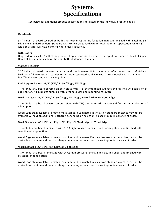### **Systems Specifications**

See below for additional product specifications not listed on the individual product page(s).

#### **Overheads**

3/4" Industrial board covered on both sides with (TFL) thermo-fused laminate and finished with matching Self Edge. Fits standard binders. Standard with French Cleat hardware for wall mounting application. Units 48" Wide or greater will have center divider unless specified.

#### **With Doors**

Hinged door uses 110° self-closing hinge. Flipper Door slides up and over top of unit, whereas Inside-Flipper Doors slides up and inside of the unit; both fit standard binders.

#### **Storage Pedestals**

3/4" Industrial board laminated with thermo-fused laminate. Unit comes with unfinished-top and unfinishedback, with full-extension Accuride® or Accuride-supported hardware with 1" over travel, with black vinyl box/file drawers, and with leveling glides.

**End Support Panels 1-1/8" (TFL/LP) Self Edge, PVC Edge**

1-1/8" Industrial board covered on both sides with (TFL) thermo-fused laminate and finished with selection of edge option. All supports supplied with leveling glides and mounting hardware.

**Work Surfaces 1-1/8" (TFL/LP) Self Edge, PVC Edge, T-Mold Edge, or Wood Edge**

1-1/8" Industrial board covered on both sides with (TFL) thermo-fused laminate and finished with selection of edge option.

Wood Edge stain available to match most Standard Laminate Finishes, Non-standard matches may not be available without an additional upcharge depending on selection, please inquire in advance of order.

#### **Work Surfaces 1¼" (HPL) Self Edge, PVC Edge, T-Mold Edge, or Wood Edge**

1-1/4" Industrial board laminated with (HPL) high pressure laminate and backing sheet and finished with selection of edge option.

Wood Edge stain available to match most Standard Laminate Finishes, Non-standard matches may not be available without an additional upcharge depending on selection, please inquire in advance of order.

#### **Work Surfaces 1¾" (HPL) Self Edge, or Wood Edge**

1-3/4" Industrial board laminated with (HPL) high pressure laminate and backing sheet and finished with selection of edge option.

Wood Edge stain available to match most Standard Laminate Finishes, Non-standard matches may not be available without an additional upcharge depending on selection, please inquire in advance of order.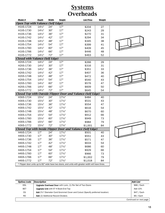### **Systems Overheads**

| Model #                                  | <b>Depth</b>      | Width | <b>Height</b>     | <b>List Price</b>                                                                                 | Weight |  |
|------------------------------------------|-------------------|-------|-------------------|---------------------------------------------------------------------------------------------------|--------|--|
| <b>Open Top with Valance (Self Edge)</b> |                   |       |                   |                                                                                                   |        |  |
| H1VS-1724                                | $14\frac{1}{2}$   | 24"   | 17"               | \$204                                                                                             | 27     |  |
| H1VS-1730                                | $14\frac{1}{2}$ " | 30"   | 17"               | \$243                                                                                             | 29     |  |
| H1VS-1736                                | $14\frac{1}{2}$ " | 36"   | 17"               | \$270                                                                                             | 31     |  |
| H1VS-1742                                | $14\frac{1}{2}$   | 42"   | 17"               | \$294                                                                                             | 34     |  |
| H1VS-1748                                | $14\frac{1}{2}$   | 48"   | 17"               | \$345                                                                                             | 38     |  |
| H1VS-1754                                | $14\frac{1}{2}$   | 54"   | 17"               | \$399                                                                                             | 41     |  |
| H1VS-1760                                | $14\frac{1}{2}$ " | 60"   | 17"               | \$409                                                                                             | 45     |  |
| H1VS-1766                                | $14\frac{1}{2}$   | 66"   | 17"               | \$446                                                                                             | 48     |  |
| H1VS-1772                                | $14\frac{1}{2}$ " | 72"   | 17"               | \$463                                                                                             | 52     |  |
| <b>Closed with Valance (Self Edge)</b>   |                   |       |                   |                                                                                                   |        |  |
| H2VS-1724                                | $14\frac{1}{2}$   | 24"   | 17"               | \$266                                                                                             | 29     |  |
| H2VS-1730                                | $14\frac{1}{2}$   | 30"   | 17"               | \$316                                                                                             | 31     |  |
| H2VS-1736                                | $14\frac{1}{2}$   | 36"   | 17"               | \$351                                                                                             | 33     |  |
| H2VS-1742                                | $14\frac{1}{2}$   | 42"   | 17"               | \$407                                                                                             | 36     |  |
| H2VS-1748                                | $14\frac{1}{2}$   | 48"   | 17"               | \$472                                                                                             | 40     |  |
| H2VS-1754                                | $14\frac{1}{2}$   | 54"   | 17"               | \$540                                                                                             | 43     |  |
| H2VS-1760                                | $14\frac{1}{2}$   | 60"   | 17"               | \$576                                                                                             | 47     |  |
| H2VS-1766                                | $14\frac{1}{2}$   | 66"   | 17"               | \$609                                                                                             | 50     |  |
| H2VS-1772                                | $14\frac{1}{2}$   | 72"   | 17"               | \$645                                                                                             | 54     |  |
|                                          |                   |       |                   | Closed Top with Outside Flipper Door and Valance (Self Edge)                                      |        |  |
| H3VS-1724                                | $15\frac{1}{4}$ " | 24"   | $17\frac{1}{4}$   | \$484                                                                                             | 40     |  |
| H3VS-1730                                | 151/4"            | 30"   | $17\frac{1}{4}$   | \$531                                                                                             | 43     |  |
| H3VS-1736                                | 151/4"            | 36"   | $17\frac{1}{4}$ " | \$554                                                                                             | 47     |  |
| H3VS-1742                                | 151/4"            | 42"   | $17\frac{1}{4}$ " | \$616                                                                                             | 54     |  |
| H3VS-1748                                | $15\frac{1}{4}$   | 48"   | $17\frac{1}{4}$ " | \$670                                                                                             | 60     |  |
| H3VS-1754                                | 151/4"            | 54"   | $17\frac{1}{4}$ " | \$912                                                                                             | 66     |  |
| H3VS-1760                                | 151/4"            | 60"   | $17\frac{1}{4}$   | \$949                                                                                             | 73     |  |
| H3VS-1766                                | 151/4"            | 66"   | $17\frac{1}{4}$   | \$984                                                                                             | 79     |  |
| H3VS-1772                                | 151/4"            | 72"   | $17\frac{1}{4}$ " | \$1,001                                                                                           | 84     |  |
|                                          |                   |       |                   | Closed Top with Inside Flipper Door and Valance (Self Edge)                                       |        |  |
| H4VS-1724                                | 17"               | 24"   | $17\frac{1}{2}$   | \$501                                                                                             | 40     |  |
| H4VS-1730                                | 17"               | 30"   | $17\frac{1}{2}$   | \$551                                                                                             | 43     |  |
| H4VS-1736                                | 17"               | 36"   | $17\frac{1}{2}$ " | \$571                                                                                             | 47     |  |
| H4VS-1742                                | 17"               | 42"   | $17\frac{1}{2}$   | \$633                                                                                             | 54     |  |
| H4VS-1748                                | 17"               | 48"   | $17\frac{1}{2}$ " | \$686                                                                                             | 60     |  |
| H4VS-1754                                | 17"               | 54"   | $17\frac{1}{2}$   | \$929                                                                                             | 66     |  |
| H4VS-1760                                | 17"               | 60"   | $17\frac{1}{2}$ " | \$966                                                                                             | 73     |  |
| H4VS-1766                                | 17"               | 66"   | $17\frac{1}{2}$   | \$1,002                                                                                           | 79     |  |
| H4VS-1772                                | 17"               | 72"   | $17\frac{1}{2}$   | \$1,018                                                                                           | 84     |  |
|                                          |                   |       |                   | * Flipper door units up to 82" wide have two doors, and units with greater width will have three. |        |  |

| Option/code | Description                                                                        | Add List               |
|-------------|------------------------------------------------------------------------------------|------------------------|
| ODL         | <b>Upgrade Overhead Door</b> with Lock, (1) Per Set of Two Doors                   | \$86 / Each            |
| <b>BET</b>  | <b>Upgrade Unit</b> with 6" H Book-End Top                                         | Add 10%                |
| CG          | <b>Add</b> 2½" Diameter Cord Grommet Cover and Cutout (Specify preferred location) | $$47 /$ Each           |
| <b>RD</b>   | Add (2) Additional Record Dividers                                                 | $$9 /$ Each            |
|             |                                                                                    | Continued on next page |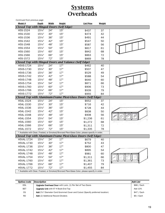### **Systems Overheads**

| Continued from previous page             |                 |              |               |                                                                                                |        |  |
|------------------------------------------|-----------------|--------------|---------------|------------------------------------------------------------------------------------------------|--------|--|
| Model #                                  | <u>Depth</u>    | <b>Width</b> | <b>Height</b> | <b>List Price</b>                                                                              | Weight |  |
| Closed Top with Hinged Doors (Self Edge) |                 |              |               |                                                                                                |        |  |
| H5S-1524                                 | 151/4"          | 24"          | 15"           | \$437                                                                                          | 37     |  |
| H5S-1530                                 | 151/4"          | 30"          | 15"           | \$474                                                                                          | 42     |  |
| H5S-1536                                 | 151/4"          | 36"          | 15"           | \$491                                                                                          | 44     |  |
| H5S-1542                                 | 151/4"          | 42"          | 15"           | \$547                                                                                          | 50     |  |
| H5S-1548                                 | 151/4"          | 48"          | 15"           | \$587                                                                                          | 56     |  |
| H5S-1554                                 | 151/4"          | 54"          | 15"           | \$817                                                                                          | 61     |  |
| H5S-1560                                 | 151/4"          | 60"          | 15"           | \$842                                                                                          | 68     |  |
| H5S-1566                                 | 151/4"          | 66"          | 15"           | \$863                                                                                          | 72     |  |
| H5S-1572                                 | 151/4"          | 72"          | 15"           | \$869                                                                                          | 78     |  |
|                                          |                 |              |               | Closed Top with Hinged Doors and Valance (Self Edge)                                           |        |  |
| H5VS-1724                                | 151/4"          | 24"          | 17"           | \$462                                                                                          | 40     |  |
| H5VS-1730                                | $15\%$          | 30"          | 17"           | \$507                                                                                          | 47     |  |
| H5VS-1736                                | 151/4"          | 36"          | 17"           | \$529                                                                                          | 49     |  |
| H5VS-1742                                | 151/4"          | 42"          | 17"           | \$588                                                                                          | 54     |  |
| H5VS-1748                                | 151/4"          | 48"          | 17"           | \$640                                                                                          | 60     |  |
| H5VS-1754                                | 151/4"          | 54"          | 17"           | \$871                                                                                          | 66     |  |
| H5VS-1760                                | 151/4"          | 60"          | 17"           | \$906                                                                                          | 73     |  |
| H5VS-1766                                | $15\frac{1}{4}$ | 66"          | 17"           | \$939                                                                                          | 79     |  |
| H5VS-1772                                | 151/4"          | 72"          | 17"           | \$955                                                                                          | 84     |  |
|                                          |                 |              |               | <b>Closed Top with Aluminum-Frame Plexi-Glass Doors (Self Edge)</b>                            |        |  |
| H5AL-1524                                | 151/4"          | 24"          | 15"           | \$652                                                                                          | 37     |  |
| H5AL-1530                                | 151/4"          | 30"          | 15"           | \$716                                                                                          | 42     |  |
| H5AL-1536                                | 151/4"          | 36"          | 15"           | \$728                                                                                          | 44     |  |
| H5AL-1542                                | $15\%$          | 42"          | 15"           | \$838                                                                                          | 50     |  |
| H5AL-1548                                | 151/4"          | 48"          | 15"           | \$908                                                                                          | 56     |  |
| H5AL-1554                                | 151/4"          | 54"          | 15"           | \$1,236                                                                                        | 61     |  |
| H5AL-1560                                | 151/4"          | 60"          | 15"           | \$1,272                                                                                        | 68     |  |
| H5AL-1566                                | 151/4"          | 66"          | 15"           | \$1,311                                                                                        | 72     |  |
| H5AL-1572                                | $15\frac{1}{4}$ | 72"          | 15"           | \$1,335                                                                                        | 78     |  |
|                                          |                 |              |               | * Available with Clear, Frosted, or Smoked/Bronzed Plexi-Glass Color, please specify in order. |        |  |
|                                          |                 |              |               | Closed Top with Aluminum-Frame Plexi-Glass Doors (Self Edge)                                   |        |  |
| H5VAL-1724                               | $15\frac{1}{4}$ | 24"          | 17"           | \$679                                                                                          | 40     |  |
| H5VAL-1730                               | 151/4"          | 30"          | 17"           | \$752                                                                                          | 43     |  |
| H5VAL-1736                               | 151/4"          | 36"          | 17"           | \$800                                                                                          | 47     |  |
| H5VAL-1742                               | 151/4"          | 42"          | 17"           | \$895                                                                                          | 54     |  |
| H5VAL-1748                               | 151/4"          | 48"          | 17"           | \$981                                                                                          | 60     |  |
| H5VAL-1754                               | 151/4"          | 54"          | 17"           | \$1,311                                                                                        | 66     |  |
| H5VAL-1760                               | 151/4"          | 60"          | 17"           | \$1,361                                                                                        | 73     |  |
| H5VAL-1766                               | 151/4"          | 66"          | 17"           | \$1,407                                                                                        | 79     |  |
| H5VAL-1772                               | 151/4"          | 72"          | 17"           | \$1,455                                                                                        | 84     |  |
|                                          |                 |              |               | * Available with Clear, Frosted, or Smoked/Bronzed Plexi-Glass Color, please specify in order. |        |  |

| Option/code | Description                                                                        | Add List     |
|-------------|------------------------------------------------------------------------------------|--------------|
| <b>ODL</b>  | <b>Upgrade Overhead Door</b> with Lock, (1) Per Set of Two Doors                   | \$86 / Each  |
| <b>BET</b>  | <b>Upgrade Unit</b> with 6" H Book-End Top                                         | Add 10%      |
| CG          | <b>Add</b> 2½" Diameter Cord Grommet Cover and Cutout (Specify preferred location) | $$47 /$ Each |
| <b>RD</b>   | <b>Add</b> (2) Additional Record Dividers                                          | $$9/$ Each   |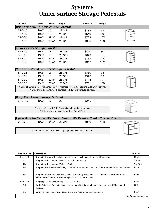# **Systems Under-surface Storage Pedestals**

| Model #                                      | Depth             | Width             | Height                                                          | <b>List Price</b>                                                                                  | Weight |  |
|----------------------------------------------|-------------------|-------------------|-----------------------------------------------------------------|----------------------------------------------------------------------------------------------------|--------|--|
| Box / Box / File Drawer Storage Pedestal     |                   |                   |                                                                 |                                                                                                    |        |  |
| SP-A-16                                      | 191/2"            | 16"               | $28 - 3/8"$                                                     | \$385                                                                                              | 78     |  |
| SP-A-19                                      | 191/2"            | 19"               | $28 - 3/8"$                                                     | \$549                                                                                              | 89     |  |
| <b>SP-A-30</b>                               | 191/2"            | 293/4"            | $28 - 3/8"$                                                     | \$703                                                                                              | 107    |  |
| SP-A-36                                      | 191/2"            | $35\frac{3}{4}$ " | $28 - 3/8"$                                                     | \$855                                                                                              | 128    |  |
|                                              |                   |                   |                                                                 |                                                                                                    |        |  |
| 4-Box Drawer Storage Pedestal                |                   |                   |                                                                 |                                                                                                    |        |  |
| SP-B-16                                      | 191/2"            | 16"               | $28 - 3/8"$                                                     | \$440                                                                                              | 80     |  |
| SP-B-19                                      | 191/2"            | 19"               | $28 - 3/8"$                                                     | \$649                                                                                              | 91     |  |
| SP-B-30                                      | 191/2"            | 293/4"            | $28 - 3/8"$                                                     | \$782                                                                                              | 108    |  |
| SP-B-36                                      | 191/2"            | 353/4"            | $28-3/8"$                                                       | \$812                                                                                              | 132    |  |
|                                              |                   |                   |                                                                 |                                                                                                    |        |  |
| (Vertical) File/File Drawer Storage Pedestal |                   |                   |                                                                 |                                                                                                    |        |  |
| SP-C-16                                      | 191/2"            | 16"               | $28 - 3/8"$                                                     | \$380                                                                                              | 78     |  |
| SP-C-19                                      | $19\frac{1}{2}$ " | 19"               | $28 - 3/8"$                                                     | \$575                                                                                              | 89     |  |
| <b>SP-C-30</b>                               | $19\frac{1}{2}$   | 293/4"            | $28 - 3/8"$                                                     | \$704                                                                                              | 107    |  |
| <b>SP-C-36</b>                               | 191/2"            | $35\frac{3}{4}$ " | $28 - 3/8"$                                                     | \$751                                                                                              | 128    |  |
|                                              |                   |                   |                                                                 | * Units of 19" or greater width may be set to facilitate Front-to-back Facing Legal-Width sorting. |        |  |
|                                              |                   |                   |                                                                 | * Units of 36" or greater width standard with Two drawer pulls per face.                           |        |  |
|                                              |                   |                   |                                                                 |                                                                                                    |        |  |
| <b>Box / File Drawer Storage Pedestal</b>    |                   |                   |                                                                 |                                                                                                    |        |  |
| <b>SP-BF-16</b>                              | 191/2"            | 16"               | 20"                                                             | \$246                                                                                              |        |  |
|                                              |                   |                   |                                                                 |                                                                                                    |        |  |
|                                              |                   |                   |                                                                 | * Unit designed with 1-1/8" plinth base for added clearance.                                       |        |  |
|                                              |                   |                   | * (MB) Upgrade increases overall height to 22 <sup>1/2"</sup> . |                                                                                                    |        |  |
|                                              |                   |                   |                                                                 | Upper Box/Box/Letter File, Lower Lateral File Drawer, Combo Storage Pedestal                       |        |  |
| CP-35                                        | 191/2"            | 343/4"            | $28 - 3/8"$                                                     | \$869                                                                                              | 153    |  |
|                                              |                   |                   |                                                                 |                                                                                                    |        |  |
|                                              |                   |                   |                                                                 | * This unit requires (2) Two Locking upgrades to secure all drawers                                |        |  |

| Option/code    | <b>Description</b>                                                                                                                                                                         | Add List               |
|----------------|--------------------------------------------------------------------------------------------------------------------------------------------------------------------------------------------|------------------------|
| $L-L$ or $L-R$ | <b>Upgrade</b> Drawer with Lock, L-L for Left-hand side of face, L-R for Right-hand side.                                                                                                  | \$85/Each              |
| FT             | <b>Upgrade</b> with Laminated/Finished Top (Under-surface).                                                                                                                                | Add 5%                 |
| <b>FB</b>      | <b>Upgrade</b> with Laminated/Finished Back.                                                                                                                                               | Add 10%                |
| <b>MB</b>      | <b>Upgrade</b> (Under-surface) Mobility, Includes Laminated/Finished Top & Back, and Front-Locking Casters.                                                                                | \$222                  |
| <b>FM</b>      | <b>Upgrade</b> (Freestanding) Mobility, Includes 1-1/8" Applied Finished Top, Laminated/Finished Back, and<br>Front-Locking Casters. Finished Height 29 <sup>1/2"</sup> to match Typicals. | \$295                  |
| Depth ≤30"     | <b>Upgrade</b> Unit overall depth up-to 30", Case Only.                                                                                                                                    | \$162                  |
| <b>AFT</b>     | <b>Add</b> 1-1/8" Thick Applied Finished Top w/ Matching 3MM PVC Edge. Finished Height 29½" to match<br>Typicals.                                                                          | \$208                  |
| BB             | Add 3/4" thick pull-out Bread Board-style shelf above pedestal top drawer.                                                                                                                 | \$146                  |
|                |                                                                                                                                                                                            | Continued on next page |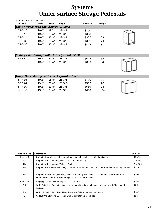### **Systems Under-surface Storage Pedestals**

| Continued from previous page                   |                   |                   |             |                   |        |  |
|------------------------------------------------|-------------------|-------------------|-------------|-------------------|--------|--|
| Model #                                        | Depth             | Width             | Height      | <b>List Price</b> | Weight |  |
| Open Storage with One Adjustable Shelf         |                   |                   |             |                   |        |  |
| SP-D-10                                        | $19\frac{1}{2}$ " | $9^{3}/4"$        | $28-3/8"$   | \$300             | 47     |  |
| SP-D-16                                        | $19\frac{1}{2}$ " | $15\frac{3}{4}$ " | $28 - 3/8"$ | \$333             | 51     |  |
| SP-D-24                                        | 191/2"            | $23\frac{3}{4}$ " | $28-3/8"$   | \$365             | 63     |  |
| SP-D-30                                        | $19\frac{1}{2}$ " | 293/4"            | $28-3/8"$   | \$382             | 74     |  |
| SP-D-36                                        | $19\frac{1}{2}$   | $35\frac{3}{4}$ " | $28-3/8"$   | \$444             | 81     |  |
|                                                |                   |                   |             |                   |        |  |
| Sliding Door Storage with One Adjustable Shelf |                   |                   |             |                   |        |  |
| <b>SP-E-30</b>                                 | $19\frac{1}{2}$ " | 293/4"            | $28-3/8"$   | \$673             | 85     |  |
| SP-E-36                                        | $19\frac{1}{2}$ " | $35\frac{3}{4}$ " | $28 - 3/8"$ | \$699             | 94     |  |
|                                                |                   |                   |             |                   |        |  |
|                                                |                   |                   |             |                   |        |  |
|                                                |                   |                   |             |                   |        |  |
| Hinge Door Storage with One Adjustable Shelf   |                   |                   |             |                   |        |  |
| SP-F-16                                        | $19\frac{1}{2}$ " | 153/4"            | $28 - 3/8"$ | \$460             | 61     |  |
| SP-F-24                                        | $19\frac{1}{2}$   | $23\frac{3}{4}$ " | $28 - 3/8"$ | \$552             | 76     |  |
| SP-F-30                                        | $19\frac{1}{2}$   | $29\frac{3}{4}$ " | $28-3/8"$   | \$589             | 94     |  |
| SP-F-36                                        | $19\frac{1}{2}$ " | $35\frac{3}{4}$ " | $28 - 3/8"$ | \$688             | 104    |  |

| Option/code | <b>Description</b>                                                                                                                                                                        | Add List  |
|-------------|-------------------------------------------------------------------------------------------------------------------------------------------------------------------------------------------|-----------|
| L-L or L-R  | <b>Upgrade</b> Door with Lock, L-L for Left-hand side of face, L-R for Right-hand side.                                                                                                   | \$85/Each |
| <b>FT</b>   | <b>Upgrade</b> with Laminated/Finished Top (Under-surface).                                                                                                                               | Add 5%    |
| <b>FB</b>   | <b>Upgrade</b> with Laminated/Finished Back.                                                                                                                                              | Add 10%   |
| <b>MB</b>   | <b>Upgrade</b> (Under-surface) Mobility, Includes Laminated/Finished Top & Back, and Front-Locking Casters.                                                                               | \$222     |
| <b>FM</b>   | <b>Upgrade</b> (Freestanding) Mobility, Includes 1-1/8" Applied Finished Top, Laminated/Finished Back, and<br>Front-Locking Casters. Finished Height 29 <sup>1/2</sup> to match Typicals. | \$295     |
| Depth ≤30"  | <b>Upgrade</b> Unit overall depth up-to 30", Case Only.                                                                                                                                   | \$162     |
| <b>AFT</b>  | Add 1-1/8" Thick Applied Finished Top w/ Matching 3MM PVC Edge. Finished Height 29½" to match<br>Typicals.                                                                                | \$208     |
| <b>BB</b>   | Add 3/4" thick pull-out Bread Board-style shelf above pedestal top drawer.                                                                                                                | \$146     |
| S           | Add (1) One additional 3/4" thick Shelf with Matching Tape Edge                                                                                                                           | \$86      |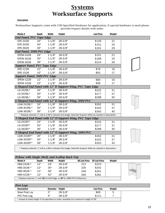### **Systems Worksurface Supports**

#### *Description*

Worksurface Supports come with COD-Specified Hardware for application, if special hardware is need please provide/request details with order.

| Model #                             | Depth | Width      | Height      | <b>List Price</b>                                                                                           | Weight |  |
|-------------------------------------|-------|------------|-------------|-------------------------------------------------------------------------------------------------------------|--------|--|
| <b>End Panel, PVC Tape Edge</b>     |       |            |             |                                                                                                             |        |  |
| EPE-2428                            | 24"   | $1 - 1/8"$ | $28 - 3/8"$ | \$126                                                                                                       | 21     |  |
| EPE-3028                            | 30"   | $1 - 1/8"$ | $28 - 3/8"$ | \$151                                                                                                       | 25     |  |
| EPE-3628                            | 36"   | $1 - 1/8"$ | $28 - 3/8"$ | \$191                                                                                                       | 29     |  |
| <b>End Panel, 3MM PVC Edge</b>      |       |            |             |                                                                                                             |        |  |
| <b>EPEW-2428</b>                    | 24"   | $1 - 1/8"$ | $28 - 3/8"$ | \$151                                                                                                       | 21     |  |
| EPEW-3028                           | 30"   | $1 - 1/8"$ | $28 - 3/8"$ | \$168                                                                                                       | 25     |  |
| EPEW-3628                           | 36"   | $1 - 1/8"$ | $28 - 3/8"$ | \$214                                                                                                       | 29     |  |
| <b>Support Panel, PVC Tape Edge</b> |       |            |             |                                                                                                             |        |  |
| SPE-1228                            | 12"   | $1 - 1/8"$ | $28 - 3/8"$ | \$76                                                                                                        | 16     |  |
| SPE-1528                            | 15"   | $1 - 1/8"$ | $28-3/8"$   | \$92                                                                                                        | 17     |  |
| <b>Support Panel, 3MM PVC Edge</b>  |       |            |             |                                                                                                             |        |  |
| SPEW-1228                           | 12"   | $1 - 1/8"$ | $28 - 3/8"$ | \$80                                                                                                        | 16     |  |
| SPEW-1528                           | 15"   | $1 - 1/8"$ | $28 - 3/8"$ | \$99                                                                                                        | 17     |  |
|                                     |       |            |             | L-Shaped End Panel with 12" D Support Wing, PVC Tape Edge                                                   |        |  |
| LG-2428L*                           | 24"   | $1 - 1/8"$ | $28 - 3/8"$ | \$232                                                                                                       | 31     |  |
| LG-3028L*                           | 30"   | $1 - 1/8"$ | $28 - 3/8"$ | \$277                                                                                                       | 37     |  |
| LG-3628L*                           | 36"   | $1 - 1/8"$ | $28 - 3/8"$ | \$298                                                                                                       | 40     |  |
|                                     |       |            |             | L-Shaped End Panel with 12" D Support Wing, 3MM PVC                                                         |        |  |
| LGW-2428L*                          | 24"   | $1 - 1/8"$ | $28 - 3/8"$ | \$262                                                                                                       | 31     |  |
| LGW-3028L*                          | 30"   | $1 - 1/8"$ | $28 - 3/8"$ | \$325                                                                                                       | 37     |  |
| LGW-3628L*                          | 36"   | $1 - 1/8"$ | $28 - 3/8"$ | \$343                                                                                                       | 40     |  |
|                                     |       |            |             | * Replace asterisk (*) with L or R to indicate End Usage. Describe Support offset as needed in description. |        |  |
|                                     |       |            |             | T-Shaped End Panel with 12" D Support Wing, PVC Tape Edge                                                   |        |  |
| LG-2428T*                           | 24"   | $1 - 1/8"$ | $28 - 3/8"$ | \$232                                                                                                       | 31     |  |
| LG-3028T*                           | 30"   | $1 - 1/8"$ | $28 - 3/8"$ | \$277                                                                                                       | 37     |  |
| LG-3628T*                           | 36"   | $1 - 1/8"$ | $28 - 3/8"$ | \$298                                                                                                       | 40     |  |
|                                     |       |            |             | T-Shaped End Panel with 12" D Support Wing, 3MM PVC                                                         |        |  |
| LGW-2428T*                          | 24"   | $1 - 1/8"$ | $28 - 3/8"$ | \$262                                                                                                       | 31     |  |
| LGW-3028T*                          | 30"   | $1 - 1/8"$ | $28 - 3/8"$ | \$325                                                                                                       | 37     |  |
| LGW-3628T*                          | 36"   | $1 - 1/8"$ | $28 - 3/8"$ | \$343                                                                                                       | 40     |  |
|                                     |       |            |             | * Replace asterisk (*) with L or R to indicate End Usage. Describe Support offset as needed in description. |        |  |

| H-Base with Single Shelf, and Scallop Back-Top                                            |       |       |             |                      |                      |        |  |
|-------------------------------------------------------------------------------------------|-------|-------|-------------|----------------------|----------------------|--------|--|
| Model #                                                                                   | Depth | Width | Height      | <b>SE List Price</b> | <b>3P List Price</b> | Weight |  |
| HBS-2428-*                                                                                | 12"   | 24"   | $28 - 3/8"$ | 212                  | \$223                |        |  |
| HBS-3028-*                                                                                | 12"   | 30"   | $28 - 3/8"$ | 230                  | \$242                |        |  |
| HBS-3628-*                                                                                | 12"   | 36"   | $28 - 3/8"$ | 249                  | \$261                |        |  |
| HBS-4228-*                                                                                | 12"   | 42"   | $28 - 3/8"$ | 269                  | \$281                |        |  |
| * Replace asterisk (*) with <b>SE</b> for Self Edge, or <b>3P</b> for 3MM PVC Preference. |       |       |             |                      |                      |        |  |

| <b>Post Legs</b>                                                                          |          |             |                   |        |  |
|-------------------------------------------------------------------------------------------|----------|-------------|-------------------|--------|--|
| <b>Description</b>                                                                        | Diameter | Height      | <b>List Price</b> | Weight |  |
| Steel Post Leg                                                                            | つ=       | $28 - 3/8"$ | \$69              | ა      |  |
| PVC Post Leg.                                                                             | ⊿"       | $28 - 3/8"$ | \$111             |        |  |
| * Issued at listed height if not specified on order, available at a maximum height of 36" |          |             |                   |        |  |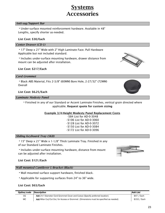### **Systems Accessories**

#### *Anti-sag/Support Bar*

**∙**Under-surface mounted reinforcement hardware. Available in 48" Lengths, specify shorter as-needed.

#### **List Cost: \$30/Each**

#### *Center Drawer (CD-1)*

**∙**17" Deep x 21" Wide with 2" High Laminate Face. Pull Hardware Applicable but not included standard.

**∙**Includes under-surface mounting hardware, drawer distance from mount can be adjusted after installation.

#### **List Cost: \$217/Each**

#### *Cord Grommet*

**∙**Black ABS Material, Fits 2-3/8" (60MM) Bore Hole, 2-27/32" (72MM) Overall

#### **List Cost: \$6.25/Each**

#### *Laminate Modesty Panel*

**∙**Finished in any of our Standard or Accent Laminate Finishes, vertical grain directed where applicable. **Request quote for custom sizing**

**Example 3/4-Height Modesty Panel Replacement Costs**

∙\$84 List for AD-0-3048 ∙\$106 List for AD-0-3060 ∙\$128 List for AD-0-3072 ∙\$150 List for AD-0-3084 ∙\$172 List for AD-0-3096

#### *Sliding Keyboard Tray (SKB)*

**∙**15" Deep x 21" Wide x 1-1/8" Thick Laminate Tray. Finished in any of our Standard Laminate Finishes.

**∙**Includes under-surface mounting hardware, distance from mount can be adjusted after installation.

#### **List Cost: \$121/Each**

#### *Wall mounted Cantilever L-Bracket (Black)*

- **∙**Wall mounted surface support hardware, finished black.
- **∙**Applicable for supporting surfaces from 24" to 36" wide.

#### **List Cost: \$63/Each**

| Option/code | <i><b>Description</b></i>                                                             | Add List       |
|-------------|---------------------------------------------------------------------------------------|----------------|
| СG          | Add 2½" Diameter Cord Grommet Cover and Cutout (Specify preferred location)           | \$47<br>/ Each |
| MC          | Add Miter Cut/Cut Out, for Access or Grommet (Dimensions must be specified as needed) | \$152 / Each   |







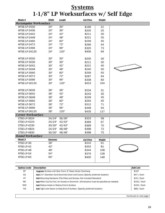# **Systems 1-1/8" LP Worksurfaces w/ Self Edge**

| Model #                   | Width                                                                               | Length | <b>List Price</b> | Weight |                          |  |  |  |  |
|---------------------------|-------------------------------------------------------------------------------------|--------|-------------------|--------|--------------------------|--|--|--|--|
|                           | <b>Rectangular Worksurface</b>                                                      |        |                   |        |                          |  |  |  |  |
| <b>WTSE-LP-2430</b>       | 24"                                                                                 | 30"    | \$196             | 21     |                          |  |  |  |  |
| <b>WTSE-LP-2436</b>       | 24"                                                                                 | 36"    | \$205             | 25     |                          |  |  |  |  |
| <b>WTSE-LP-2442</b>       | 24"                                                                                 | 42"    | \$211             | 30     |                          |  |  |  |  |
| <b>WTSE-LP-2448</b>       | 24"                                                                                 | 48"    | \$221             | 35     |                          |  |  |  |  |
| <b>WTSE-LP-2460</b>       | 24"                                                                                 | 60"    | \$249             | 45     |                          |  |  |  |  |
| <b>WTSE-LP-2472</b>       | 24"                                                                                 | 72"    | \$266             | 54     |                          |  |  |  |  |
| <b>WTSE-LP-2496</b>       | 24"                                                                                 | 96"    | \$325             | 73     |                          |  |  |  |  |
| WTSE-LP-24120             | 24"                                                                                 | 120"   | \$406             | 94     |                          |  |  |  |  |
|                           |                                                                                     |        |                   |        |                          |  |  |  |  |
| <b>WTSE-LP-3030</b>       | 30"                                                                                 | 30"    | \$205             | 26     |                          |  |  |  |  |
| <b>WTSE-LP-3036</b>       | 30"                                                                                 | 36"    | \$211             | 30     |                          |  |  |  |  |
| <b>WTSE-LP-3042</b>       | 30"                                                                                 | 42"    | \$221             | 40     |                          |  |  |  |  |
| <b>WTSE-LP-3048</b>       | 30"                                                                                 | 48"    | \$240             | 50     |                          |  |  |  |  |
| <b>WTSE-LP-3060</b>       | 30"                                                                                 | 60"    | \$259             | 55     |                          |  |  |  |  |
| <b>WTSE-LP-3072</b>       | 30"                                                                                 | 72"    | \$287             | 64     |                          |  |  |  |  |
| <b>WTSE-LP-3096</b>       | 30"                                                                                 | 96"    | \$338             | 83     |                          |  |  |  |  |
| WTSE-LP-30120             | 30"                                                                                 | 120"   | \$423             | 104    |                          |  |  |  |  |
|                           |                                                                                     |        |                   |        |                          |  |  |  |  |
| WTSE-LP-3636              | 36"                                                                                 | 36"    | \$234             | 31     |                          |  |  |  |  |
| <b>WTSE-LP-3642</b>       | 36"                                                                                 | 42"    | \$243             | 35     |                          |  |  |  |  |
| <b>WTSE-LP-3648</b>       | 36"                                                                                 | 48"    | \$249             | 45     |                          |  |  |  |  |
| <b>WTSE-LP-3660</b>       | 36"                                                                                 | 60"    | \$293             | 55     |                          |  |  |  |  |
| <b>WTSE-LP-3672</b>       | 36"                                                                                 | 72"    | \$312             | 71     |                          |  |  |  |  |
| <b>WTSE-LP-3696</b>       | 36"                                                                                 | 96"    | \$348             | 93     |                          |  |  |  |  |
| WTSE-LP-36120             | 36"                                                                                 | 120"   | \$435             | 117    |                          |  |  |  |  |
| <b>Corner Worksurface</b> |                                                                                     |        |                   |        |                          |  |  |  |  |
| CTSE-LP-3624              | 24/24"                                                                              | 36/36" | \$323             | 58     |                          |  |  |  |  |
| CTSE-LP-4224              | 24/24"                                                                              | 42/42" | \$369             | 67     |                          |  |  |  |  |
| CTSE-LP-4230              | 30/30"                                                                              | 42/42" | \$369             | 70     |                          |  |  |  |  |
| <b>CTSE-LP-4824</b>       | 24/24"                                                                              | 48/48" | \$398             | 72     |                          |  |  |  |  |
| CTSE-LP-4830              | 30/30"                                                                              | 48/48" | \$398             | 75     |                          |  |  |  |  |
| <b>Round Worksurface</b>  |                                                                                     |        |                   |        |                          |  |  |  |  |
| Model #                   | <b>Diameter</b>                                                                     |        | <b>List Price</b> | Weight |                          |  |  |  |  |
| RTSE-LP-36                | 36"                                                                                 |        | \$310             | 61     |                          |  |  |  |  |
| RTSE-LP-42                | 42"                                                                                 |        | \$342             | 81     |                          |  |  |  |  |
| RTSE-LP-48                | 48"                                                                                 |        | \$344             | 108    |                          |  |  |  |  |
| RTSE-LP-54                | 54"                                                                                 |        | \$376             | 128    |                          |  |  |  |  |
| RTSE-LP-60                | 60"                                                                                 |        | \$405             | 148    |                          |  |  |  |  |
|                           |                                                                                     |        |                   |        |                          |  |  |  |  |
|                           |                                                                                     |        |                   |        |                          |  |  |  |  |
| Option/code<br>RT.        | <b>Description</b><br><b>Indiade</b> Surface with Row Front 6" Deep Center Overhand |        |                   |        | <b>Add List</b><br>\$167 |  |  |  |  |

| Option/code | Description                                                                           | <b>Add List</b> |
|-------------|---------------------------------------------------------------------------------------|-----------------|
| <b>BT</b>   | <b>Upgrade</b> Surface with Bow Front, 6" Deep Center Overhang                        | \$167           |
| CG          | Add 2½" Diameter Cord Grommet Cover and Cutout (Specify preferred location)           | $$47 /$ Each    |
| <b>FP</b>   | Add Mounting Hardware (Flat Plate and Screws, Not included Standard)                  | $$10 /$ Each    |
| <b>MC</b>   | Add Miter Cut/Cut Out, for Access or Grommet (Dimensions must be specified as needed) | \$152 / Each    |
| <b>RAD</b>  | <b>Add</b> Radius Inside or Radius End to Surface                                     | \$152 / Each    |
| <b>TJS</b>  | Add Tight Joint Seam to Side/End of Surface (Specify preferred location)              | \$88 / Each     |
|             |                                                                                       |                 |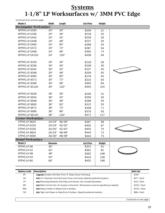# **Systems 1-1/8" LP Worksurfaces w/ 3MM PVC Edge**

*Continued from previous page*

| Model #                           | Width           | <u>Length</u> | <b>List Price</b> | Weight        |                 |
|-----------------------------------|-----------------|---------------|-------------------|---------------|-----------------|
| <b>Rectangular Worksurface</b>    |                 |               |                   |               |                 |
| WTPVC-LP-2430                     | 24"             | 30"           | \$209             | 21            |                 |
| WTPVC-LP-2436                     | 24"             | 36"           | \$218             | 25            |                 |
| WTPVC-LP-2442                     | 24"             | 42"           | \$228             | 30            |                 |
| WTPVC-LP-2448                     | 24"             | 48"           | \$237             | 35            |                 |
| WTPVC-LP-2460                     | 24"             | 60"           | \$268             | 45            |                 |
| WTPVC-LP-2472                     | 24"             | 72"           | \$287             | 54            |                 |
| WTPVC-LP-2496                     | 24"             | 96"           | \$350             | 73            |                 |
| WTPVC-LP-24120                    | 24"             | 120"          | \$438             | 94            |                 |
|                                   |                 |               |                   |               |                 |
| WTPVC-LP-3030                     | 30"             | 30"           | \$218             | 26            |                 |
| WTPVC-LP-3036                     | 30"             | 36"           | \$228             | 30            |                 |
| WTPVC-LP-3042                     | 30"             | 42"           | \$237             | 40            |                 |
| WTPVC-LP-3048                     | 30"             | 48"           | \$259             | 50            |                 |
| WTPVC-LP-3060                     | 30"             | 60"           | \$278             | 55            |                 |
| WTPVC-LP-3072                     | 30"             | 72"           | \$310             | 64            |                 |
| WTPVC-LP-3096                     | 30"             | 96"           | \$363             | 83            |                 |
| WTPVC-LP-30120                    | 30"             | 120"          | \$454             | 104           |                 |
|                                   |                 |               |                   |               |                 |
| WTPVC-LP-3636                     | 36"             | 36"           | \$249             | 31            |                 |
| WTPVC-LP-3642                     | 36"             | 42"           | \$259             | 35            |                 |
| WTPVC-LP-3648                     | 36"             | 48"           | \$268             | 45            |                 |
| WTPVC-LP-3660                     | 36"             | 60"           | \$312             | 55            |                 |
| WTPVC-LP-3672                     | 36"             | 72"           | \$338             | 71            |                 |
| WTPVC-LP-3696                     | 36"             | 96"           | \$376             | 93            |                 |
| WTPVC-LP-36120                    | 36"             | 120"          | \$471             | 117           |                 |
| <b>Corner Worksurface</b>         |                 |               |                   |               |                 |
| CTPVC-LP-3624                     | 24/24"          | 36/36"        | \$367             | 58            |                 |
| CTPVC-LP-4224                     | 24/24"          | 42/42"        | \$405             | 67            |                 |
| CTPVC-LP-4230                     | 30/30"          | 42/42"        | \$405             | 70            |                 |
| CTPVC-LP-4824                     | 24/24"          | 48/48"        | \$443             | 72            |                 |
| CTPVC-LP-4830                     | 30/30"          | 48/48"        | \$443             | 75            |                 |
| <b>Round Worksurface</b>          |                 |               |                   |               |                 |
| Model #                           | <b>Diameter</b> |               | <b>List Price</b> | <b>Weight</b> |                 |
| RTPVC-LP-36                       | 36"             |               | \$331             | 61            |                 |
| RTPVC-LP-42                       | 42"             |               | \$361             | 81            |                 |
| RTPVC-LP-48                       | 48"             |               | \$392             | 108           |                 |
| RTPVC-LP-54                       | 54"             |               | \$424             | 128           |                 |
| RTPVC-LP-60                       | 60"             |               | \$452             | 148           |                 |
|                                   |                 |               |                   |               |                 |
|                                   |                 |               |                   |               |                 |
| <b>Description</b><br>Option/code |                 |               |                   |               | <b>Add List</b> |

| Option/code | Description                                                                              | Add List      |
|-------------|------------------------------------------------------------------------------------------|---------------|
| BT          | <b>Upgrade</b> Surface with Bow Front, 6" Deep Center Overhang                           | \$167         |
| CG          | Add 2 <sup>1/2</sup> Diameter Cord Grommet Cover and Cutout (Specify preferred location) | $$47 /$ Each  |
| FP          | Add Mounting Hardware (Flat Plate and Screws, Not included Standard)                     | $$10 /$ Each  |
| MC.         | Add Miter Cut/Cut Out, for Access or Grommet (Dimensions must be specified as needed)    | $$152 /$ Each |
| <b>RAD</b>  | <b>Add</b> Radius Inside or Radius End to Surface                                        | $$152 /$ Each |
| TJS.        | Add Tight Joint Seam to Side/End of Surface (Specify preferred location)                 | \$88 / Each   |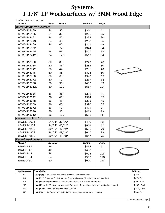## **Systems 1-1/8" LP Worksurfaces w/ 3MM Wood Edge**

*Continued from previous page*

| Model #                        | Width              | <u>Length</u> | <b>List Price</b>                                         | Weight        |                          |
|--------------------------------|--------------------|---------------|-----------------------------------------------------------|---------------|--------------------------|
| <b>Rectangular Worksurface</b> |                    |               |                                                           |               |                          |
| WTWE-LP-2430                   | 24"                | 30"           | \$250                                                     | 21            |                          |
| WTWE-LP-2436                   | 24"                | 36"           | \$262                                                     | 25            |                          |
| WTWE-LP-2442                   | 24"                | 42"           | \$273                                                     | 30            |                          |
| WTWE-LP-2448                   | 24"                | 48"           | \$283                                                     | 35            |                          |
| WTWE-LP-2460                   | 24"                | 60"           | \$321                                                     | 45            |                          |
| WTWE-LP-2472                   | 24"                | 72"           | \$344                                                     | 54            |                          |
| <b>WTWE-LP-2496</b>            | 24"                | 96"           | \$407                                                     | 73            |                          |
| WTWE-LP-24120                  | 24"                | 120"          | \$510                                                     | 94            |                          |
|                                |                    |               |                                                           |               |                          |
| WTWE-LP-3030                   | 30"                | 30"           | \$272                                                     | 26            |                          |
| <b>WTWE-LP-3036</b>            | 30"                | 36"           | \$285                                                     | 30            |                          |
| <b>WTWE-LP-3042</b>            | 30"                | 42"           | \$295                                                     | 40            |                          |
| WTWE-LP-3048                   | 30"                | 48"           | \$324                                                     | 50            |                          |
| WTWE-LP-3060                   | 30"                | 60"           | \$348                                                     | 55            |                          |
| WTWE-LP-3072                   | 30"                | 72"           | \$387                                                     | 64            |                          |
| WTWE-LP-3096                   | 30"                | 96"           | \$453                                                     | 83            |                          |
| WTWE-LP-30120                  | 30"                | 120"          | \$567                                                     | 104           |                          |
| WTWE-LP-3636                   | 36"                | 36"           | \$311                                                     | 31            |                          |
| WTWE-LP-3642                   | 36"                | 42"           | \$324                                                     | 35            |                          |
| WTWE-LP-3648                   | 36"                | 48"           | \$335                                                     | 45            |                          |
| WTWE-LP-3660                   | 36"                | 60"           | \$390                                                     | 55            |                          |
| WTWE-LP-3672                   | 36"                | 72"           | \$421                                                     | 71            |                          |
| <b>WTWE-LP-3696</b>            | 36"                | 96"           | \$469                                                     | 93            |                          |
| WTWE-LP-36120                  | 36"                | 120"          | \$588                                                     | 117           |                          |
| <b>Corner Worksurface</b>      |                    |               |                                                           |               |                          |
| CTWE-LP-3624                   | 24/24"             | 36/36"        | \$459                                                     | 58            |                          |
| CTWE-LP-4224                   | 24/24"             | 42/42"        | \$506                                                     | 67            |                          |
| CTWE-LP-4230                   | 30/30"             | 42/42"        | \$506                                                     | 70            |                          |
| CTWE-LP-4824                   | 24/24"             | 48/48"        | \$617                                                     | 72            |                          |
| CTWE-LP-4830                   | 30/30"             | 48/48"        | \$617                                                     | 75            |                          |
| <b>Round Worksurface</b>       |                    |               |                                                           |               |                          |
| Model #                        | <b>Diameter</b>    |               | <b>List Price</b>                                         | <b>Weight</b> |                          |
| RTWE-LP-36                     | 36"                |               | \$464                                                     | 61            |                          |
| RTWE-LP-42                     | 42"                |               | \$493                                                     | 81            |                          |
| RTWE-LP-48                     | 48"                |               | \$525                                                     | 108           |                          |
| RTWE-LP-54                     | 54"                |               | \$557                                                     | 128           |                          |
| RTWE-LP-60                     | 60"                |               | \$610                                                     | 148           |                          |
|                                |                    |               |                                                           |               |                          |
| Option/code<br>DТ              | <b>Description</b> |               | Ungreade Curricon with Row Front, C. Doon Contor Overhone |               | <b>Add List</b><br>0.107 |

| Option/code | Description                                                                           | Add List      |
|-------------|---------------------------------------------------------------------------------------|---------------|
| <b>BT</b>   | <b>Upgrade</b> Surface with Bow Front, 6" Deep Center Overhang                        | \$167         |
| CG          | Add 2½" Diameter Cord Grommet Cover and Cutout (Specify preferred location)           | \$47 / Each   |
| FP.         | Add Mounting Hardware (Flat Plate and Screws, Not included Standard)                  | $$10 /$ Each  |
| <b>MC</b>   | Add Miter Cut/Cut Out, for Access or Grommet (Dimensions must be specified as needed) | $$152 /$ Each |
| <b>RAD</b>  | <b>Add</b> Radius Inside or Radius End to Surface                                     | \$152 / Each  |
| TJS         | Add Tight Joint Seam to Side/End of Surface (Specify preferred location)              | $$88/$ Each   |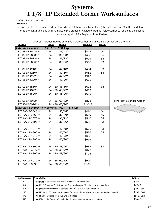### **Systems 1-1/8" LP Extended Corner Worksurfaces**

*Continued from previous page*

#### *Description*

Indicate the Inside Corner to extend towards the left-hand side by replacing the first asterisk (\*) in the model with L, or to the right-hand side with R. Indicate preference of Angled or Radius Inside Corner by replacing the second asterisk (\*) with A for Angled or R for Radius.

| <b>Model #</b>                                   | <b>Width</b> | Length           | <b>Madras of Africa morac comor and</b><br><b>List Price</b> | <b>Weight</b> |                            |
|--------------------------------------------------|--------------|------------------|--------------------------------------------------------------|---------------|----------------------------|
| <b>Extended Corner Worksurface, Self Edge</b>    |              |                  |                                                              |               |                            |
| ECTSE-LP-3648**                                  | 24"          | 36/48"           | \$449                                                        | 50            |                            |
| ECTSE-LP-3660**                                  | 24"          | 36/60"           | \$498                                                        | 55            |                            |
| ECTSE-LP-3672**                                  | 24"          | 36/72"           | \$519                                                        | 64            |                            |
| ECTSE-LP-3696**                                  | 24"          | 36/96"           | \$558                                                        | 83            |                            |
|                                                  |              |                  |                                                              |               |                            |
| ECTSE-LP-4248**                                  | 24"          | 42/48"           | \$494                                                        | 63            |                            |
| ECTSE-LP-4260**                                  | 24"          | 42/60"           | \$552                                                        | 64            |                            |
| ECTSE-LP-4272**                                  | 24"          | 42/72"           | \$576                                                        |               |                            |
| ECTSE-LP-4296**                                  | 24"          | 42/96"           | \$622                                                        |               |                            |
| ECTSE-LP-4860**                                  |              | 24" - 30" 48/60" | \$606                                                        | 83            |                            |
| ECTSE-LP-4872**                                  |              | 24" - 30" 48/72" | \$633                                                        |               |                            |
| ECTSE-LP-4896**                                  |              | 24" - 30" 48/96" | \$685                                                        |               |                            |
|                                                  |              |                  |                                                              |               |                            |
| ECTSE-LP-6072**                                  |              | 24" - 36" 60/72" | \$873                                                        |               | (RA) Right-Extended Corner |
| ECTSE-LP-6096**                                  |              | 24" - 36" 60/96" | \$1,048                                                      |               |                            |
| <b>Extended Corner Worksurface, 3MM PVC Edge</b> |              |                  |                                                              |               |                            |
| ECTPVC-LP-3648**                                 | 24"          | 36/48"           | \$470                                                        | 50            |                            |
| ECTPVC-LP-3660**                                 | 24"          | 36/60"           | \$519                                                        | 55            |                            |
| ECTPVC-LP-3672**                                 | 24"          | 36/72"           | \$546                                                        | 64            |                            |
| ECTPVC-LP-3696**                                 | 24"          | 36/96"           | \$588                                                        | 83            |                            |
|                                                  |              |                  |                                                              |               |                            |
| ECTPVC-LP-4248**                                 | 24"          | 42/48"           | \$520                                                        | 63            |                            |
| ECTPVC-LP-4260**                                 | 24"          | 42/60"           | \$576                                                        | 64            |                            |
| ECTPVC-LP-4272**                                 | 24"          | 42/72"           | \$608                                                        |               |                            |
| ECTPVC-LP-4296**                                 | 24"          | 42/96"           | \$656                                                        |               |                            |
| ECTPVC-LP-4860**                                 |              | 24" - 30" 48/60" | \$633                                                        | 83            |                            |
| ECTPVC-LP-4872**                                 |              | 24" - 30" 48/72" | \$670                                                        |               |                            |
|                                                  |              |                  |                                                              |               |                            |
| ECTPVC-LP-4896**                                 |              | 24" - 30" 48/96" | \$725                                                        |               |                            |
| ECTPVC-LP-6072**                                 |              | 24" - 36" 60/72" | \$910                                                        |               |                            |
| ECTPVC-LP-6096**                                 |              | 24" - 36" 60/96" | \$1,088                                                      |               |                            |

List Cost Includes Radius or Angled Inside Corner and an Outside Corner Cord Grommet.

| Option/code | Description                                                                           | Add List      |
|-------------|---------------------------------------------------------------------------------------|---------------|
| BT          | <b>Upgrade</b> Surface with Bow Front, 6" Deep Center Overhang                        | \$167         |
| CG          | Add 2½" Diameter Cord Grommet Cover and Cutout (Specify preferred location)           | $$47 /$ Each  |
| <b>FP</b>   | Add Mounting Hardware (Flat Plate and Screws, Not included Standard)                  | $$10 /$ Each  |
| <b>MC</b>   | Add Miter Cut/Cut Out, for Access or Grommet (Dimensions must be specified as needed) | $$152 /$ Each |
| <b>RAD</b>  | <b>Add</b> Radius Outside or Radius End to Surface                                    | $$152 /$ Each |
| <b>TJS</b>  | Add Tight Joint Seam to Side/End of Surface (Specify preferred location)              | \$88 / Each   |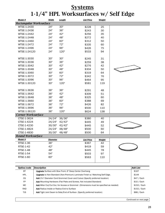### **Systems 1-1/4" HPL Worksurfaces w/ Self Edge**

| Model #                           | <b>Width</b>    | Length | <b>List Price</b> | Weight        |                 |
|-----------------------------------|-----------------|--------|-------------------|---------------|-----------------|
| <b>Rectangular Worksurface</b>    |                 |        |                   |               |                 |
| WTSE-1-2430                       | 24"             | 30"    | \$228             | 25            |                 |
| WTSE-1-2436                       | 24"             | 36"    | \$243             | 30            |                 |
| WTSE-1-2442                       | 24"             | 42"    | \$256             | 35            |                 |
| WTSE-1-2448                       | 24"             | 48"    | \$272             | 40            |                 |
| WTSE-1-2460                       | 24"             | 60"    | \$312             | 50            |                 |
| WTSE-1-2472                       | 24"             | 72"    | \$335             | 60            |                 |
| WTSE-1-2496                       | 24"             | 96"    | \$426             | 75            |                 |
| WTSE-1-24120                      | 24"             | 120"   | \$533             | 94            |                 |
|                                   |                 |        |                   |               |                 |
| WTSE-1-3030                       | 30"             | 30"    | \$245             | 31            |                 |
| WTSE-1-3036                       | 30"             | 36"    | \$259             | 38            |                 |
| WTSE-1-3042                       | 30"             | 42"    | \$276             | 42            |                 |
| WTSE-1-3048                       | 30"             | 48"    | \$304             | 50            |                 |
| WTSE-1-3060                       | 30"             | 60"    | \$319             | 64            |                 |
| WTSE-1-3072                       | 30"             | 72"    | \$342             | 76            |                 |
| WTSE-1-3096                       | 30"             | 96"    | \$464             | 95            |                 |
| WTSE-1-30120                      | 30"             | 120"   | \$581             | 119           |                 |
|                                   |                 |        |                   |               |                 |
| WTSE-1-3636                       | 36"             | 36"    | \$291             | 48            |                 |
| WTSE-1-3642                       | 36"             | 42"    | \$309             | 51            |                 |
| WTSE-1-3648                       | 36"             | 48"    | \$325             | 60            |                 |
| WTSE-1-3660                       | 36"             | 60"    | \$388             | 69            |                 |
| WTSE-1-3672                       | 36"             | 72"    | \$426             | 82            |                 |
| WTSE-1-3696                       | 36"             | 96"    | \$500             | 110           |                 |
| WTSE-1-36120                      | 36"             | 120"   | \$624             | 138           |                 |
| <b>Corner Worksurface</b>         |                 |        |                   |               |                 |
| CTSE-1-3624                       | 24/24"          | 36/36" | \$380             | 40            |                 |
| CTSE-1-4224                       | 24/24"          | 42/42" | \$445             | 49            |                 |
| CTSE-1-4230                       | 30/30"          | 42/42" | \$445             | 52            |                 |
| CTSE-1-4824                       | 24/24"          | 48/48" | \$500             | 60            |                 |
| CTSE-1-4830                       | 30/30"          | 48/48" | \$500             | 64            |                 |
| <b>Round Worksurface</b>          |                 |        |                   |               |                 |
| Model #                           | <b>Diameter</b> |        | <b>List Price</b> | <b>Weight</b> |                 |
| RTSE-1-36                         | 36"             |        | \$367             | 42            |                 |
| RTSE-1-42                         | 42"             |        | \$419             | 59            |                 |
| <b>RTSE-1-48</b>                  | 48"             |        | \$445             | 78            |                 |
| RTSE-1-54                         | 54"             |        | \$503             | 97            |                 |
| RTSE-1-60                         | 60"             |        | \$563             | 110           |                 |
|                                   |                 |        |                   |               |                 |
|                                   |                 |        |                   |               |                 |
| Option/code<br><b>Description</b> |                 |        |                   |               | <b>Add List</b> |

| Option/code | <b>Description</b>                                                                    | Add List      |
|-------------|---------------------------------------------------------------------------------------|---------------|
| <b>BT</b>   | <b>Upgrade</b> Surface with Bow Front, 6" Deep Center Overhang                        | \$167         |
| <b>HPL</b>  | <b>Upgrade</b> to Non-Standard (Non-Premium) Laminate Finish w/ Matching Self Edge.   | \$144         |
| CG          | Add 2½" Diameter Cord Grommet Cover and Cutout (Specify preferred location)           | $$47 /$ Each  |
| <b>FP</b>   | Add Mounting Hardware (Flat Plate and Screws, Not included Standard)                  | $$10 /$ Each  |
| <b>MC</b>   | Add Miter Cut/Cut Out, for Access or Grommet (Dimensions must be specified as needed) | $$152 /$ Each |
| <b>RAD</b>  | Add Radius Inside or Radius End to Surface                                            | $$152 /$ Each |
| <b>TJS</b>  | Add Tight Joint Seam to Side/End of Surface (Specify preferred location)              | \$88 / Each   |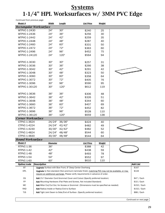# **Systems 1-1/4" HPL Worksurfaces w/ 3MM PVC Edge**

*Continued from previous page*

| Model #                                                                         |                                                                                                                                                                                                     | Width           | <u>Length</u>                                                                                    | <b>List Price</b> | Weight        |  |                 |
|---------------------------------------------------------------------------------|-----------------------------------------------------------------------------------------------------------------------------------------------------------------------------------------------------|-----------------|--------------------------------------------------------------------------------------------------|-------------------|---------------|--|-----------------|
| <b>Rectangular Worksurface</b>                                                  |                                                                                                                                                                                                     |                 |                                                                                                  |                   |               |  |                 |
| WTPVC-1-2430                                                                    |                                                                                                                                                                                                     | 24"             | 30"                                                                                              | \$240             | 25            |  |                 |
| WTPVC-1-2436                                                                    |                                                                                                                                                                                                     | 24"             | 36"                                                                                              | \$256             | 30            |  |                 |
| WTPVC-1-2442                                                                    |                                                                                                                                                                                                     | 24"             | 42"                                                                                              | \$259             | 35            |  |                 |
| WTPVC-1-2448                                                                    |                                                                                                                                                                                                     | 24"             | 48"                                                                                              | \$287             | 40            |  |                 |
| WTPVC-1-2460                                                                    |                                                                                                                                                                                                     | 24"             | 60"                                                                                              | \$331             | 50            |  |                 |
| WTPVC-1-2472                                                                    |                                                                                                                                                                                                     | 24"             | 72"                                                                                              | \$363             | 60            |  |                 |
| WTPVC-1-2496                                                                    |                                                                                                                                                                                                     | 24"             | 96"                                                                                              | \$452             | 75            |  |                 |
| WTPVC-1-24120                                                                   |                                                                                                                                                                                                     | 24"             | 120"                                                                                             | \$564             | 94            |  |                 |
|                                                                                 |                                                                                                                                                                                                     |                 |                                                                                                  |                   |               |  |                 |
| WTPVC-1-3030                                                                    |                                                                                                                                                                                                     | 30"             | 30"                                                                                              | \$257             | 31            |  |                 |
| WTPVC-1-3036                                                                    |                                                                                                                                                                                                     | 30"             | 36"                                                                                              | \$266             | 38            |  |                 |
| WTPVC-1-3042                                                                    |                                                                                                                                                                                                     | 30"             | 42"                                                                                              | \$291             | 42            |  |                 |
| WTPVC-1-3048                                                                    |                                                                                                                                                                                                     | 30"             | 48"                                                                                              | \$323             | 50            |  |                 |
| WTPVC-1-3060                                                                    |                                                                                                                                                                                                     | 30"             | 60"                                                                                              | \$358             | 64            |  |                 |
| WTPVC-1-3072                                                                    |                                                                                                                                                                                                     | 30"             | 72"                                                                                              | \$405             | 76            |  |                 |
| WTPVC-1-3096                                                                    |                                                                                                                                                                                                     | 30"             | 96"                                                                                              | \$590             | 95            |  |                 |
| WTPVC-1-30120                                                                   |                                                                                                                                                                                                     | 30"             | 120"                                                                                             | \$612             | 119           |  |                 |
|                                                                                 |                                                                                                                                                                                                     |                 |                                                                                                  |                   |               |  |                 |
| WTPVC-1-3636                                                                    |                                                                                                                                                                                                     | 36"             | 36"                                                                                              | \$306             | 48            |  |                 |
| WTPVC-1-3642                                                                    |                                                                                                                                                                                                     | 36"             | 42"                                                                                              | \$326             | 51            |  |                 |
| WTPVC-1-3648                                                                    |                                                                                                                                                                                                     | 36"             | 48"                                                                                              | \$344             | 60            |  |                 |
| WTPVC-1-3660                                                                    |                                                                                                                                                                                                     | 36"             | 60"                                                                                              | \$407             | 69            |  |                 |
| WTPVC-1-3672                                                                    |                                                                                                                                                                                                     | 36"             | 72"                                                                                              | \$452             | 82            |  |                 |
| WTPVC-1-3696                                                                    |                                                                                                                                                                                                     | 36"             | 96"                                                                                              | \$528             | 110           |  |                 |
| WTPVC-1-36120                                                                   |                                                                                                                                                                                                     | 36"             | 120"                                                                                             | \$659             | 138           |  |                 |
| <b>Corner Worksurface</b>                                                       |                                                                                                                                                                                                     |                 |                                                                                                  |                   |               |  |                 |
| CTPVC-1-3624                                                                    |                                                                                                                                                                                                     | 24/24"          | 36/36"                                                                                           | \$424             | 40            |  |                 |
| CTPVC-1-4224                                                                    |                                                                                                                                                                                                     | 24/24"          | 42/42"                                                                                           | \$482             | 49            |  |                 |
| CTPVC-1-4230                                                                    |                                                                                                                                                                                                     | 30/30"          | 42/42"                                                                                           | \$482             | 52            |  |                 |
| CTPVC-1-4824                                                                    |                                                                                                                                                                                                     | 24/24"          | 48/48"                                                                                           | \$544             | 60            |  |                 |
| CTPVC-1-4830                                                                    |                                                                                                                                                                                                     | 30/30"          | 48/48"                                                                                           | \$544             | 64            |  |                 |
| <b>Round Worksurface</b>                                                        |                                                                                                                                                                                                     |                 |                                                                                                  |                   |               |  |                 |
| <u>Model #</u>                                                                  |                                                                                                                                                                                                     | <b>Diameter</b> |                                                                                                  | <b>List Price</b> | <b>Weight</b> |  |                 |
| RTPVC-1-36                                                                      |                                                                                                                                                                                                     | 36"             |                                                                                                  | \$388             | 42            |  |                 |
| RTPVC-1-42                                                                      |                                                                                                                                                                                                     | 42"             |                                                                                                  | \$438             | 59            |  |                 |
| RTPVC-1-48                                                                      |                                                                                                                                                                                                     | 48"             |                                                                                                  | \$493             | 78            |  |                 |
| RTPVC-1-54                                                                      |                                                                                                                                                                                                     | 54"             |                                                                                                  | \$552             | 97            |  |                 |
| <b>RTPVC-1-60</b>                                                               |                                                                                                                                                                                                     | 60"             |                                                                                                  | \$610             | 110           |  |                 |
| Option/code                                                                     | <b>Description</b>                                                                                                                                                                                  |                 |                                                                                                  |                   |               |  | <b>Add List</b> |
| ВT                                                                              |                                                                                                                                                                                                     |                 | <b>Upgrade</b> Surface with Bow Front, 6" Deep Center Overhang                                   |                   |               |  | \$167           |
| <b>HPL</b>                                                                      |                                                                                                                                                                                                     |                 | Upgrade to Non-standard (Non-premium) laminate finish; matching PVC may not be available, or may |                   |               |  | \$144           |
| require an additional upcharge. Please verify requirements in advance of order. |                                                                                                                                                                                                     |                 |                                                                                                  |                   | $$47 /$ Each  |  |                 |
| FP                                                                              | СG<br><b>Add</b> 2 <sup>1</sup> / <sub>2</sub> " Diameter Cord Grommet Cover and Cutout (Specify preferred location)<br><b>Add</b> Mounting Hardware (Flat Plate and Screws, Not included Standard) |                 |                                                                                                  |                   |               |  | $$10 /$ Each    |
| МC                                                                              |                                                                                                                                                                                                     |                 | <b>Add</b> Miter Cut/Cut Out, for Access or Grommet (Dimensions must be specified as needed)     |                   |               |  | $$152 /$ Each   |
| <b>RAD</b>                                                                      |                                                                                                                                                                                                     |                 | <b>Add</b> Radius Inside or Radius End to Surface                                                |                   |               |  | $$152 /$ Each   |
| <b>TJS</b>                                                                      |                                                                                                                                                                                                     |                 |                                                                                                  |                   |               |  | \$88 / Each     |
| <b>Add</b> Tight Joint Seam to Side/End of Surface (Specify preferred location) |                                                                                                                                                                                                     |                 |                                                                                                  |                   |               |  |                 |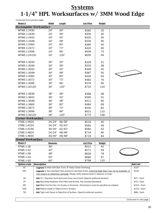### **Systems 1-1/4" HPL Worksurfaces w/ 3MM Wood Edge**

*Continued from previous page*

| Model #                        | Width                                                                                    | <u>Length</u> | <b>List Price</b>                                                                                   | Weight |  |                               |  |
|--------------------------------|------------------------------------------------------------------------------------------|---------------|-----------------------------------------------------------------------------------------------------|--------|--|-------------------------------|--|
| <b>Rectangular Worksurface</b> |                                                                                          |               |                                                                                                     |        |  |                               |  |
| WTWE-1-2430                    | 24"                                                                                      | 30"           | \$282                                                                                               | 25     |  |                               |  |
| WTWE-1-2436                    | 24"                                                                                      | 36"           | \$300                                                                                               | 30     |  |                               |  |
| WTWE-1-2442                    | 24"                                                                                      | 42"           | \$325                                                                                               | 35     |  |                               |  |
| WTWE-1-2448                    | 24"                                                                                      | 48"           | \$334                                                                                               | 40     |  |                               |  |
| WTWE-1-2460                    | 24"                                                                                      | 60"           | \$385                                                                                               | 50     |  |                               |  |
| WTWE-1-2472                    | 24"                                                                                      | 72"           | \$420                                                                                               | 60     |  |                               |  |
| WTWE-1-2496                    | 24"                                                                                      | 96"           | \$509                                                                                               | 75     |  |                               |  |
| WTWE-1-24120                   | 24"                                                                                      | 120"          | \$635                                                                                               | 94     |  |                               |  |
|                                |                                                                                          |               |                                                                                                     |        |  |                               |  |
| WTWE-1-3030                    | 30"                                                                                      | 30"           | \$329                                                                                               | 31     |  |                               |  |
| WTWE-1-3036                    | 30"                                                                                      | 36"           | \$333                                                                                               | 38     |  |                               |  |
| WTWE-1-3042                    | 30"                                                                                      | 42"           | \$349                                                                                               | 42     |  |                               |  |
| WTWE-1-3048                    | 30"                                                                                      | 48"           | \$387                                                                                               | 50     |  |                               |  |
| WTWE-1-3060                    | 30"                                                                                      | 60"           | \$426                                                                                               | 64     |  |                               |  |
| WTWE-1-3072                    | 30"                                                                                      | 72"           | \$482                                                                                               | 76     |  |                               |  |
| WTWE-1-3096                    | 30"                                                                                      | 96"           | \$579                                                                                               | 95     |  |                               |  |
| WTWE-1-30120                   | 30"                                                                                      | 120"          | \$724                                                                                               | 119    |  |                               |  |
|                                |                                                                                          |               |                                                                                                     |        |  |                               |  |
| WTWE-1-3636                    | 36"                                                                                      | 36"           | \$368                                                                                               | 48     |  |                               |  |
| WTWE-1-3642                    | 36"                                                                                      | 42"           | \$390                                                                                               | 51     |  |                               |  |
| WTWE-1-3648                    | 36"                                                                                      | 48"           | \$411                                                                                               | 60     |  |                               |  |
| WTWE-1-3660                    | 36"                                                                                      | 60"           | \$484                                                                                               | 69     |  |                               |  |
| WTWE-1-3672                    | 36"                                                                                      | 72"           | \$535                                                                                               | 82     |  |                               |  |
| WTWE-1-3696                    | 36"                                                                                      | 96"           | \$621                                                                                               | 110    |  |                               |  |
| WTWE-1-36120                   | 36"                                                                                      | 120"          | \$775                                                                                               | 138    |  |                               |  |
| <b>Corner Worksurface</b>      |                                                                                          |               |                                                                                                     |        |  |                               |  |
| CTWE-1-3624                    | 24/24"                                                                                   | 36/36"        | \$516                                                                                               | 40     |  |                               |  |
| CTWE-1-4224                    | 24/24"                                                                                   | 42/42"        | \$583                                                                                               | 49     |  |                               |  |
| CTWE-1-4230                    | 30/30"                                                                                   | 42/42"        | \$583                                                                                               | 52     |  |                               |  |
| CTWE-1-4824                    | 24/24"                                                                                   | 48/48"        | \$719                                                                                               | 60     |  |                               |  |
| CTWE-1-4830                    | 30/30"                                                                                   | 48/48"        | \$719                                                                                               | 64     |  |                               |  |
| <b>Round Worksurface</b>       |                                                                                          |               |                                                                                                     |        |  |                               |  |
| Model #                        | <u>Diameter</u>                                                                          |               | <b>List Price</b>                                                                                   | Weight |  |                               |  |
| RTWE-1-36                      | 36"                                                                                      |               | \$521                                                                                               | 42     |  |                               |  |
| RTWE-1-42                      | 42"                                                                                      |               | \$571                                                                                               | 59     |  |                               |  |
| RTWE-1-48                      | 48"                                                                                      |               | \$626                                                                                               | 78     |  |                               |  |
| RTWE-1-54                      | 54"                                                                                      |               | \$684                                                                                               | 97     |  |                               |  |
| <b>RTWE-1-60</b>               | 60"                                                                                      |               | \$768                                                                                               | 110    |  |                               |  |
| Option/code                    | <b>Description</b>                                                                       |               |                                                                                                     |        |  | <b>Add List</b>               |  |
| BT                             |                                                                                          |               | <b>Upgrade</b> Surface with Bow Front, 6" Deep Center Overhang                                      |        |  | \$167                         |  |
| <b>HPL</b>                     |                                                                                          |               | Upgrade to Non-standard (Non-premium) laminate finish; matching Edge Stain may not be available, or |        |  | \$144                         |  |
|                                |                                                                                          |               | may require an additional upcharge. Please verify requirements in advance of order.                 |        |  |                               |  |
|                                | СG<br>Add 2½" Diameter Cord Grommet Cover and Cutout (Specify preferred location)        |               |                                                                                                     |        |  |                               |  |
|                                | <b>FP</b><br><b>Add</b> Mounting Hardware (Flat Plate and Screws, Not included Standard) |               |                                                                                                     |        |  |                               |  |
| МC                             |                                                                                          |               | <b>Add</b> Miter Cut/Cut Out, for Access or Grommet (Dimensions must be specified as needed)        |        |  | $$10 /$ Each<br>$$152 /$ Each |  |
| <b>RAD</b>                     | <b>Add</b> Radius Inside or Radius End to Surface                                        |               |                                                                                                     |        |  | $$152 /$ Each                 |  |
| TJS                            |                                                                                          |               | <b>Add</b> Tight Joint Seam to Side/End of Surface (Specify preferred location)                     |        |  | \$88 / Each                   |  |
|                                |                                                                                          |               |                                                                                                     |        |  |                               |  |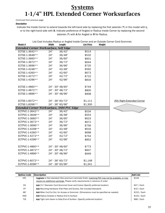### **Systems 1-1/4" HPL Extended Corner Worksurfaces**

*Continued from previous page*

#### *Description*

Indicate the Inside Corner to extend towards the left-hand side by replacing the first asterisk (\*) in the model with L, or to the right-hand side with R. Indicate preference of Angled or Radius Inside Corner by replacing the second asterisk (\*) with A for Angled or R for Radius.

| Model #                                          | <b>Width</b> | Length           | List soot includes nudide or highed morae somer and an o<br><b>List Price</b> | <b>Weight</b> |                            |
|--------------------------------------------------|--------------|------------------|-------------------------------------------------------------------------------|---------------|----------------------------|
| <b>Extended Corner Worksurface, Self Edge</b>    |              |                  |                                                                               |               |                            |
| ECTSE-1-3642**                                   | 24"          | 36/42"           | \$514                                                                         |               |                            |
| ECTSE-1-3648**                                   | 24"          | 36/48"           | \$532                                                                         |               |                            |
| ECTSE-1-3660**                                   | 24"          | 36/60"           | \$601                                                                         |               |                            |
| ECTSE-1-3672**                                   | 24"          | 36/72"           | \$644                                                                         |               |                            |
| ECTSE-1-3696**                                   | 24"          | 36/96"           | \$725                                                                         |               |                            |
| ECTSE-1-4248**                                   | 24"          | 42/48"           | \$592                                                                         |               |                            |
| ECTSE-1-4260**                                   | 24"          | 42/60"           | \$673                                                                         |               |                            |
| ECTSE-1-4272**                                   | 24"          | 42/72"           | \$722                                                                         |               |                            |
| ECTSE-1-4296**                                   | 24"          | 42/96"           | \$816                                                                         |               |                            |
|                                                  |              |                  |                                                                               |               |                            |
| ECTSE-1-4860**                                   |              | 24" - 30" 48/60" | \$744                                                                         |               |                            |
| ECTSE-1-4872**                                   |              | 24" - 30" 48/72" | \$800                                                                         |               |                            |
| ECTSE-1-4896**                                   |              | 24" - 30" 48/96" | \$908                                                                         |               |                            |
|                                                  |              |                  |                                                                               |               |                            |
| ECTSE-1-6072**                                   |              | 24" - 36" 60/72" | \$1,111                                                                       |               | (RA) Right-Extended Corner |
| ECTSE-1-6096**                                   |              | 24" - 36" 60/96" | \$1,300                                                                       |               |                            |
| <b>Extended Corner Worksurface, 3MM PVC Edge</b> |              |                  |                                                                               |               |                            |
| ECTPVC-1-3642**                                  | 24"          | 36/42"           | \$534                                                                         |               |                            |
| ECTPVC-1-3648**                                  | 24"          | 36/48"           | \$553                                                                         |               |                            |
| ECTPVC-1-3660**                                  | 24"          | 36/60"           | \$623                                                                         |               |                            |
| ECTPVC-1-3672**                                  | 24"          | 36/72"           | \$672                                                                         |               |                            |
| ECTPVC-1-3696**                                  | 24"          | 36/96"           | \$756                                                                         |               |                            |
| ECTPVC-1-4248**                                  | 24"          | 42/48"           | \$616                                                                         |               |                            |
| ECTPVC-1-4260**                                  | 24"          | 42/60"           | \$698                                                                         |               |                            |
| ECTPVC-1-4272**                                  | 24"          | 42/72"           | \$754                                                                         |               |                            |
| ECTPVC-1-4296**                                  | 24"          | 42/96"           | \$852                                                                         |               |                            |
|                                                  |              |                  |                                                                               |               |                            |
| ECTPVC-1-4860**                                  |              | 24" - 30" 48/60" | \$773                                                                         |               |                            |
| ECTPVC-1-4872**                                  |              | 24" - 30" 48/72" | \$837                                                                         |               |                            |
| ECTPVC-1-4896**                                  |              | 24" - 30" 48/96" | \$949                                                                         |               |                            |
|                                                  |              |                  |                                                                               |               |                            |
| ECTPVC-1-6072**                                  |              | 24" - 36" 60/72" | \$1,148                                                                       |               |                            |
| ECTPVC-1-6096**                                  |              | 24" - 36" 60/96" | \$1,341                                                                       |               |                            |

List Cost Includes Radius or Angled Inside Corner and an Outside Corner Cord Grommet.

| Option/code | Description                                                                                             | Add List      |
|-------------|---------------------------------------------------------------------------------------------------------|---------------|
| <b>HPL</b>  | <b>Upgrade</b> to Non-standard (Non-premium) laminate finish; matching PVC may not be available, or may | \$144         |
|             | require an additional upcharge. Please verify requirements in advance of order.                         |               |
| CG          | <b>Add</b> 2½" Diameter Cord Grommet Cover and Cutout (Specify preferred location)                      | $$47 /$ Each  |
| <b>FP</b>   | <b>Add</b> Mounting Hardware (Flat Plate and Screws, Not included Standard)                             | $$10 /$ Each  |
| <b>MC</b>   | Add Miter Cut/Cut Out, for Access or Grommet (Dimensions must be specified as needed)                   | \$152 / Each  |
| <b>RAD</b>  | <b>Add</b> Radius Outside or Radius End to Surface                                                      | $$152 /$ Each |
| TJS.        | Add Tight Joint Seam to Side/End of Surface (Specify preferred location)                                | \$88 / Each   |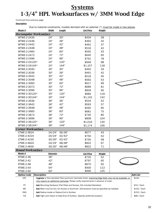### **Systems 1-3/4" HPL Worksurfaces w/ 3MM Wood Edge**

*Continued from previous page*

*Description*

Due to material constraints, models denoted with an asterisk (\*) must be made in two pieces.

| <u>Model #</u>                 | Width                                                                                                                                                                                      | <u>Length</u> | <b>List Price</b>                                                                            | Weight     |  |                          |  |  |
|--------------------------------|--------------------------------------------------------------------------------------------------------------------------------------------------------------------------------------------|---------------|----------------------------------------------------------------------------------------------|------------|--|--------------------------|--|--|
| <b>Rectangular Worksurface</b> |                                                                                                                                                                                            |               |                                                                                              |            |  |                          |  |  |
| WTWE-2-2430                    | 24"                                                                                                                                                                                        | 30"           | \$434                                                                                        | 28         |  |                          |  |  |
| WTWE-2-2436                    | 24"                                                                                                                                                                                        | 36"           | \$462                                                                                        | 32         |  |                          |  |  |
| WTWE-2-2442                    | 24"                                                                                                                                                                                        | 42"           | \$491<br>37                                                                                  |            |  |                          |  |  |
| WTWE-2-2448                    | 24"                                                                                                                                                                                        | 48"           | \$516                                                                                        | 42         |  |                          |  |  |
| WTWE-2-2460                    | 24"                                                                                                                                                                                        | 60"           | \$592                                                                                        | 53         |  |                          |  |  |
| WTWE-2-2472                    | 24"                                                                                                                                                                                        | 72"           | \$645                                                                                        | 65         |  |                          |  |  |
| WTWE-2-2496                    | 24"                                                                                                                                                                                        | 96"           | \$791                                                                                        | 78         |  |                          |  |  |
| WTWE-2-24120*                  | 24"                                                                                                                                                                                        | 120"          | \$949                                                                                        | 98         |  |                          |  |  |
| WTWE-2-24144*                  | 24"                                                                                                                                                                                        | 144"          | \$1,107                                                                                      | 118        |  |                          |  |  |
| WTWE-2-3030                    | 30"                                                                                                                                                                                        | 30"           | \$462                                                                                        | 34         |  |                          |  |  |
| WTWE-2-3036                    | 30"                                                                                                                                                                                        | 36"           | \$491                                                                                        | 42         |  |                          |  |  |
| WTWE-2-3042                    | 30"                                                                                                                                                                                        | 42"           | \$516                                                                                        | 45         |  |                          |  |  |
| WTWE-2-3048                    | 30"                                                                                                                                                                                        | 48"           | \$563                                                                                        | 53         |  |                          |  |  |
| WTWE-2-3060                    | 30"                                                                                                                                                                                        | 60"           | \$617                                                                                        | 69         |  |                          |  |  |
| WTWE-2-3072                    | 30"                                                                                                                                                                                        | 72"           | \$689                                                                                        | 81         |  |                          |  |  |
| WTWE-2-3096                    | 30"                                                                                                                                                                                        | 96"           | \$826                                                                                        | 95         |  |                          |  |  |
| WTWE-2-30120*                  | 30"                                                                                                                                                                                        | 120"          | \$984                                                                                        | 119        |  |                          |  |  |
| WTWE-2-30144*                  | 30"                                                                                                                                                                                        | 144"          | \$1,142                                                                                      | 142        |  |                          |  |  |
| WTWE-2-3636                    | 36"                                                                                                                                                                                        | 36"           | \$534                                                                                        | 52         |  |                          |  |  |
| WTWE-2-3642                    | 36"                                                                                                                                                                                        | 42"           | \$563                                                                                        | 57         |  |                          |  |  |
| WTWE-2-3648                    | 36"                                                                                                                                                                                        | 48"           | \$592                                                                                        | 65         |  |                          |  |  |
| WTWE-2-3660                    | 36"                                                                                                                                                                                        | 60"           | \$681                                                                                        | 75         |  |                          |  |  |
| WTWE-2-3672                    | 36"                                                                                                                                                                                        | 72"           | \$740                                                                                        | 85         |  |                          |  |  |
| WTWE-2-3696                    | 36"                                                                                                                                                                                        | 96"           | \$858                                                                                        | 104        |  |                          |  |  |
| WTWE-2-36120*                  | 36"                                                                                                                                                                                        | 120"          | \$1,016                                                                                      | 130        |  |                          |  |  |
| WTWE-2-36144*                  | 36"                                                                                                                                                                                        | 144"          | \$1,174                                                                                      | 156        |  |                          |  |  |
| <b>Corner Worksurface</b>      |                                                                                                                                                                                            |               |                                                                                              |            |  |                          |  |  |
| CTWE-2-3624                    | 24/24"                                                                                                                                                                                     | 36/36"        | \$677                                                                                        | 43         |  |                          |  |  |
| CTWE-2-4224                    | 24/24"                                                                                                                                                                                     | 42/42"        | \$750                                                                                        | 52         |  |                          |  |  |
| CTWE-2-4230                    | 30/30"                                                                                                                                                                                     | 42/42"        | \$750                                                                                        | 58         |  |                          |  |  |
| CTWE-2-4824                    | 24/24"                                                                                                                                                                                     | 48/48"        | \$822                                                                                        | 67         |  |                          |  |  |
| CTWE-2-4830                    | 30/30"                                                                                                                                                                                     |               |                                                                                              |            |  |                          |  |  |
|                                |                                                                                                                                                                                            | 48/48"        | \$822                                                                                        | 71         |  |                          |  |  |
| <b>Round Worksurface</b>       |                                                                                                                                                                                            |               |                                                                                              |            |  |                          |  |  |
| Model #                        | <b>Diameter</b><br>36"                                                                                                                                                                     |               | <b>List Price</b>                                                                            | Weight     |  |                          |  |  |
| <b>RTWE-2-36</b>               |                                                                                                                                                                                            |               | \$725                                                                                        | 52         |  |                          |  |  |
| <b>RTWE-2-42</b>               | 42"<br>48"                                                                                                                                                                                 |               | \$797<br>\$870                                                                               | 65         |  |                          |  |  |
| <b>RTWE-2-48</b>               |                                                                                                                                                                                            |               |                                                                                              | 92         |  |                          |  |  |
| RTWE-2-54                      | 54"                                                                                                                                                                                        |               | \$930<br>\$990                                                                               | 113<br>125 |  |                          |  |  |
| <b>RTWE-2-60</b>               | 60"                                                                                                                                                                                        |               |                                                                                              |            |  |                          |  |  |
| Option/code                    | <b>Description</b>                                                                                                                                                                         |               |                                                                                              |            |  | <b>Add List</b><br>\$144 |  |  |
| <b>HPL</b>                     | Upgrade to Non-standard (Non-premium) laminate finish; matching Edge Stain may not be available, or<br>may require an additional upcharge. Please verify requirements in advance of order. |               |                                                                                              |            |  |                          |  |  |
| FP                             | <b>Add</b> Mounting Hardware (Flat Plate and Screws, Not included Standard)                                                                                                                |               |                                                                                              |            |  |                          |  |  |
| МC                             |                                                                                                                                                                                            |               | <b>Add</b> Miter Cut/Cut Out, for Access or Grommet (Dimensions must be specified as needed) |            |  | $$152 /$ Each            |  |  |
| RAD                            | Add Radius Inside or Radius End to Surface                                                                                                                                                 |               |                                                                                              |            |  | $$152 /$ Each            |  |  |
| <b>TJS</b>                     | Add Tight Joint Seam to Side/End of Surface (Specify preferred location)                                                                                                                   |               |                                                                                              |            |  |                          |  |  |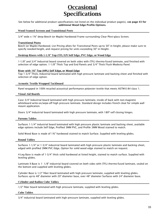### **Occasional Specifications**

See below for additional product specifications not listed on the individual product page(s), s**ee page 43 for additional Wood Edge Profile Options.**

#### **Wood Framed Screens and Transitional Posts**

3/4" wide x 1¾" deep Beech (or Maple) Hardwood Frame surrounding Clear Plexi-glass Screen.

#### **Transitional Posts**

Beech (or Maple) Hardwood. List Pricing allots for Transitional Posts up-to 30" in height, please make sure to specify needed-height, and request pricing for units exceeding 30" in Height.

#### **Desktop Risers with 1-1/8" Top (TFL/LP) Self Edge, PVC Edge, or Wood Edge**

1-1/8" and 3/4" Industrial board covered on both sides with (TFL) thermo-fused laminate, and finished with selection of edge option. 1-1/8" Thick Top and End Panels and 3/4" Thick Flush Modesty Panel.

#### **Riser with 1¾" Top (HPL) Self Edge, or Wood Edge**

Top 1-3/4" Thick, Industrial board laminated with high pressure laminate and backing sheet and finished with selection of edge option.

#### **Acoustic Textile Wrapped Tackboard**

Panel wrapped in 100% recycled acoustical performance polyester textile that meets ASTM-E-84 class 1.

#### **Visual Aid Boards**

Case 3/4" Industrial board laminated with high pressure laminate, inside of back with non-magnetic whiteboard write-on/wipe-off high pressure laminate. Standard design includes french cleat for simple wall mount application.

Doors 3/4'' Industrial board laminated with high pressure laminate, with 180º self closing hinges.

#### **Parsons Tables**

Surfaces 1-1/4" industrial board laminated with high pressure plastic laminate and backing sheet, available edge options include Self Edge, Profiled 3MM PVC, and Profile 3MM Wood stained to match.

Solid Wood Base is made of 1¾" hardwood stained to match Surface. Supplied with leveling glides.

#### **Round Tables**

Surfaces 1-1/4" or 1-3/4" industrial board laminated with high pressure plastic laminate and backing sheet, edged with profiled 3MM PVC Edge, Option for solid wood edge stained to match on request.

4-Leg Base is made of 1-3/4" thick solid hardwood at listed height, stained to match surface. Supplied with leveling glides.

Laminate X-Base is 1- 1/8" industrial board covered on both sides with (TFL) thermo-fused laminate, sealed on the bottom and supplied with leveling glides.

Cylinder Base is 1/2" fiber board laminated with high pressure laminate, supplied with leveling glides. Surfaces up-to 48" diameter with 20" diameter base, over 48" diameter Surfaces with 24" diameter base.

#### **Cylinder and Radius Cube Tables**

1/2" fiber board laminated with high pressure laminate, supplied with leveling glides.

#### **Cube Tables**

3/4" industrial board laminated with high pressure laminate, supplied with leveling glides.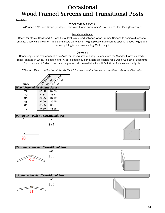### **Occasional Wood Framed Screens and Transitional Posts**

#### *Description*

#### Wood Framed Screens

3/4" wide x 1¾" deep Beech (or Maple) Hardwood Frame surrounding 1/4" Thick\* Clear Plexi-glass Screen.

#### Transitional Posts

Beech (or Maple) Hardwood. A Transitional Post is required between Wood Framed Screens to achieve directional change. List Pricing allots for Transitional Posts up-to 30" in height, please make sure to specify needed-height, and request pricing for units exceeding 30" in Height.

#### **Ouickship**

Depending on the availability of Plexi-glass for the required quantity, Screens with the Wooden Frame painted in Black, painted in White, finished in Cherry, or finished in (Clear) Maple are eligible for 1-week "Quickship" Lead time from the date of Order to the date the product will be available for Will Call. Other finishes are ineligible.

*\* Plexi-glass Thickness subject to market availability, C.O.D. reserves the right to change this specification without providing notice.*



*Wood Framed Plexi-glass Screen*

| 24" | \$150 | \$275 |
|-----|-------|-------|
| 30" | \$188 | \$342 |
| 36" | \$225 | \$412 |
| 48" | \$300 | \$555 |
| 60" | \$375 | \$687 |
| 72" | \$450 | \$825 |
|     |       |       |







List \$35 *11° Angle Wooden Transitional Post*



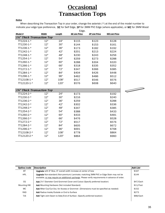# **Occasional Transaction Tops**

#### *Notice*

When describing the Transaction Top in your order, change the asterisk (\*) at the end of the model number to indicate your edge type preference, SE for Self Edge, 3P for 3MM PVC Edge (where applicable), or WE for 3MM Wood

|                                                       | Edge. |        |                      |                      |                      |                          |  |  |
|-------------------------------------------------------|-------|--------|----------------------|----------------------|----------------------|--------------------------|--|--|
| Model #                                               | Width | Length | <b>SE List Price</b> | <b>3P List Price</b> | <b>WE List Price</b> |                          |  |  |
| 1¼" Thick Transaction Top                             |       |        |                      |                      |                      |                          |  |  |
| $TT1224 - 1.$                                         | 12"   | 24"    | \$115                | \$123                | \$128                |                          |  |  |
| TT1230-1-*                                            | 12"   | 30"    | \$144                | \$153                | \$161                |                          |  |  |
| TT1236-1-*                                            | 12"   | 36"    | \$173                | \$182                | \$192                |                          |  |  |
| TT1242-1-*                                            | 12"   | 42"    | \$201                | \$213                | \$224                |                          |  |  |
| TT1248-1-*                                            | 12"   | 48"    | \$230                | \$243                | \$256                |                          |  |  |
| TT1254-1-*                                            | 12"   | 54"    | \$259                | \$273                | \$288                |                          |  |  |
| TT1260-1-*                                            | 12"   | 60"    | \$288                | \$304                | \$320                |                          |  |  |
| TT1266-1-*                                            | 12"   | 66"    | \$318                | \$335                | \$352                |                          |  |  |
| TT1272-1-*                                            | 12"   | 72"    | \$347                | \$366                | \$385                |                          |  |  |
| TT1284-1-*                                            | 12"   | 84"    | \$404                | \$426                | \$448                |                          |  |  |
| TT1296-1-*                                            | 12"   | 96"    | \$462                | \$486                | \$512                |                          |  |  |
| TT12108-1-*                                           | 12"   | 108"   | \$517                | \$546                | \$576                |                          |  |  |
| TT12120-1-*                                           | 12"   | 120"   | \$576                | \$608                | \$640                |                          |  |  |
|                                                       |       |        |                      |                      |                      |                          |  |  |
| 1 <sup>3</sup> / <sub>4</sub> " Thick Transaction Top |       |        |                      |                      |                      | $\overline{\phantom{a}}$ |  |  |
| TT1224-2-*                                            | 12"   | 24"    | \$173                |                      | \$192                |                          |  |  |
| TT1230-2-*                                            | 12"   | 30"    | \$216                |                      | \$240                |                          |  |  |
| TT1236-2-*                                            | 12"   | 36"    | \$259                |                      | \$288                |                          |  |  |
| TT1242-2-*                                            | 12"   | 42"    | \$302                |                      | \$336                |                          |  |  |
| TT1248-2-*                                            | 12"   | 48"    | \$347                |                      | \$385                |                          |  |  |
| TT1254-2-*                                            | 12"   | 54"    | \$388                |                      | \$433                |                          |  |  |
| TT1260-2-*                                            | 12"   | 60"    | \$433                |                      | \$481                |                          |  |  |
| TT1266-2-*                                            | 12"   | 66"    | \$476                |                      | \$528                |                          |  |  |
| TT1272-2-*                                            | 12"   | 72"    | \$517                |                      | \$576                |                          |  |  |
| TT1284-2-*                                            | 12"   | 84"    | \$605                |                      | \$672                |                          |  |  |
| TT1296-2-*                                            | 12"   | 96"    | \$691                |                      | \$768                |                          |  |  |
| TT12108-2-*                                           | 12"   | 108"   | \$778                |                      | \$864                |                          |  |  |
| TT12120-2-*                                           | 12"   | 120"   | \$864                |                      | \$960                |                          |  |  |
|                                                       |       |        |                      |                      |                      |                          |  |  |

| Option/code        | Description                                                                                                                                                                                        | Add List  |
|--------------------|----------------------------------------------------------------------------------------------------------------------------------------------------------------------------------------------------|-----------|
| BT                 | <b>Upgrade</b> with 6" Bow, 6" overall width increase at center of bow                                                                                                                             | \$167     |
| <b>HPL</b>         | <b>Upgrade</b> Non-standard (Non-premium) Laminate; matching 3MM PVC or Edge Stain may not be<br>available, or may require an additional upcharge. Please verify requirements in advance of order. | \$144     |
| CG                 | <b>Add</b> 2½" Diameter Cord Grommet Cover and Cutout (Specify preferred location)                                                                                                                 | \$47/Each |
| <b>Mounting HW</b> | <b>Add</b> Mounting Hardware (Not included Standard)                                                                                                                                               | \$11/Foot |
| <b>MC</b>          | Add Miter Cut/Cut Out, for Access or Grommet (Dimensions must be specified as needed)                                                                                                              | \$152     |
| <b>RAD</b>         | Add Radius Inside/Outside or End to Surface                                                                                                                                                        | \$273     |
| <b>TJS</b>         | Add Tight Joint Seam to Side/End of Surface (Specify preferred location)                                                                                                                           | \$88/Each |
|                    |                                                                                                                                                                                                    |           |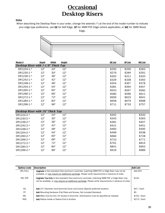### **Occasional Desktop Risers**

#### *Notice*

When describing the Desktop Riser in your order, change the asterisk (\*) at the end of the model number to indicate your edge type preference, use SE for Self Edge, 3P for 3MM PVC Edge (where applicable), or WE for 3MM Wood Edge.



| Model #                             | Depth | Width | Height | <b>SE List</b> | 3P List | <b>WE List</b> |
|-------------------------------------|-------|-------|--------|----------------|---------|----------------|
| Desktop Riser with 1-1/8" Thick Top |       |       |        |                |         |                |
| DR1224-1-*                          | 12"   | 24"   | 12"    | \$250          | \$256   | \$262          |
| DR1230-1-*                          | 12"   | 30"   | 12"    | \$276          | \$284   | \$291          |
| DR1236-1-*                          | 12"   | 36"   | 12"    | \$302          | \$311   | \$320          |
| DR1242-1-*                          | 12"   | 42"   | 12"    | \$329          | \$338   | \$350          |
| DR1248-1-*                          | 12"   | 48"   | 12"    | \$354          | \$367   | \$378          |
| DR1254-1-*                          | 12"   | 54"   | 12"    | \$381          | \$394   | \$407          |
| DR1260-1-*                          | 12"   | 60"   | 12"    | \$553          | \$567   | \$582          |
| DR1266-1-*                          | 12"   | 66"   | 12"    | \$580          | \$596   | \$611          |
| DR1272-1-*                          | 12"   | 72"   | 12"    | \$606          | \$623   | \$641          |
| DR1284-1-*                          | 12"   | 84"   | 12"    | \$658          | \$679   | \$698          |
| DR1296-1-*                          | 12"   | 96"   | 12"    | \$711          | \$733   | \$757          |
|                                     |       |       |        |                |         |                |
| Desktop Riser with 1%" Thick Top    |       |       |        |                |         |                |
| DR1224-2-*                          | 12"   | 24"   | 12"    | \$302          |         | \$320          |
| DR1230-2-*                          | 12"   | 30"   | 12"    | \$343          |         | \$363          |
| DR1236-2-*                          | 12"   | 36"   | 12"    | \$381          |         | \$407          |
| DR1242-2-*                          | 12"   | 42"   | 12"    | \$421          |         | \$451          |
| DR1248-2-*                          | 12"   | 48"   | 12"    | \$460          |         | \$495          |
| DR1254-2-*                          | 12"   | 54"   | 12"    | \$499          |         | \$538          |
| DR1260-2-*                          | 12"   | 60"   | 12"    | \$684          |         | \$728          |
| DR1266-2-*                          | 12"   | 66"   | 12"    | \$723          |         | \$771          |
| DR1272-2-*                          | 12"   | 72"   | 12"    | \$761          |         | \$814          |
| DR1284-2-*                          | 12"   | 84"   | 12"    | \$841          |         | \$902          |
| DR1296-2-*                          | 12"   | 96"   | 12"    | \$919          |         | \$989          |
|                                     |       |       |        |                |         |                |

| Option/code     | <b>Description</b>                                                                                       | <b>Add List</b> |
|-----------------|----------------------------------------------------------------------------------------------------------|-----------------|
| <b>HPL-FULL</b> | <b>Upgrade</b> to Non-standard (Non-premium) Laminate; matching 3MM PVC or Edge Stain may not be         | Add 40%         |
|                 | available, or may require an additional upcharge. Please verify requirements in advance of order.        |                 |
| HPI-TOP         | <b>Upgrade Top-Only</b> to Non-standard (Non-premium) Laminate; matching 3MM PVC or Edge Stain may       | \$144           |
|                 | not be available, or may require an additional upcharge. Please verify requirements in advance of order. |                 |
|                 |                                                                                                          |                 |
| CG              | Add 2½" Diameter Cord Grommet Cover and Cutout (Specify preferred location)                              | $$47 /$ Each    |
| <b>FP</b>       | Add Mounting Hardware (Flat Plate and Screws, Not included Standard)                                     | \$5             |
| MC.             | Add Miter Cut/Cut Out, for Access or Grommet (Dimensions must be specified as needed)                    | $$152 /$ Each   |
| <b>RAD</b>      | <b>Add</b> Radius Inside or Radius End to Surface                                                        | $$273 /$ Each   |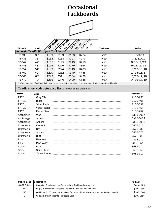# **Occasional Tackboards**





| Model #                                   | Length                                                                                                         | $\mathbf{v}$<br>$\heartsuit$ | V<br>ঔ | ട്ട്<br>$\sqrt{2}$ | ్రా<br>$\heartsuit$ | <b>Thickness</b> | Weight      |  |  |  |
|-------------------------------------------|----------------------------------------------------------------------------------------------------------------|------------------------------|--------|--------------------|---------------------|------------------|-------------|--|--|--|
| <b>Acoustic Textile Wrapped Tackboard</b> |                                                                                                                |                              |        |                    |                     |                  |             |  |  |  |
| TB-*30                                    | 30"                                                                                                            | \$109                        | \$139  | \$173              | \$224               | 9/16"            | 6/7/9/11    |  |  |  |
| TB-*36                                    | 36"                                                                                                            | \$133                        | \$168  | \$207              | \$273               | 9/16"            | 7/8/11/12   |  |  |  |
| TB-*42                                    | 42"                                                                                                            | \$155                        | \$195  | \$243              | \$218               | 9/16"            | 8/10/12/13  |  |  |  |
| TB-*48                                    | 48"                                                                                                            | \$176                        | \$226  | \$279              | \$364               | 9/16"            | 9/11/13/14  |  |  |  |
| TB-*54                                    | 54"                                                                                                            | \$199                        | \$274  | \$313              | \$408               | 9/16"            | 10/12/15/16 |  |  |  |
| TB-*60                                    | 60"                                                                                                            | \$220                        | \$282  | \$349              | \$455               | 9/16"            | 12/13/16/17 |  |  |  |
| TB-*66                                    | 66"                                                                                                            | \$243                        | \$311  | \$384              | \$499               | 9/16"            | 13/15/17/18 |  |  |  |
| TB-*72                                    | 72"                                                                                                            | \$266                        | \$340  | \$420              | \$548               | 9/16"            | 14/16/18/19 |  |  |  |
|                                           | * When specifying Tackboards in your order, replace the asterisk (*) in the model # with the preferred height. |                              |        |                    |                     |                  |             |  |  |  |

**Textile short code reference list** ( see page 50 for examples )

| <b>Pattern</b> | Color                | short code |
|----------------|----------------------|------------|
| <b>FR701</b>   | <b>Grey Mix</b>      | 2100-238   |
| <b>FR701</b>   | <b>Black</b>         | 2100-408   |
| <b>FR701</b>   | <b>Silver Papier</b> | 2100-538   |
| <b>FR701</b>   | Verte Papier         | 2100-561   |
| <b>FR701</b>   | Desert Sand          | 2100-758   |
| Anchorage      | Wolf                 | 2335-2027  |
| Anchorage      | Straw                | 2335-2034  |
| Anchorage      | Angora               | 2335-2035  |
| Crosstown      | Cement               | 2526-010   |
| Crosstown      | Ray                  | 2526-030   |
| Crosstown      | <b>Stucco</b>        | 2526-070   |
| Crosstown      | <b>Buff</b>          | 2526-080   |
| Lido           | Hermosa              | 2858-010   |
| Lido           | Pine Valley          | 2858-054   |
| Spinel         | Opal                 | 3582-011   |
| Spinel         | Sand Stone           | 3582-050   |
| Spinel         | <b>Yellow Stone</b>  | 3582-112   |

| Option/code   | Description                                                                           | <b>Add List</b> |
|---------------|---------------------------------------------------------------------------------------|-----------------|
| C.O.M. Fabric | <b>Upgrade</b> - Supply your own fabric to have Tackboard wrapped in.                 | Deduct 10%      |
| FC.           | Add 1/2" Thick French Cleat to Tackboard Back for Wall Mounting                       | \$39 / Each     |
| MC.           | Add Miter Cut/Cut Out, for Access or Grommet (Dimensions must be specified as needed) | \$108 / Each    |
| S             | Add 1/2" Thick Spacer to Tackboard Back                                               | \$39 / Each     |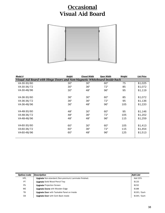# **Occasional Visual Aid Board**



| Model #     | Height                                                                    | <b>Closed Width</b> | <b>Open Width</b> | Weight | <b>List Price</b> |  |  |
|-------------|---------------------------------------------------------------------------|---------------------|-------------------|--------|-------------------|--|--|
|             | Visual Aid Board with Hinge Doors and Non-Magnetic Whiteboard Inside-back |                     |                   |        |                   |  |  |
| VA-30-30/60 | 30"                                                                       | 30"                 | 60"               | 75     | \$1,025           |  |  |
| VA-30-36/72 | 30"                                                                       | 36"                 | 72"               | 85     | \$1,072           |  |  |
| VA-30-48/96 | 30"                                                                       | 48"                 | 96"               | 95     | \$1,119           |  |  |
| VA-36-30/60 | 36"                                                                       | 30"                 | 60"               | 85     | \$1,072           |  |  |
| VA-36-36/72 | 36"                                                                       | 36"                 | 72"               | 95     | \$1,136           |  |  |
| VA-36-48/96 | 36"                                                                       | 48"                 | 96"               | 105    | \$1,220           |  |  |
| VA-48-30/60 | 48"                                                                       | 30"                 | 60"               | 95     | \$1,146           |  |  |
| VA-48-36/72 | 48"                                                                       | 36"                 | 72"               | 105    | \$1,202           |  |  |
| VA-48-48/96 | 48"                                                                       | 48"                 | 96"               | 115    | \$1,259           |  |  |
| VA-60-30/60 | 60"                                                                       | 30"                 | 60"               | 105    | \$1,413           |  |  |
| VA-60-36/72 | 60"                                                                       | 36"                 | 72"               | 115    | \$1,454           |  |  |
| VA-60-48/96 | 60"                                                                       | 48"                 | 96"               | 125    | \$1,513           |  |  |

| Option/code | Description                                                  | <b>Add List</b> |
|-------------|--------------------------------------------------------------|-----------------|
| <b>HPL</b>  | <b>Upgrade</b> Non-standard (Non-premium) Laminate finished. | Add 20%         |
| PT          | <b>Upgrade Solid Wood Pencil Tray</b>                        | \$133           |
| <b>PS</b>   | <b>Upgrade Projection Screen</b>                             | \$232           |
| <b>WE</b>   | <b>Upgrade Doors with Wooden Edge</b>                        | \$188           |
| TВ          | <b>Upgrade Door</b> with Tackable Panel on Inside            | \$100 / Each    |
| CВ          | <b>Upgrade Door</b> with Cork Back inside                    | \$194 / Each    |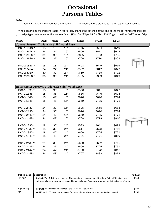### **Occasional Parsons Tables**

#### *Notice*

Parsons Table Solid Wood Base is made of 13/4" hardwood, and is stained to match top unless specified.

When describing the Parsons Table in your order, change the asterisk at the end of the model number to indicate your edge type preference for the worksurface: SE for Self Edge, 3P for 3MM PVC Edge, or WE for 3MM Wood Edge.

| Model #                                          | Depth | Width | Height | <b>SE List</b> | 3P List | <b>WE List</b> |  |
|--------------------------------------------------|-------|-------|--------|----------------|---------|----------------|--|
| <b>Square Parsons Table with Solid Wood Base</b> |       |       |        |                |         |                |  |
| P-SQ-1-1818-*                                    | 18"   | 18"   | 16"    | \$475          | \$524   | \$549          |  |
| P-S0-1-2424-*                                    | 24"   | 24"   | 16"    | \$556          | \$611   | \$642          |  |
| P-SQ-1-3030-*                                    | 30"   | 30"   | 16"    | \$635          | \$700   | \$735          |  |
| P-SQ-1-3636-*                                    | 36"   | 36"   | 16"    | \$700          | \$770   | \$809          |  |
|                                                  |       |       |        |                |         |                |  |
| P-SQ-2-1818-*                                    | 18"   | 18"   | 24"    | \$498          | \$549   | \$579          |  |
| P-SQ-2-2424-*                                    | 24"   | 24"   | 24"    | \$582          | \$642   | \$673          |  |
| P-SQ-2-3030-*                                    | 30"   | 30"   | 24"    | \$669          | \$735   | \$772          |  |
| P-SQ-2-3636-*                                    | 36"   | 36"   | 24"    | \$735          | \$809   | \$849          |  |
|                                                  |       |       |        |                |         |                |  |

| Rectangular Parsons Table with Solid Wood Base |     |     |     |       |       |       |  |
|------------------------------------------------|-----|-----|-----|-------|-------|-------|--|
| $P$ -CA-1-1830-*                               | 18" | 30" | 16" | \$556 | \$611 | \$642 |  |
| P-CA-1-1836-*                                  | 18" | 36" | 16" | \$586 | \$646 | \$678 |  |
| P-CA-1-1842-*                                  | 18" | 42" | 16" | \$626 | \$690 | \$724 |  |
| P-CA-1-1848-*                                  | 18" | 48" | 16" | \$669 | \$735 | \$771 |  |
|                                                |     |     |     |       |       |       |  |
| P-CA-1-2430-*                                  | 24" | 30" | 16" | \$595 | \$655 | \$688 |  |
| $P$ -CA-1-2436-*                               | 24" | 36" | 16" | \$626 | \$690 | \$724 |  |
| P-CA-1-2442-*                                  | 24" | 42" | 16" | \$669 | \$735 | \$771 |  |
| P-CA-1-2448-*                                  | 24" | 48" | 16" | \$708 | \$778 | \$816 |  |
|                                                |     |     |     |       |       |       |  |
| P-CA-2-1830-*                                  | 18" | 30" | 24" | \$583 | \$641 | \$673 |  |
| P-CA-2-1836-*                                  | 18" | 36" | 24" | \$617 | \$678 | \$712 |  |
| P-CA-2-1842-*                                  | 18" | 42" | 24" | \$660 | \$725 | \$761 |  |
| P-CA-2-1848-*                                  | 18" | 48" | 24" | \$701 | \$771 | \$810 |  |
|                                                |     |     |     |       |       |       |  |
| $P-CA-2-2430-*$                                | 24" | 30" | 24" | \$620 | \$682 | \$716 |  |
| P-CA-2-2436-*                                  | 24" | 36" | 24" | \$660 | \$725 | \$761 |  |
| $P$ -CA-2-2442-*                               | 24" | 42" | 24" | \$708 | \$778 | \$816 |  |
| P-CA-2-2448-*                                  | 24" | 48" | 24" | \$757 | \$832 | \$873 |  |
|                                                |     |     |     |       |       |       |  |

| Option/code    | Description                                                                                              | Add List |
|----------------|----------------------------------------------------------------------------------------------------------|----------|
| <b>HPL-TOP</b> | <b>Upgrade Top-Only</b> to Non-standard (Non-premium) Laminate; matching 3MM PVC or Edge Stain may       | \$144    |
|                | not be available, or may require an additional upcharge. Please verify requirements in advance of order. |          |
| Tapered Leg    | <b>Upgrade</b> Wood Base with Tapered Legs (Top $1\frac{3}{4}$ " - Bottom $\frac{3}{4}$ ")               | \$185    |
| MC.            | Add Miter Cut/Cut Out, for Access or Grommet (Dimensions must be specified as needed)                    | \$152    |
|                |                                                                                                          |          |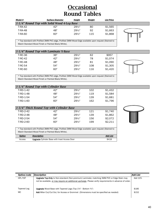### **Occasional Round Tables**

| Model #                                                                                              | <b>Surface Diameter</b> | Height            | Weight | <b>List Price</b> |  |  |  |
|------------------------------------------------------------------------------------------------------|-------------------------|-------------------|--------|-------------------|--|--|--|
| $1-1/4$ " Round Top with Solid Wood 4-Leg Base                                                       |                         |                   |        |                   |  |  |  |
| <b>T-RA-42</b>                                                                                       | 42"                     | $29\frac{1}{5}$ " | 80     | \$1,565           |  |  |  |
| <b>T-RA-48</b>                                                                                       | 48"                     | $29\frac{1}{2}$ " | 92     | \$1,663           |  |  |  |
| <b>T-RA-60</b>                                                                                       | 60"                     | $29^{1/2}$        | 115    | \$1,868           |  |  |  |
|                                                                                                      |                         |                   |        |                   |  |  |  |
| * Top standard with Profiled 3MM PVC edge. Profiled 3MM Wood Edge available upon request (Stained to |                         |                   |        |                   |  |  |  |

\* Top standard with Profiled 3MM PVC edge, Profiled 3MM Wood Edge available upon request (Stained to Match Standard Wood Finish or Painted Black/White).

| $1-1/4$ " Round Top with Laminate X-Base |     |                   |     |         |  |
|------------------------------------------|-----|-------------------|-----|---------|--|
| T-RC-36                                  | 36" | $29\frac{1}{2}$ " | 62  | \$957   |  |
| <b>T-RC-42</b>                           | 42" | $29\frac{1}{2}$ " | 78  | \$1,074 |  |
| <b>T-RC-48</b>                           | 48" | $29\frac{1}{2}$ " | 81  | \$1,090 |  |
| T-RC-54                                  | 54" | $29^{1/2}$        | 108 | \$1,305 |  |
| <b>T-RC-60</b>                           | 60" | $29\frac{1}{2}$ " | 116 | \$1,420 |  |



\* Top standard with Profiled 3MM PVC edge, Profiled 3MM Wood Edge available upon request (Stained to Match Standard Wood Finish or Painted Black/White).

| $1-1/4$ " Round Top with Cylinder Base |     |            |     |         |  |
|----------------------------------------|-----|------------|-----|---------|--|
| T-RD-1-42                              | 42" | $29^{1/2}$ | 102 | \$1.432 |  |
| T-RD-1-48                              | 48" | $29^{1/2}$ | 119 | \$1,584 |  |
| T-RD-1-54                              | 54" | $29^{1/2}$ | 139 | \$1,681 |  |
| T-RD-1-60                              | 60" | $29^{1/2}$ | 162 | \$1,796 |  |
|                                        |     |            |     |         |  |

| $1-3/4$ " Thick Round Top with Cylinder Base |     |                   |     |         |  |  |
|----------------------------------------------|-----|-------------------|-----|---------|--|--|
| T-RD-2-42                                    | 42" | $29^{1/2}$        | 121 | \$1,740 |  |  |
| T-RD-2-48                                    | 48" | $29\frac{1}{5}$ " | 139 | \$1,862 |  |  |
| T-RD-2-54                                    | 54" | $29\frac{1}{5}$ " | 156 | \$2,072 |  |  |
| T-RD-2-60                                    | 60" | $29^{1/2}$        | 199 | \$2.211 |  |  |



\* Top standard with Profiled 3MM PVC edge, Profiled 3MM Wood Edge available upon request (Stained to Match Standard Wood Finish or Painted Black/White).

| Option | <b>Description</b>                                  | <b>Add List</b> |
|--------|-----------------------------------------------------|-----------------|
| Access | <b>Upgrade</b> Cylinder Base with Inset Access Door | \$418           |

| Option/code        | Description                                                                                                                                                                                                    | Add List       |
|--------------------|----------------------------------------------------------------------------------------------------------------------------------------------------------------------------------------------------------------|----------------|
| HPL-TOP            | <b>Upgrade Top-Only</b> to Non-standard (Non-premium) Laminate; matching 3MM PVC or Edge Stain may<br>not be available, or may require an additional upcharge. Please verify requirements in advance of order. | Add 10%        |
| Tapered Leg<br>MC. | <b>Upgrade</b> Wood Base with Tapered Legs (Top $1\frac{3}{4}$ " - Bottom $\frac{3}{4}$ ")<br>Add Miter Cut/Cut Out, for Access or Grommet (Dimensions must be specified as needed)                            | \$185<br>\$152 |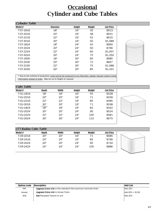# **Occasional Cylinder and Cube Tables**

| <b>Cylinder Table</b> |                 |        |        |                   |
|-----------------------|-----------------|--------|--------|-------------------|
| Model #               | <b>Diameter</b> | Height | Weight | <b>List Price</b> |
| T-CY-1816             | 18"             | 16"    | 35     | \$613             |
| T-CY-2016             | 20"             | 16"    | 38     | \$631             |
| T-CY-2216             | 22"             | 16"    | 42     | \$915             |
| T-CY-3016             | 30"             | 16"    | 50     | \$1,089           |
| T-CY-1824             | 18"             | 24"    | 42     | \$660             |
| T-CY-2024             | 20"             | 24"    | 50     | \$766             |
| T-CY-2224             | 22"             | 24"    | 60     | \$1,007           |
| T-CY-3024             | 30"             | 24"    | 75     | \$1,250           |
| T-CY-1830             | 18"             | 30"    | 60     | \$685             |
| T-CY-2030             | 20"             | 30"    | 72     | \$847             |
| T-CY-2230             | 22"             | 30"    | 75     | \$1,088           |
| T-CY-3030             | 30"             | 30"    | 85     | \$1,331           |
|                       |                 |        |        |                   |



\* Due to the method of production units cannot be produced to any Diameter, please request custom sizing information ahead of order. May be cut to Height on request.

| Cube Table       |       |       |        |        |                   |  |
|------------------|-------|-------|--------|--------|-------------------|--|
| Model #          | Depth | Width | Height | Weight | <b>List Price</b> |  |
| T-CU-1816        | 18"   | 18"   | 16"    | 55     | \$428             |  |
| T-CU-2016        | 20"   | 20"   | 16"    | 71     | \$439             |  |
| T-CU-2216        | 22"   | 22"   | 16"    | 85     | \$485             |  |
| T-CU-3016        | 30"   | 30"   | 16"    | 71     | \$538             |  |
| <b>T-CU-1824</b> | 18"   | 18"   | 24"    | 82     | \$442             |  |
| T-CU-2024        | 20"   | 20"   | 24"    | 95     | \$524             |  |
| <b>T-CU-2224</b> | 22"   | 22"   | 24"    | 105    | \$581             |  |
| T-CU-3024        | 30"   | 30"   | 24"    | 115    | \$675             |  |
|                  |       |       |        |        |                   |  |

|  | $\sim$ |
|--|--------|

| $(3")$ Radius Cube Table |       |       |        |        |                   |  |  |  |  |
|--------------------------|-------|-------|--------|--------|-------------------|--|--|--|--|
| Model #                  | Depth | Width | Height | Weight | <b>List Price</b> |  |  |  |  |
| T-CR-2016                | 20"   | 20"   | 16"    | 71     | \$685             |  |  |  |  |
| T-CR-2416                | 24"   | 24"   | 16"    | 85     | \$766             |  |  |  |  |
| T-CR-2024                | 20"   | 20"   | 24"    | 95     | \$734             |  |  |  |  |
| T-CR-2424                | 24"   | 24"   | 24"    | 105    | \$886             |  |  |  |  |



| Option/code | Description                                                               | <b>Add List</b> |
|-------------|---------------------------------------------------------------------------|-----------------|
| HPL         | <b>Upgrade Entire Unit</b> to Non-standard (Non-premium) laminate finish. | Add 20%         |
| Veneer      | <b>Upgrade Entire Unit to Veneer finish.</b>                              | Add 60% + \$136 |
| <b>RTK</b>  | <b>Add</b> Recessed Toekick to unit                                       | Add 20%         |
|             |                                                                           |                 |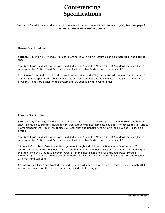# **Conferencing Specifications**

See below for additional product specifications not listed on the individual product page(s), **See next page for additional Wood Edge Profile Options.**

#### **General Specifications**

**Surfaces 1-1/4" or 1-3/4"** Industrial board laminated with high pressure plastic laminate (HPL) and backing sheet.

**Standard Edge** 3MM Solid Wood with 3MM Radius and Stained to Match a C.O.D. Standard Laminate Finish, with option for Profiled 3MM PVC on request (Excl. on 1-3/4" Surfaces where unavailable).

**Slab Bases** 1-1/8" Industrial board covered on both sides with (TFL) thermo-fused laminate, and including 1- 1/8" x 15" H **Support Rail** (Tables with Surface Power Grommet Cutout will feature Two Support Rails instead of One). All ends are sealed on the bottom and are supplied with leveling glides.

#### **Powered Specifications**

**Surfaces 1-1/4" or 1-3/4"** industrial board laminated with high pressure plastic laminate (HPL) and backing sheet. Single-piece Surfaces including centered cutout with inset laminate bay doors for access to sub-surface Power Management Trough. Multi-piece Surfaces with additional/offset cutout(s) and bay doors, based on design.

**Standard Edge** 3MM Solid Wood with 3MM Radius and Stained to Match a C.O.D. Standard Laminate Finish, with option for Profiled 3MM PVC on request (Excl. on 1-3/4" Surfaces where unavailable).

15" W x 10" H **Sub-surface Power Management Trough** with Full-height Side-access Door (up to 36" in length), and bottom with scalloped ends. Trough length and number of sections depending on the design of the table. Includes Grounded Softwire Power Strip and Inset Fixed Shelf for (Included) Power Module mounting. 3/4" Industrial board covered on both sides with Black thermo-fused laminate (TFL) and finished with matching Self Edge.

**8" Hollow Slab Bases** constructed from industrial board laminated with high pressure plastic laminate (HPL). All ends are sealed on the bottom and are supplied with leveling glides.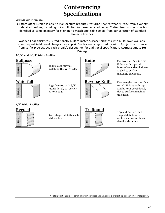# **Conferencing Specifications**

*Continued from previous page*

Custom Office Design is able to manufacture products featuring shaped wooden edge from a variety of detailed profiles, including but not limited to those depicted below. Crafted from a wood species identified as complimentary for staining to match applicable colors from our selection of standard laminate finishes.

Wooden Edge thickness is traditionally built to match Surface thickness with build-down available upon request (additional charges may apply). Profiles are categorized by Width (projection distance from surface) below, see each profile's description for additional specification. **Request Quote for Pricing.**

#### **1-1/4" and 1-3/4" Width Profiles**

#### **Bullnose**



Radius over surfacematching thickness edge.

**Waterfall**



Edge face top with 3/8" radius detail, 90° corner bottom edge



H Face with top and bottom bevel detail, downangled to surfacematching thickness.



**Reverse Knife** Down-angled from surface to 1/2" H Face with top and bottom bevel detail, flat to surface-matching thickness.

#### **1/2" Width Profiles**



Reed shaped details, each with radius.



Top and bottom reed shaped details with radius, and center inset detail with radius.

\* Note: Depictions are for communication purposes and not to-scale or exact representation of final product.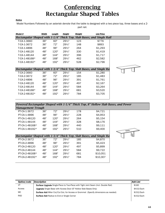### **Conferencing Rectangular Shaped Tables**

#### *Notice*

Model Numbers Followed by an asterisk denote that the table is designed with a two piece top, three bases and a 2-

part rail.

| Model #       | Width | Length | Height            | Weight | <b>List Price</b>                                                     |  |
|---------------|-------|--------|-------------------|--------|-----------------------------------------------------------------------|--|
|               |       |        |                   |        | Rectangular Shaped with 1-1/4" Thick Top, Slab Bases, and Single Rail |  |
| T-CA-1-3660   | 36"   | 60"    | $29\frac{1}{2}$ " | 123    | \$776                                                                 |  |
| T-CA-1-3672   | 36"   | 72"    | 291/2"            | 148    | \$893                                                                 |  |
| T-CA-1-4896   | 48"   | 96"    | $29\frac{1}{2}$ " | 264    | \$1,293                                                               |  |
| T-CA-1-48120  | 48"   | 120"   | $29\frac{1}{2}$ " | 330    | \$1,419                                                               |  |
| T-CA-1-48144  | 48"   | 144"   | 291/2"            | 396    | \$1,717                                                               |  |
| T-CA-1-48168* | 48"   | 168"   | $29\frac{1}{2}$ " | 462    | \$2,582                                                               |  |
| T-CA-1-48192* | 48"   | 192"   | $29\frac{1}{2}$ " | 528    | \$2,796                                                               |  |
|               |       |        |                   |        |                                                                       |  |
|               |       |        |                   |        | Rectangular Shaped with 1-3/4" Thick Top, Slab Bases, and Single Ra   |  |
| T-CA-2-3660   | 36"   | 60"    | $29\frac{1}{2}$ " | 154    | \$1,280                                                               |  |
| T-CA-2-3672   | 36"   | 72"    | $29\frac{1}{2}$ " | 185    | \$1,483                                                               |  |
| T-CA-2-4896   | 48"   | 96"    | 291/2"            | 391    | \$1,761                                                               |  |
| T-CA-2-48120  | 48"   | 120"   | $29\frac{1}{2}$ " | 497    | \$2,167                                                               |  |
| T-CA-2-48144  | 48"   | 144"   | $29\frac{1}{2}$ " | 584    | \$3,264                                                               |  |
| T-CA-2-48168* | 48"   | 168"   | $29\frac{1}{2}$ " | 681    | \$3,520                                                               |  |
| T-CA-2-48192* | 48"   | 192"   | $29\frac{1}{2}$ " | 784    | \$3,705                                                               |  |
|               |       |        |                   |        |                                                                       |  |
|               |       |        |                   |        |                                                                       |  |
|               |       |        |                   |        |                                                                       |  |

#### *Powered Rectangular Shaped with 1-1/4" Thick Top, 8" Hollow Slab Bases, and Power Management Trough*

| PT-CA-1-3672     | 36" | 72"  | $29^{1/2}$      | 178 | \$4.721 |
|------------------|-----|------|-----------------|-----|---------|
| PT-CA-1-4896     | 48" | 96"  | $29^{1/2}$      | 228 | \$4.953 |
| PT-CA-1-48120    | 48" | 120" | $29\frac{1}{2}$ | 264 | \$5,154 |
| PT-CA-1-48144    | 48" | 144" | $29\frac{1}{2}$ | 328 | \$8,176 |
| PT-CA-1-48168*   | 48" | 168" | $29^{1/2}$      | 440 | \$9.111 |
| $PT-CA-1-48192*$ | 48" | 192" | $29^{1/2}$      | 510 | \$9,400 |

|                |     |      |            |     | Rectangular Shaped with 1-3/4" Thick Top, Slab Bases, and Single Ra |
|----------------|-----|------|------------|-----|---------------------------------------------------------------------|
| PT-CA-2-3672   | 36" | 72"  | $29^{1/2}$ | 185 | \$4,870                                                             |
| PT-CA-2-4896   | 48" | 96"  | $29^{1/2}$ | 391 | \$5,423                                                             |
| PT-CA-2-48120  | 48" | 120" | $29^{1/2}$ | 497 | \$5,899                                                             |
| PT-CA-2-48144  | 48" | 144" | $29^{1/2}$ | 584 | \$9,722                                                             |
| PT-CA-2-48168* | 48" | 168" | $29^{1/2}$ | 681 | \$10,051                                                            |
| PT-CA-2-48192* | 48" | 192" | $29^{1/2}$ | 784 | \$10,307                                                            |
|                |     |      |            |     |                                                                     |

| Option/code | Description                                                                                | Add List   |
|-------------|--------------------------------------------------------------------------------------------|------------|
| 2T          | <b>Surface Upgrade</b> Single-Piece to Two-Piece with Tight Joint Seam (Incl. Double Rail) | \$160      |
| Access      | <b>Upgrade</b> Single Base with Access Door (6" Hollow Slab Bases Only)                    | \$415/Each |
| MC.         | <b>Surface Add</b> Miter Cut/Cut Out, for Access or Grommet (Specify dimensions as needed) | \$152/Each |
| <b>RAD</b>  | <b>Surface Add Radius to End or Single Corner</b>                                          | \$152/Each |
|             |                                                                                            |            |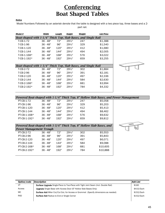# **Conferencing Boat Shaped Tables**

#### *Notice*

Model Numbers Followed by an asterisk denote that the table is designed with a two piece top, three bases and a 2 part rail.

| Model #                                                        | Width      | Length | Height            | Weight | <b>List Price</b> |  |
|----------------------------------------------------------------|------------|--------|-------------------|--------|-------------------|--|
| Boat-shaped with 1-1/4" Thick Top, Slab Bases, and Single Rail |            |        |                   |        |                   |  |
| T-CB-1-72                                                      | $36 - 48"$ | 72"    | $29\frac{1}{2}$ " | 247    | \$1,388           |  |
| T-CB-1-96                                                      | $36 - 48"$ | 96"    | $29\frac{1}{2}$ " | 329    | \$1,540           |  |
| T-CB-1-120                                                     | $36 - 48"$ | 120"   | $29\frac{1}{2}$ " | 412    | \$1,680           |  |
| T-CB-1-144                                                     | $36 - 48"$ | 144"   | $29\frac{1}{2}$ " | 494    | \$2,005           |  |
| $T$ -CB-1-168*                                                 | $36 - 48"$ | 168"   | $29\frac{1}{2}$ " | 576    | \$3,022           |  |
| T-CB-1-192*                                                    | $36 - 48"$ | 192"   | $29\frac{1}{2}$ " | 659    | \$3,255           |  |
|                                                                |            |        |                   |        |                   |  |
| Boat-shaped with 1-3/4" Thick Top, Slab Bases, and Single Rail |            |        |                   |        |                   |  |
| T-CB-2-72                                                      | $36 - 48"$ | 72"    | $29\frac{1}{2}$ " | 302    | \$1,884           |  |
| T-CB-2-96                                                      | $36 - 48"$ | 96"    | $29\frac{1}{2}$ " | 391    | \$2,181           |  |
| T-CB-2-120                                                     | $36 - 48"$ | 120"   | $29\frac{1}{2}$ " | 497    | \$2,336           |  |
| T-CB-2-144                                                     | $36 - 48"$ | 144"   | $29\frac{1}{2}$ " | 584    | \$2,630           |  |
| T-CB-2-168*                                                    | $36 - 48"$ | 168"   | $29\frac{1}{2}$ " | 681    | \$3,994           |  |
| T-CB-2-192*                                                    | $36 - 48"$ | 192"   | $29\frac{1}{2}$ " | 784    | \$4,332           |  |
|                                                                |            |        |                   |        |                   |  |

|              |            |      |                   |     | Powered Boat-shaped with 1-1/4" Thick Top, 8" Hollow Slab Bases, and Power Management |
|--------------|------------|------|-------------------|-----|---------------------------------------------------------------------------------------|
| PT-CB-1-72   | $36 - 48"$ | 72"  | $29^{1/2}$        | 247 | \$5,058                                                                               |
| PT-CB-1-96   | $36 - 48"$ | 96"  | $29\frac{1}{5}$ " | 329 | \$5.203                                                                               |
| PT-CB-1-120  | $36 - 48"$ | 120" | $29\frac{1}{2}$ " | 412 | \$5.413                                                                               |
| PT-CB-1-144  | $36 - 48"$ | 144" | $29\frac{1}{2}$ " | 494 | \$8,462                                                                               |
| PT-CB-1-168* | $36 - 48"$ | 168" | $29\frac{1}{2}$ " | 576 | \$9.632                                                                               |
| PT-CB-1-192* | $36 - 48"$ | 192" | $29^{1/2}$        | 659 | \$9,812                                                                               |
|              |            |      |                   |     |                                                                                       |

| Powered Boat-shaped with 1-3/4" Thick Top, 8" Hollow Slab Bases, and |            |      |                   |     |          |  |  |  |  |
|----------------------------------------------------------------------|------------|------|-------------------|-----|----------|--|--|--|--|
| <b>Power Management Trough</b>                                       |            |      |                   |     |          |  |  |  |  |
| <b>PT-CB-2-72</b>                                                    | $36 - 48"$ | 72"  | $29\frac{1}{5}$ " | 302 | \$5.553  |  |  |  |  |
| <b>PT-CB-2-96</b>                                                    | $36 - 48"$ | 96"  | $29\frac{1}{5}$ " | 391 | \$5,843  |  |  |  |  |
| PT-CB-2-120                                                          | $36 - 48"$ | 120" | $29^{1/2}$        | 497 | \$6,071  |  |  |  |  |
| PT-CB-2-144                                                          | $36 - 48"$ | 144" | $29\frac{1}{5}$ " | 584 | \$9,088  |  |  |  |  |
| PT-CB-2-168*                                                         | $36 - 48"$ | 168" | $29\frac{1}{5}$ " | 681 | \$10,605 |  |  |  |  |
| PT-CB-2-192*                                                         | $36 - 48"$ | 192" | $29^{1/2}$        | 784 | \$10,888 |  |  |  |  |
|                                                                      |            |      |                   |     |          |  |  |  |  |



| Option/code | Description                                                                                | Add List   |
|-------------|--------------------------------------------------------------------------------------------|------------|
| 2Τ          | <b>Surface Upgrade</b> Single-Piece to Two-Piece with Tight Joint Seam (Incl. Double Rail) | \$160      |
| Access      | <b>Upgrade</b> Single Base with Access Door (6" Hollow Slab Bases Only)                    | \$415/Each |
| МC          | <b>Surface Add</b> Miter Cut/Cut Out, for Access or Grommet (Specify dimensions as needed) | \$152/Each |
| <b>RAD</b>  | <b>Surface Add Radius to End or Single Corner</b>                                          | \$152/Each |
|             |                                                                                            |            |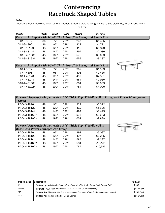# **Conferencing Racetrack Shaped Tables**

#### *Notice*

Model Numbers Followed by an asterisk denote that the table is designed with a two piece top, three bases and a 2-

part rail.

| Model #                                                             | Width | Length | Height            | Weight | <b>List Price</b> |  |
|---------------------------------------------------------------------|-------|--------|-------------------|--------|-------------------|--|
| Racetrack-shaped with 1-1/4" Thick Top, Slab Bases, and Single Rail |       |        |                   |        |                   |  |
| T-CA-3-3672                                                         | 36"   | 72"    | $29\frac{1}{2}$ " | 247    | \$1,465           |  |
| T-CA-3-4896                                                         | 36"   | 96"    | $29\frac{1}{2}$ " | 329    | \$1,711           |  |
| T-CA-3-48120                                                        | 48"   | 120"   | $29\frac{1}{2}$ " | 412    | \$1,870           |  |
| T-CA-3-48144                                                        | 48"   | 144"   | $29\frac{1}{2}$ " | 494    | \$2,036           |  |
| T-CA-3-48168*                                                       | 48"   | 168"   | $29\frac{1}{2}$ " | 576    | \$3,053           |  |
| T-CA-3-48192*                                                       | 48"   | 192"   | $29\frac{1}{2}$ " | 659    | \$3,287           |  |
|                                                                     |       |        |                   |        |                   |  |
| Racetrack-shaped with 1-3/4" Thick Top, Slab Bases, and Single Rail |       |        |                   |        |                   |  |
| T-CA-4-3672                                                         | 36"   | 72"    | $29\frac{1}{2}$ " | 302    | \$1,993           |  |
| T-CA-4-4896                                                         | 48"   | 96"    | $29\frac{1}{2}$ " | 391    | \$2,435           |  |
| T-CA-4-48120                                                        | 48"   | 120"   | $29\frac{1}{2}$ " | 497    | \$2,551           |  |
| T-CA-4-48144                                                        | 48"   | 144"   | $29\frac{1}{2}$ " | 584    | \$2,930           |  |
| T-CA-4-48168*                                                       | 48"   | 168"   | $29\frac{1}{2}$ " | 681    | \$3,903           |  |
| T-CA-4-48192*                                                       | 48"   | 192"   | $29\frac{1}{2}$ " | 784    | \$4,090           |  |
|                                                                     |       |        |                   |        |                   |  |

#### *Powered Racetrack-shaped with 1-1/4" Thick Top, 8" Hollow Slab Bases, and Power Management Trough*

| PT-CA-3-4896   | 48" | 96"  | $29\frac{1}{2}$ | 329 | \$5.372 |
|----------------|-----|------|-----------------|-----|---------|
| PT-CA-3-48120  | 48" | 120" | $29^{1/2}$      | 412 | \$5.605 |
| PT-CA-3-48144  | 48" | 144" | $29^{1/2}$      | 494 | \$8.495 |
| PT-CA-3-48168* | 48" | 168" | $29\frac{1}{2}$ | 576 | \$9.583 |
| PT-CA-3-48192* | 48" | 192" | $29^{1/2}$      | 659 | \$9.889 |
|                |     |      |                 |     |         |

| Powered Racetrack-shaped with 1-3/4" Thick Top, 8" Hollow Slab |     |      |            |     |          |  |  |  |
|----------------------------------------------------------------|-----|------|------------|-----|----------|--|--|--|
| <b>Bases, and Power Management Trough</b>                      |     |      |            |     |          |  |  |  |
| PT-CA-4-4896                                                   | 48" | 96"  | $29^{1/2}$ | 391 | \$6,097  |  |  |  |
| PT-CA-4-48120                                                  | 48" | 120" | $29^{1/2}$ | 497 | \$6,285  |  |  |  |
| PT-CA-4-48144                                                  | 48" | 144" | $29^{1/2}$ | 584 | \$9,387  |  |  |  |
| PT-CA-4-48168*                                                 | 48" | 168" | $29^{1/2}$ | 681 | \$10,434 |  |  |  |
| PT-CA-4-48192*                                                 | 48" | 192" | $29^{1/2}$ | 784 | \$10,693 |  |  |  |
|                                                                |     |      |            |     |          |  |  |  |



| Option/code | <b>Description</b>                                                                         | Add List   |
|-------------|--------------------------------------------------------------------------------------------|------------|
| 2T          | <b>Surface Upgrade</b> Single-Piece to Two-Piece with Tight Joint Seam (Incl. Double Rail) | \$160      |
| Access      | <b>Upgrade</b> Single Base with Access Door (6" Hollow Slab Bases Only)                    | \$415/Each |
| МC          | <b>Surface Add</b> Miter Cut/Cut Out, for Access or Grommet (Specify dimensions as needed) | \$152/Each |
| <b>RAD</b>  | <b>Surface Add Radius to End or Single Corner</b>                                          | \$152/Each |
|             |                                                                                            |            |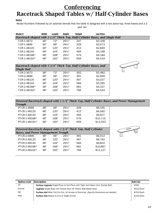## **Conferencing Racetrack Shaped Tables w/ Half-Cylinder Bases**

#### *Notice*

Model Numbers Followed by an asterisk denote that the table is designed with a two piece top, three bases and a 2 part rail.

| Model #                                                          | Width | Length | Height            | Weight | <b>List Price</b>                                                            |  |
|------------------------------------------------------------------|-------|--------|-------------------|--------|------------------------------------------------------------------------------|--|
|                                                                  |       |        |                   |        | Racetrack-shaped with 1-1/4" Thick Top, Half-Cylinder Bases, and Single Rail |  |
| T-CR-1-3672                                                      | 36"   | 72"    | $29\frac{1}{2}$ " | 247    | \$2,328                                                                      |  |
| T-CR-1-4896                                                      | 36"   | 96"    | $29\frac{1}{2}$ " | 329    | \$2,673                                                                      |  |
| T-CR-1-48120                                                     | 48"   | 120"   | $29\frac{1}{2}$ " | 412    | \$2,849                                                                      |  |
| T-CR-1-48144                                                     | 48"   | 144"   | $29\frac{1}{2}$ " | 494    | \$3,168                                                                      |  |
| T-CR-1-48168*                                                    | 48"   | 168"   | $29\frac{1}{2}$ " | 576    | \$4,184                                                                      |  |
| T-CR-1-48192*                                                    | 48"   | 192"   | $29\frac{1}{2}$ " | 659    | \$4,419                                                                      |  |
|                                                                  |       |        |                   |        |                                                                              |  |
| Racetrack-shaped with 1-3/4" Thick Top, Half-Cylinder Bases, and |       |        |                   |        |                                                                              |  |
| <b>Single Rail</b>                                               |       |        |                   |        |                                                                              |  |
| T-CR-2-3672                                                      | 36"   | 72"    | $29\frac{1}{2}$ " | 302    | \$2,482                                                                      |  |
| T-CR-2-4896                                                      | 48"   | 96"    | $29\frac{1}{2}$ " | 391    | \$2,849                                                                      |  |
| T-CR-2-48120                                                     | 48"   | 120"   | $29\frac{1}{2}$ " | 497    | \$3,027                                                                      |  |
| T-CR-2-48144                                                     | 48"   | 144"   | $29\frac{1}{2}$ " | 584    | \$3,365                                                                      |  |
| T-CR-2-48168*                                                    | 48"   | 168"   | $29\frac{1}{2}$ " | 681    | \$4,337                                                                      |  |
| T-CR-2-48192*                                                    | 48"   | 192"   | $29\frac{1}{2}$ " | 784    | \$4,524                                                                      |  |
|                                                                  |       |        |                   |        |                                                                              |  |

*Powered Racetrack-shaped with 1-1/4" Thick Top, Half-Cylinder Bases, and Power Management Trough*

| PT-CR-1-4896   | 48" | 96"  | $29\frac{1}{2}$ | 329 | \$6.335  |
|----------------|-----|------|-----------------|-----|----------|
| PT-CR-1-48120  | 48" | 120" | $29\frac{1}{2}$ | 412 | \$6.582  |
| PT-CR-1-48144  | 48" | 144" | $29\frac{1}{2}$ | 494 | \$9.627  |
| PT-CR-1-48168* | 48" | 168" | $29\frac{1}{2}$ | 576 | \$10.715 |
| PT-CR-1-48192* | 48" | 192" | $29^{1/2}$      | 659 | \$11.033 |

| Powered Racetrack-shaped with 1-3/4" Thick Top, Half-Cylinder |     |      |            |     |          |  |  |  |
|---------------------------------------------------------------|-----|------|------------|-----|----------|--|--|--|
| <b>Bases, and Power Management Trough</b>                     |     |      |            |     |          |  |  |  |
| PT-CR-2-4896                                                  | 48" | 96"  | $29^{1/2}$ | 391 | \$6,512  |  |  |  |
| PT-CR-2-48120                                                 | 48" | 120" | $29^{1/2}$ | 497 | \$6,762  |  |  |  |
| PT-CR-2-48144                                                 | 48" | 144" | $29^{1/2}$ | 584 | \$9,822  |  |  |  |
| PT-CR-2-48168*                                                | 48" | 168" | $29^{1/2}$ | 681 | \$10,867 |  |  |  |
| PT-CR-2-48192*                                                | 48" | 192" | $29^{1/2}$ | 784 | \$11,127 |  |  |  |
|                                                               |     |      |            |     |          |  |  |  |



| Option/code | Description                                                                                | Add List   |
|-------------|--------------------------------------------------------------------------------------------|------------|
| 2T          | <b>Surface Upgrade</b> Single-Piece to Two-Piece with Tight Joint Seam (Incl. Double Rail) | \$160      |
| Access      | <b>Upgrade</b> Single Base with Access Door (6" Hollow Slab Bases Only)                    | \$415/Each |
| МC          | <b>Surface Add</b> Miter Cut/Cut Out, for Access or Grommet (Specify dimensions as needed) | \$152/Each |
| <b>RAD</b>  | <b>Surface Add Radius to End or Single Corner</b>                                          | \$152/Each |
|             |                                                                                            |            |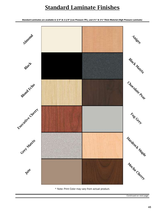# **Standard Laminate Finishes**

*Standard Laminates are available in 3/4" & 1-1/8" (Low Pressure TFL), and 1¼" & 1¾" Thick Material (High Pressure Laminate)*



\* Note: Print Color may vary from actual product.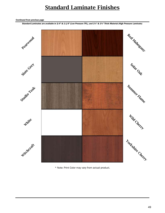# **Standard Laminate Finishes**

#### *Continued from previous page*

*Standard Laminates are available in 3/4" & 1-1/8" (Low Pressure TFL), and 1¼" & 1¾" Thick Material (High Pressure Laminate)*



\* Note: Print Color may vary from actual product.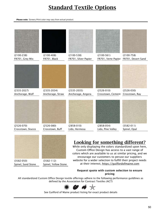# **Standard Textile Options**

*Please note: Screen/Print color may vary from actual product.* 

(3582-050) (3582-112)

Spinel, Sand Stone Spinel, Yellow Stone

| $(2100-238)$      | $(2100-408)$     | $(2100-538)$         | $(2100-561)$                            | $(2100 - 758)$     |
|-------------------|------------------|----------------------|-----------------------------------------|--------------------|
| FR701, Grey Mix   | FR701, Black     | FR701, Silver Papier | FR701, Verte Papier                     | FR701, Desert Sand |
|                   |                  |                      |                                         |                    |
| $(2335-2027)$     | $(2335 - 2034)$  | $(2335 - 2035)$      | $(2526-010)$                            | $(2526-030)$       |
| Anchorage, Wolf   | Anchorage, Straw | Anchorage, Angora    | Crosstown, Cement                       | Crosstown, Ray     |
|                   |                  |                      |                                         |                    |
| $(2526-070)$      | $(2526-080)$     | $(2858-010)$         | $(2858-054)$                            | $(3582 - 011)$     |
| Crosstown, Stucco | Crosstown, Buff  | Lido, Hermosa        | Lido, Pine Valley                       | Spinel, Opal       |
|                   |                  |                      | <b>Looking for something different?</b> |                    |

While only displaying the colors standardized upon here, Custom Office Design has access to a vast range of colors which are available to us at similar pricing, and we encourage our customers to peruse our suppliers website for a wider selection to fulfill their project needs at their interest, https://guilfordofmaine.com

#### **Request quote with custom selection to ensure pricing**

All standardized Custom Office Design textile offerings adhere to the following performance guildlines as defined by the Association for Contract Textiles (ACT)



See Guilford of Maine product listing for exact product details